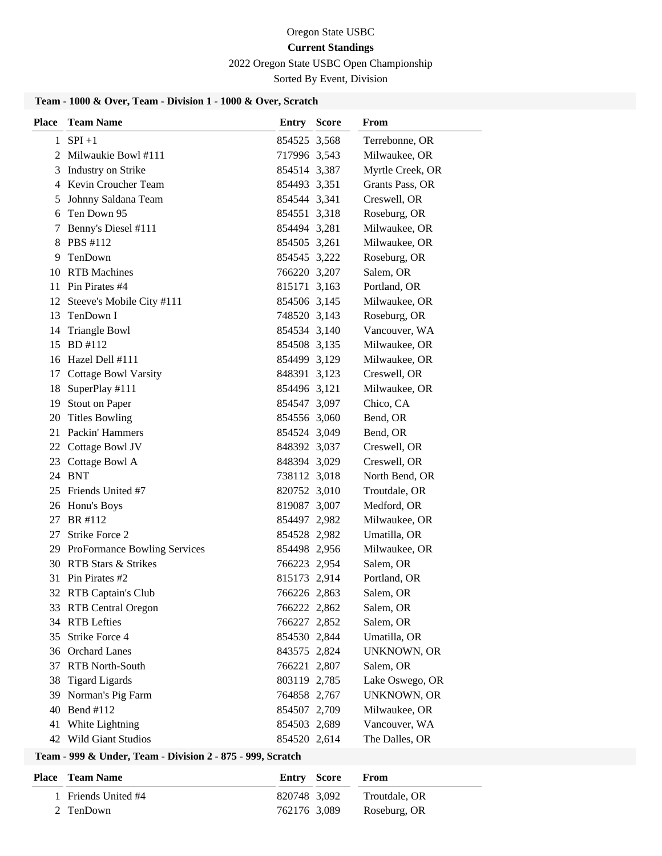#### Oregon State USBC

#### **Current Standings**

2022 Oregon State USBC Open Championship

Sorted By Event, Division

#### **Team - 1000 & Over, Team - Division 1 - 1000 & Over, Scratch**

| <b>Place</b> | <b>Team Name</b>                | <b>Entry Score</b> | <b>From</b>        |
|--------------|---------------------------------|--------------------|--------------------|
|              | $1$ SPI +1                      | 854525 3,568       | Terrebonne, OR     |
|              | 2 Milwaukie Bowl #111           | 717996 3,543       | Milwaukee, OR      |
| 3            | Industry on Strike              | 854514 3,387       | Myrtle Creek, OR   |
|              | 4 Kevin Croucher Team           | 854493 3,351       | Grants Pass, OR    |
| 5            | Johnny Saldana Team             | 854544 3,341       | Creswell, OR       |
| 6            | Ten Down 95                     | 854551 3,318       | Roseburg, OR       |
| 7            | Benny's Diesel #111             | 854494 3,281       | Milwaukee, OR      |
|              | 8 PBS #112                      | 854505 3,261       | Milwaukee, OR      |
| 9.           | TenDown                         | 854545 3,222       | Roseburg, OR       |
|              | 10 RTB Machines                 | 766220 3,207       | Salem, OR          |
|              | 11 Pin Pirates #4               | 815171 3,163       | Portland, OR       |
|              | 12 Steeve's Mobile City #111    | 854506 3,145       | Milwaukee, OR      |
|              | 13 TenDown I                    | 748520 3,143       | Roseburg, OR       |
| 14           | <b>Triangle Bowl</b>            | 854534 3,140       | Vancouver, WA      |
| 15           | BD #112                         | 854508 3,135       | Milwaukee, OR      |
|              | 16 Hazel Dell #111              | 854499 3,129       | Milwaukee, OR      |
|              | 17 Cottage Bowl Varsity         | 848391 3,123       | Creswell, OR       |
|              | 18 SuperPlay #111               | 854496 3,121       | Milwaukee, OR      |
|              | 19 Stout on Paper               | 854547 3,097       | Chico, CA          |
|              | 20 Titles Bowling               | 854556 3,060       | Bend, OR           |
|              | 21 Packin' Hammers              | 854524 3,049       | Bend, OR           |
|              | 22 Cottage Bowl JV              | 848392 3,037       | Creswell, OR       |
|              | 23 Cottage Bowl A               | 848394 3,029       | Creswell, OR       |
|              | 24 BNT                          | 738112 3,018       | North Bend, OR     |
|              | 25 Friends United #7            | 820752 3,010       | Troutdale, OR      |
|              | 26 Honu's Boys                  | 819087 3,007       | Medford, OR        |
|              | 27 BR #112                      | 854497 2,982       | Milwaukee, OR      |
| 27           | <b>Strike Force 2</b>           | 854528 2,982       | Umatilla, OR       |
|              | 29 ProFormance Bowling Services | 854498 2,956       | Milwaukee, OR      |
|              | 30 RTB Stars & Strikes          | 766223 2,954       | Salem, OR          |
|              | 31 Pin Pirates #2               | 815173 2,914       | Portland, OR       |
|              | 32 RTB Captain's Club           | 766226 2,863       | Salem, OR          |
|              | 33 RTB Central Oregon           | 766222 2,862       | Salem, OR          |
|              | 34 RTB Lefties                  | 766227 2,852       | Salem, OR          |
| 35           | Strike Force 4                  | 854530 2,844       | Umatilla, OR       |
|              | 36 Orchard Lanes                | 843575 2,824       | UNKNOWN, OR        |
| 37           | RTB North-South                 | 766221 2,807       | Salem, OR          |
| 38           | <b>Tigard Ligards</b>           | 803119 2,785       | Lake Oswego, OR    |
| 39           | Norman's Pig Farm               | 764858 2,767       | <b>UNKNOWN, OR</b> |
| 40           | Bend #112                       | 854507 2,709       | Milwaukee, OR      |
| 41           | White Lightning                 | 854503 2,689       | Vancouver, WA      |
|              | 42 Wild Giant Studios           | 854520 2,614       | The Dalles, OR     |

#### **Team - 999 & Under, Team - Division 2 - 875 - 999, Scratch**

| <b>Place – Team Name</b> |              | Entry Score | <b>From</b>   |
|--------------------------|--------------|-------------|---------------|
| 1 Friends United #4      | 820748 3.092 |             | Troutdale, OR |
| 2 TenDown                | 762176 3.089 |             | Roseburg, OR  |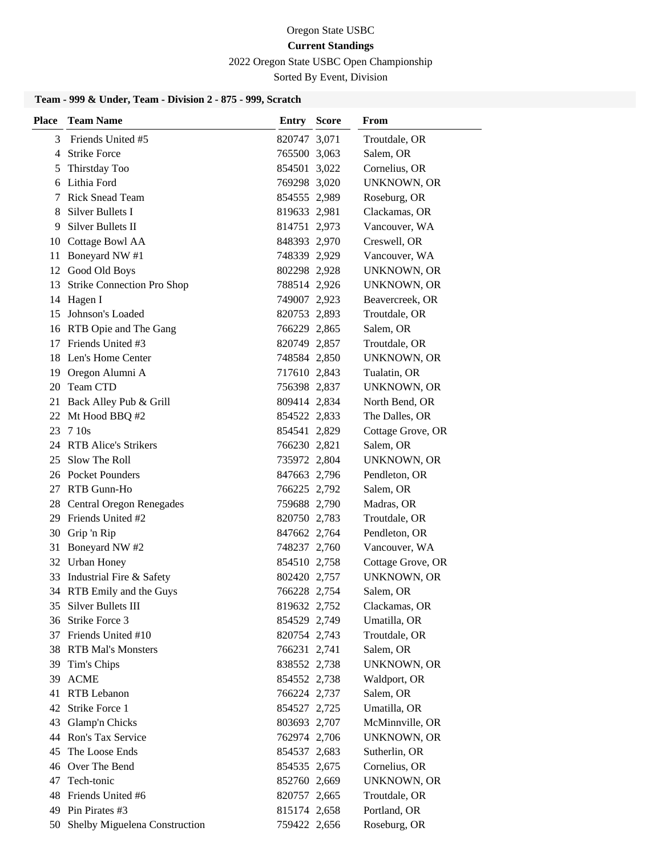2022 Oregon State USBC Open Championship

Sorted By Event, Division

# **Team - 999 & Under, Team - Division 2 - 875 - 999, Scratch**

| <b>Place</b> | <b>Team Name</b>                 | <b>Entry Score</b> | From               |
|--------------|----------------------------------|--------------------|--------------------|
| 3            | Friends United #5                | 820747 3,071       | Troutdale, OR      |
| 4            | <b>Strike Force</b>              | 765500 3,063       | Salem, OR          |
| 5.           | Thirstday Too                    | 854501 3,022       | Cornelius, OR      |
| 6            | Lithia Ford                      | 769298 3,020       | <b>UNKNOWN, OR</b> |
|              | 7 Rick Snead Team                | 854555 2,989       | Roseburg, OR       |
| 8            | Silver Bullets I                 | 819633 2,981       | Clackamas, OR      |
| 9            | Silver Bullets II                | 814751 2,973       | Vancouver, WA      |
| 10           | <b>Cottage Bowl AA</b>           | 848393 2,970       | Creswell, OR       |
| 11           | Boneyard NW #1                   | 748339 2,929       | Vancouver, WA      |
|              | 12 Good Old Boys                 | 802298 2,928       | UNKNOWN, OR        |
|              | 13 Strike Connection Pro Shop    | 788514 2,926       | UNKNOWN, OR        |
|              | 14 Hagen I                       | 749007 2,923       | Beavercreek, OR    |
|              | 15 Johnson's Loaded              | 820753 2,893       | Troutdale, OR      |
|              | 16 RTB Opie and The Gang         | 766229 2,865       | Salem, OR          |
| 17           | Friends United #3                | 820749 2,857       | Troutdale, OR      |
| 18           | Len's Home Center                | 748584 2,850       | <b>UNKNOWN, OR</b> |
|              | 19 Oregon Alumni A               | 717610 2,843       | Tualatin, OR       |
| 20           | Team CTD                         | 756398 2,837       | UNKNOWN, OR        |
|              | 21 Back Alley Pub & Grill        | 809414 2,834       | North Bend, OR     |
|              | 22 Mt Hood BBQ #2                | 854522 2,833       | The Dalles, OR     |
|              | 23 7 10s                         | 854541 2,829       | Cottage Grove, OR  |
|              | 24 RTB Alice's Strikers          | 766230 2,821       | Salem, OR          |
|              | 25 Slow The Roll                 | 735972 2,804       | UNKNOWN, OR        |
|              | 26 Pocket Pounders               | 847663 2,796       | Pendleton, OR      |
|              | 27 RTB Gunn-Ho                   | 766225 2,792       | Salem, OR          |
|              | 28 Central Oregon Renegades      | 759688 2,790       | Madras, OR         |
|              | 29 Friends United #2             | 820750 2,783       | Troutdale, OR      |
|              | 30 Grip 'n Rip                   | 847662 2,764       | Pendleton, OR      |
|              | 31 Boneyard NW #2                | 748237 2,760       | Vancouver, WA      |
|              | 32 Urban Honey                   | 854510 2,758       | Cottage Grove, OR  |
|              | 33 Industrial Fire & Safety      | 802420 2,757       | <b>UNKNOWN, OR</b> |
|              | 34 RTB Emily and the Guys        | 766228 2,754       | Salem, OR          |
|              | 35 Silver Bullets III            | 819632 2,752       | Clackamas, OR      |
|              | 36 Strike Force 3                | 854529 2,749       | Umatilla, OR       |
|              | 37 Friends United #10            | 820754 2,743       | Troutdale, OR      |
|              | 38 RTB Mal's Monsters            | 766231 2,741       | Salem, OR          |
| 39           | Tim's Chips                      | 838552 2,738       | <b>UNKNOWN, OR</b> |
| 39           | <b>ACME</b>                      | 854552 2,738       | Waldport, OR       |
| 41           | RTB Lebanon                      | 766224 2,737       | Salem, OR          |
| 42           | Strike Force 1                   | 854527 2,725       | Umatilla, OR       |
| 43           | Glamp'n Chicks                   | 803693 2,707       | McMinnville, OR    |
|              | 44 Ron's Tax Service             | 762974 2,706       | <b>UNKNOWN, OR</b> |
| 45           | The Loose Ends                   | 854537 2,683       | Sutherlin, OR      |
|              | 46 Over The Bend                 | 854535 2,675       | Cornelius, OR      |
| 47           | Tech-tonic                       | 852760 2,669       | <b>UNKNOWN, OR</b> |
| 48           | Friends United #6                | 820757 2,665       | Troutdale, OR      |
|              | 49 Pin Pirates #3                | 815174 2,658       | Portland, OR       |
|              | 50 Shelby Miguelena Construction | 759422 2,656       | Roseburg, OR       |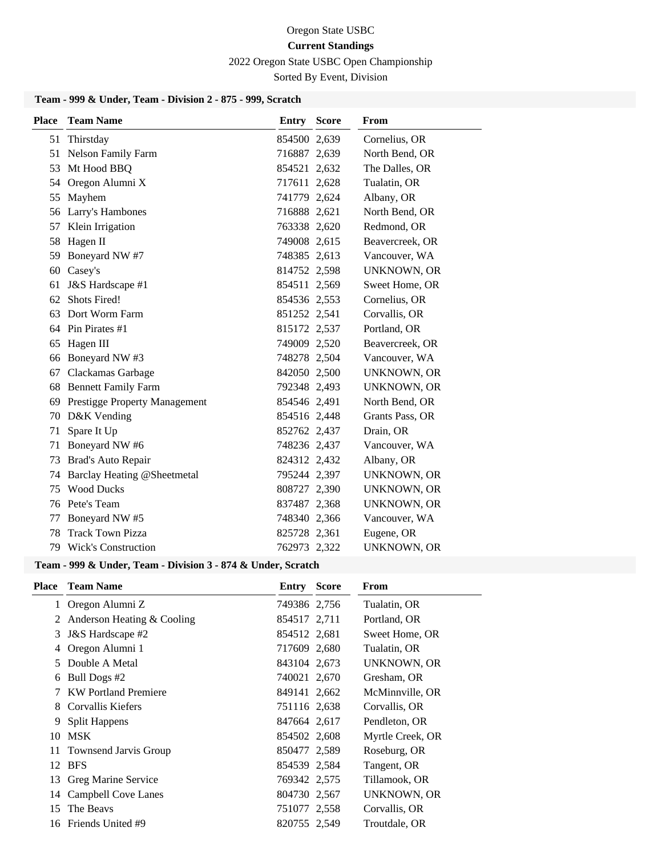2022 Oregon State USBC Open Championship

Sorted By Event, Division

# **Team - 999 & Under, Team - Division 2 - 875 - 999, Scratch**

| <b>Place</b> | <b>Team Name</b>                     | <b>Entry Score</b> | From               |
|--------------|--------------------------------------|--------------------|--------------------|
| 51           | Thirstday                            | 854500 2,639       | Cornelius, OR      |
|              | 51 Nelson Family Farm                | 716887 2,639       | North Bend, OR     |
| 53           | Mt Hood BBQ                          | 854521 2,632       | The Dalles, OR     |
| 54           | Oregon Alumni X                      | 717611 2,628       | Tualatin, OR       |
| 55           | Mayhem                               | 741779 2,624       | Albany, OR         |
| 56           | Larry's Hambones                     | 716888 2,621       | North Bend, OR     |
| 57           | Klein Irrigation                     | 763338 2,620       | Redmond, OR        |
| 58           | Hagen II                             | 749008 2,615       | Beavercreek, OR    |
| 59           | Boneyard NW #7                       | 748385 2,613       | Vancouver, WA      |
| 60           | Casey's                              | 814752 2,598       | <b>UNKNOWN, OR</b> |
| 61           | J&S Hardscape #1                     | 854511 2,569       | Sweet Home, OR     |
| 62           | <b>Shots Fired!</b>                  | 854536 2,553       | Cornelius, OR      |
| 63           | Dort Worm Farm                       | 851252 2,541       | Corvallis, OR      |
|              | 64 Pin Pirates #1                    | 815172 2,537       | Portland, OR       |
| 65           | Hagen III                            | 749009 2,520       | Beavercreek, OR    |
| 66           | Boneyard NW #3                       | 748278 2,504       | Vancouver, WA      |
| 67           | Clackamas Garbage                    | 842050 2,500       | <b>UNKNOWN, OR</b> |
| 68           | <b>Bennett Family Farm</b>           | 792348 2,493       | <b>UNKNOWN, OR</b> |
| 69           | <b>Prestigge Property Management</b> | 854546 2,491       | North Bend, OR     |
|              | 70 D&K Vending                       | 854516 2,448       | Grants Pass, OR    |
| 71           | Spare It Up                          | 852762 2,437       | Drain, OR          |
| 71           | Boneyard NW #6                       | 748236 2,437       | Vancouver, WA      |
| 73           | Brad's Auto Repair                   | 824312 2,432       | Albany, OR         |
| 74           | Barclay Heating @Sheetmetal          | 795244 2,397       | UNKNOWN, OR        |
| 75           | <b>Wood Ducks</b>                    | 808727 2,390       | <b>UNKNOWN, OR</b> |
|              | 76 Pete's Team                       | 837487 2,368       | <b>UNKNOWN, OR</b> |
| 77           | Boneyard NW #5                       | 748340 2,366       | Vancouver, WA      |
| 78           | <b>Track Town Pizza</b>              | 825728 2,361       | Eugene, OR         |
|              | 79 Wick's Construction               | 762973 2,322       | <b>UNKNOWN, OR</b> |

#### **Team - 999 & Under, Team - Division 3 - 874 & Under, Scratch**

| <b>Place</b> | <b>Team Name</b>            | <b>Entry Score</b> | From             |
|--------------|-----------------------------|--------------------|------------------|
| $\mathbf{1}$ | Oregon Alumni Z             | 749386 2,756       | Tualatin, OR     |
| 2            | Anderson Heating & Cooling  | 854517 2,711       | Portland, OR     |
| 3            | J&S Hardscape #2            | 854512 2,681       | Sweet Home, OR   |
| 4            | Oregon Alumni 1             | 717609 2,680       | Tualatin, OR     |
| 5.           | Double A Metal              | 843104 2,673       | UNKNOWN, OR      |
| 6            | Bull Dogs #2                | 740021 2,670       | Gresham, OR      |
| 7            | <b>KW</b> Portland Premiere | 849141 2,662       | McMinnville, OR  |
| 8            | Corvallis Kiefers           | 751116 2,638       | Corvallis, OR    |
| 9            | <b>Split Happens</b>        | 847664 2,617       | Pendleton, OR    |
| 10           | <b>MSK</b>                  | 854502 2,608       | Myrtle Creek, OR |
|              | 11 Townsend Jarvis Group    | 850477 2,589       | Roseburg, OR     |
| 12           | <b>BFS</b>                  | 854539 2,584       | Tangent, OR      |
|              | 13 Greg Marine Service      | 769342 2,575       | Tillamook, OR    |
|              | 14 Campbell Cove Lanes      | 804730 2,567       | UNKNOWN, OR      |
| 15           | The Beavs                   | 751077 2,558       | Corvallis, OR    |
| 16           | Friends United #9           | 820755 2,549       | Troutdale, OR    |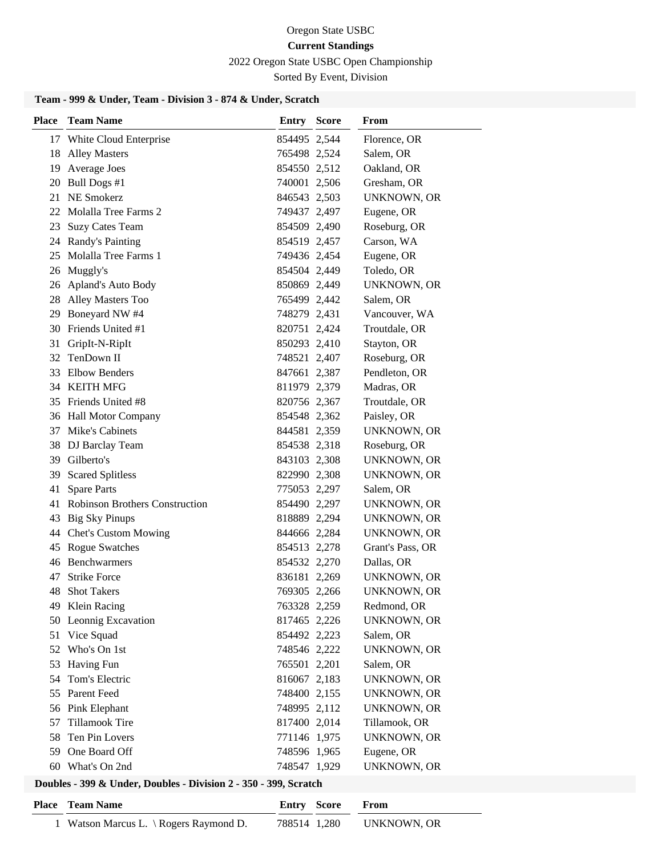2022 Oregon State USBC Open Championship

Sorted By Event, Division

# **Team - 999 & Under, Team - Division 3 - 874 & Under, Scratch**

| <b>Place</b> | <b>Team Name</b>                  | Entry        | <b>Score</b> | From               |
|--------------|-----------------------------------|--------------|--------------|--------------------|
|              | 17 White Cloud Enterprise         | 854495 2,544 |              | Florence, OR       |
|              | 18 Alley Masters                  | 765498 2,524 |              | Salem, OR          |
|              | 19 Average Joes                   | 854550 2,512 |              | Oakland, OR        |
|              | 20 Bull Dogs #1                   | 740001 2,506 |              | Gresham, OR        |
|              | 21 NE Smokerz                     | 846543 2,503 |              | <b>UNKNOWN, OR</b> |
|              | 22 Molalla Tree Farms 2           | 749437 2,497 |              | Eugene, OR         |
|              | 23 Suzy Cates Team                | 854509 2,490 |              | Roseburg, OR       |
|              | 24 Randy's Painting               | 854519 2,457 |              | Carson, WA         |
|              | 25 Molalla Tree Farms 1           | 749436 2,454 |              | Eugene, OR         |
|              | 26 Muggly's                       | 854504 2,449 |              | Toledo, OR         |
|              | 26 Apland's Auto Body             | 850869 2,449 |              | <b>UNKNOWN, OR</b> |
|              | 28 Alley Masters Too              | 765499 2,442 |              | Salem, OR          |
|              | 29 Boneyard NW #4                 | 748279 2,431 |              | Vancouver, WA      |
|              | 30 Friends United #1              | 820751 2,424 |              | Troutdale, OR      |
|              | 31 GripIt-N-RipIt                 | 850293 2,410 |              | Stayton, OR        |
| 32           | TenDown II                        | 748521 2,407 |              | Roseburg, OR       |
|              | 33 Elbow Benders                  | 847661 2,387 |              | Pendleton, OR      |
|              | 34 KEITH MFG                      | 811979 2,379 |              | Madras, OR         |
|              | 35 Friends United #8              | 820756 2,367 |              | Troutdale, OR      |
|              | 36 Hall Motor Company             | 854548 2,362 |              | Paisley, OR        |
|              | 37 Mike's Cabinets                | 844581 2,359 |              | <b>UNKNOWN, OR</b> |
|              | 38 DJ Barclay Team                | 854538 2,318 |              | Roseburg, OR       |
|              | 39 Gilberto's                     | 843103 2,308 |              | UNKNOWN, OR        |
| 39           | <b>Scared Splitless</b>           | 822990 2,308 |              | <b>UNKNOWN, OR</b> |
| 41           | <b>Spare Parts</b>                | 775053 2,297 |              | Salem, OR          |
|              | 41 Robinson Brothers Construction | 854490 2,297 |              | UNKNOWN, OR        |
| 43           | <b>Big Sky Pinups</b>             | 818889 2,294 |              | UNKNOWN, OR        |
|              | 44 Chet's Custom Mowing           | 844666 2,284 |              | UNKNOWN, OR        |
|              | 45 Rogue Swatches                 | 854513 2,278 |              | Grant's Pass, OR   |
|              | 46 Benchwarmers                   | 854532 2,270 |              | Dallas, OR         |
| 47           | <b>Strike Force</b>               | 836181 2,269 |              | UNKNOWN, OR        |
|              | 48 Shot Takers                    | 769305 2,266 |              | UNKNOWN, OR        |
|              | 49 Klein Racing                   | 763328 2,259 |              | Redmond, OR        |
|              | 50 Leonnig Excavation             | 817465 2,226 |              | <b>UNKNOWN, OR</b> |
|              | 51 Vice Squad                     | 854492 2,223 |              | Salem, OR          |
| 52           | Who's On 1st                      | 748546 2,222 |              | <b>UNKNOWN, OR</b> |
| 53           | Having Fun                        | 765501 2,201 |              | Salem, OR          |
| 54           | Tom's Electric                    | 816067 2,183 |              | <b>UNKNOWN, OR</b> |
| 55           | <b>Parent Feed</b>                | 748400 2,155 |              | <b>UNKNOWN, OR</b> |
|              | 56 Pink Elephant                  | 748995 2,112 |              | <b>UNKNOWN, OR</b> |
| 57           | <b>Tillamook Tire</b>             | 817400 2,014 |              | Tillamook, OR      |
|              | 58 Ten Pin Lovers                 | 771146 1,975 |              | <b>UNKNOWN, OR</b> |
|              | 59 One Board Off                  | 748596 1,965 |              | Eugene, OR         |
|              | 60 What's On 2nd                  | 748547 1,929 |              | <b>UNKNOWN, OR</b> |

| <b>Place</b> Team Name                |              | <b>Entry Score</b> | <b>From</b> |
|---------------------------------------|--------------|--------------------|-------------|
| 1 Watson Marcus L. \Rogers Raymond D. | 788514 1,280 |                    | UNKNOWN, OR |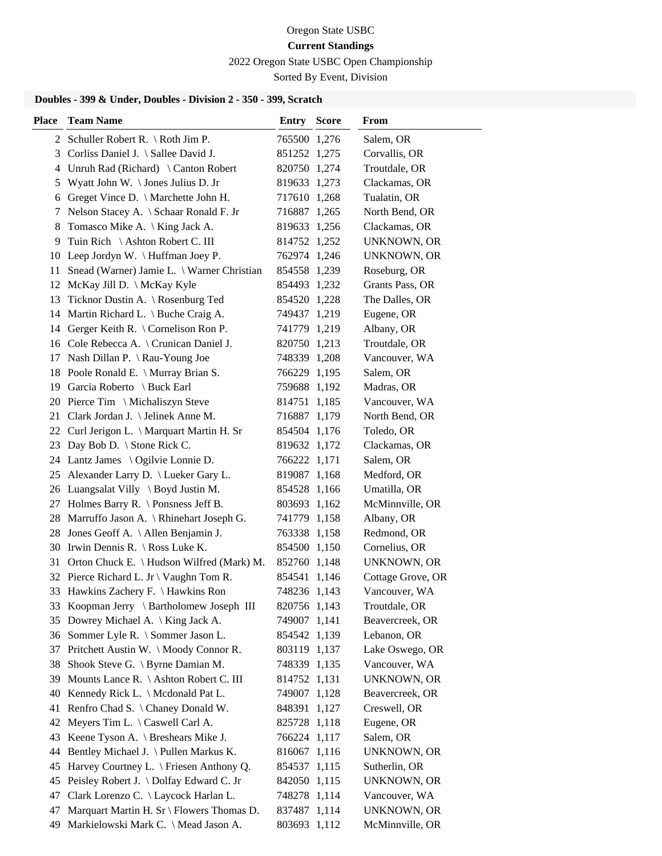2022 Oregon State USBC Open Championship

Sorted By Event, Division

| <b>Place</b> | <b>Team Name</b>                              | Entry        | <b>Score</b> | From               |
|--------------|-----------------------------------------------|--------------|--------------|--------------------|
|              | 2 Schuller Robert R. $\setminus$ Roth Jim P.  | 765500 1,276 |              | Salem, OR          |
| 3            | Corliss Daniel J. \ Sallee David J.           | 851252 1,275 |              | Corvallis, OR      |
| 4            | Unruh Rad (Richard) \ Canton Robert           | 820750 1,274 |              | Troutdale, OR      |
| 5            | Wyatt John W. \ Jones Julius D. Jr            | 819633 1,273 |              | Clackamas, OR      |
| 6            | Greget Vince D. \ Marchette John H.           | 717610 1,268 |              | Tualatin, OR       |
| 7            | Nelson Stacey A. \ Schaar Ronald F. Jr        | 716887 1,265 |              | North Bend, OR     |
| 8            | Tomasco Mike A. \ King Jack A.                | 819633 1,256 |              | Clackamas, OR      |
| 9            | Tuin Rich \ Ashton Robert C. III              | 814752 1,252 |              | <b>UNKNOWN, OR</b> |
| 10           | Leep Jordyn W. $\langle$ Huffman Joey P.      | 762974 1,246 |              | UNKNOWN, OR        |
| 11           | Snead (Warner) Jamie L. \ Warner Christian    | 854558 1,239 |              | Roseburg, OR       |
| 12           | McKay Jill D. \ McKay Kyle                    | 854493 1,232 |              | Grants Pass, OR    |
| 13           | Ticknor Dustin A. \ Rosenburg Ted             | 854520 1,228 |              | The Dalles, OR     |
|              | 14 Martin Richard L. \ Buche Craig A.         | 749437 1,219 |              | Eugene, OR         |
|              | 14 Gerger Keith R. \ Cornelison Ron P.        | 741779 1,219 |              | Albany, OR         |
|              | 16 Cole Rebecca A. \ Crunican Daniel J.       | 820750 1,213 |              | Troutdale, OR      |
| 17           | Nash Dillan P. \ Rau-Young Joe                | 748339 1,208 |              | Vancouver, WA      |
|              | 18 Poole Ronald E. \ Murray Brian S.          | 766229 1,195 |              | Salem, OR          |
|              | 19 Garcia Roberto \ Buck Earl                 | 759688 1,192 |              | Madras, OR         |
|              | 20 Pierce Tim \ Michaliszyn Steve             | 814751 1,185 |              | Vancouver, WA      |
|              | 21 Clark Jordan J. \ Jelinek Anne M.          | 716887 1,179 |              | North Bend, OR     |
|              | 22 Curl Jerigon L. \ Marquart Martin H. Sr    | 854504 1,176 |              | Toledo, OR         |
| 23           | Day Bob D. \ Stone Rick C.                    | 819632 1,172 |              | Clackamas, OR      |
|              | 24 Lantz James \ Ogilvie Lonnie D.            | 766222 1,171 |              | Salem, OR          |
| 25           | Alexander Larry D. \ Lueker Gary L.           | 819087 1,168 |              | Medford, OR        |
|              | 26 Luangsalat Villy \ Boyd Justin M.          | 854528 1,166 |              | Umatilla, OR       |
| 27           | Holmes Barry R. $\backslash$ Ponsness Jeff B. | 803693 1,162 |              | McMinnville, OR    |
| 28           | Marruffo Jason A. \ Rhinehart Joseph G.       | 741779 1,158 |              | Albany, OR         |
| 28           | Jones Geoff A. \ Allen Benjamin J.            | 763338 1,158 |              | Redmond, OR        |
|              | 30 Irwin Dennis R. \ Ross Luke K.             | 854500 1,150 |              | Cornelius, OR      |
|              | 31 Orton Chuck E. \ Hudson Wilfred (Mark) M.  | 852760 1,148 |              | UNKNOWN, OR        |
|              | 32 Pierce Richard L. Jr \ Vaughn Tom R.       | 854541 1,146 |              | Cottage Grove, OR  |
|              | 33 Hawkins Zachery F. \ Hawkins Ron           | 748236 1,143 |              | Vancouver, WA      |
|              | 33 Koopman Jerry \ Bartholomew Joseph III     | 820756 1,143 |              | Troutdale, OR      |
|              | 35 Dowrey Michael A. \ King Jack A.           | 749007 1,141 |              | Beavercreek, OR    |
|              | 36 Sommer Lyle R. \ Sommer Jason L.           | 854542 1,139 |              | Lebanon, OR        |
| 37           | Pritchett Austin W. \ Moody Connor R.         | 803119 1,137 |              | Lake Oswego, OR    |
| 38           | Shook Steve G. \ Byrne Damian M.              | 748339 1,135 |              | Vancouver, WA      |
| 39           | Mounts Lance R. \ Ashton Robert C. III        | 814752 1,131 |              | UNKNOWN, OR        |
| 40           | Kennedy Rick L. \ Mcdonald Pat L.             | 749007 1,128 |              | Beavercreek, OR    |
| 41           | Renfro Chad S. \ Chaney Donald W.             | 848391 1,127 |              | Creswell, OR       |
| 42           | Meyers Tim L. \ Caswell Carl A.               | 825728 1,118 |              | Eugene, OR         |
| 43           | Keene Tyson A. $\backslash$ Breshears Mike J. | 766224 1,117 |              | Salem, OR          |
| 44           | Bentley Michael J. \ Pullen Markus K.         | 816067 1,116 |              | <b>UNKNOWN, OR</b> |
| 45           | Harvey Courtney L. \ Friesen Anthony Q.       | 854537 1,115 |              | Sutherlin, OR      |
| 45           | Peisley Robert J. \ Dolfay Edward C. Jr       | 842050 1,115 |              | UNKNOWN, OR        |
| 47           | Clark Lorenzo C. \ Laycock Harlan L.          | 748278 1,114 |              | Vancouver, WA      |
| 47           | Marquart Martin H. Sr \ Flowers Thomas D.     | 837487 1,114 |              | <b>UNKNOWN, OR</b> |
| 49           | Markielowski Mark C. \ Mead Jason A.          | 803693 1,112 |              | McMinnville, OR    |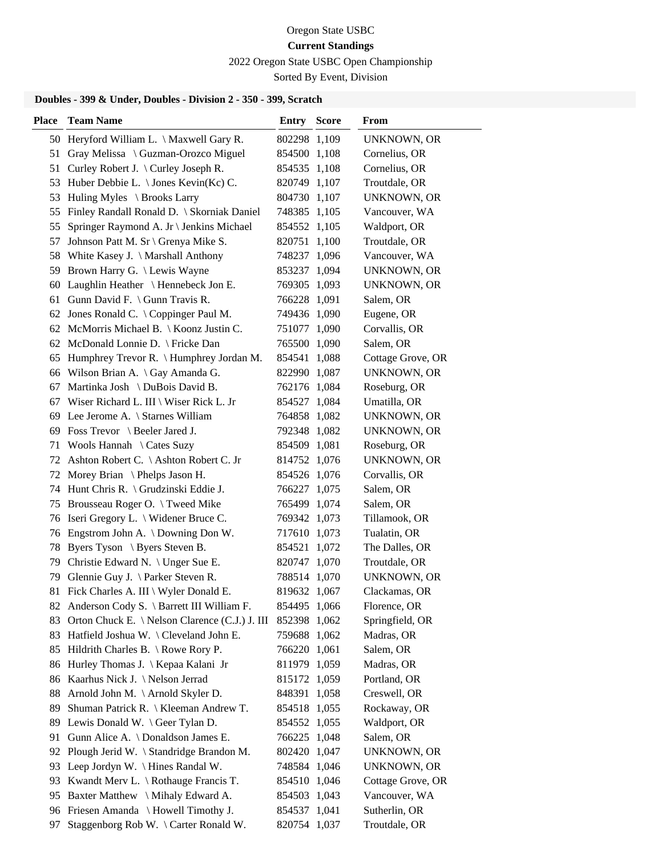2022 Oregon State USBC Open Championship

Sorted By Event, Division

| <b>Place</b> | <b>Team Name</b>                               | <b>Entry Score</b> | From               |
|--------------|------------------------------------------------|--------------------|--------------------|
|              | 50 Heryford William L. \ Maxwell Gary R.       | 802298 1,109       | UNKNOWN, OR        |
| 51           | Gray Melissa \ Guzman-Orozco Miguel            | 854500 1,108       | Cornelius, OR      |
| 51           | Curley Robert J. \ Curley Joseph R.            | 854535 1,108       | Cornelius, OR      |
| 53           | Huber Debbie L. $\setminus$ Jones Kevin(Kc) C. | 820749 1,107       | Troutdale, OR      |
| 53           | Huling Myles \ Brooks Larry                    | 804730 1,107       | UNKNOWN, OR        |
| 55           | Finley Randall Ronald D. \ Skorniak Daniel     | 748385 1,105       | Vancouver, WA      |
| 55           | Springer Raymond A. Jr \ Jenkins Michael       | 854552 1,105       | Waldport, OR       |
| 57           | Johnson Patt M. Sr \ Grenya Mike S.            | 820751 1,100       | Troutdale, OR      |
|              | 58 White Kasey J. \ Marshall Anthony           | 748237 1,096       | Vancouver, WA      |
| 59.          | Brown Harry G. \ Lewis Wayne                   | 853237 1,094       | <b>UNKNOWN, OR</b> |
| 60           | Laughlin Heather \ Hennebeck Jon E.            | 769305 1,093       | UNKNOWN, OR        |
| 61           | Gunn David F. $\langle$ Gunn Travis R.         | 766228 1,091       | Salem, OR          |
|              | 62 Jones Ronald C. \ Coppinger Paul M.         | 749436 1,090       | Eugene, OR         |
|              | 62 McMorris Michael B. \ Koonz Justin C.       | 751077 1,090       | Corvallis, OR      |
|              | 62 McDonald Lonnie D. \ Fricke Dan             | 765500 1,090       | Salem, OR          |
| 65           | Humphrey Trevor R. \ Humphrey Jordan M.        | 854541 1,088       | Cottage Grove, OR  |
|              | 66 Wilson Brian A. \Gay Amanda G.              | 822990 1,087       | <b>UNKNOWN, OR</b> |
| 67           | Martinka Josh \ DuBois David B.                | 762176 1,084       | Roseburg, OR       |
|              | 67 Wiser Richard L. III \ Wiser Rick L. Jr     | 854527 1,084       | Umatilla, OR       |
|              | 69 Lee Jerome A. \ Starnes William             | 764858 1,082       | UNKNOWN, OR        |
|              | 69 Foss Trevor \ Beeler Jared J.               | 792348 1,082       | UNKNOWN, OR        |
|              | 71 Wools Hannah \ Cates Suzy                   | 854509 1,081       | Roseburg, OR       |
| 72           | Ashton Robert C. \Ashton Robert C. Jr          | 814752 1,076       | <b>UNKNOWN, OR</b> |
|              | 72 Morey Brian \Phelps Jason H.                | 854526 1,076       | Corvallis, OR      |
| 74           | Hunt Chris R. \ Grudzinski Eddie J.            | 766227 1,075       | Salem, OR          |
| 75           | Brousseau Roger O. \Tweed Mike                 | 765499 1,074       | Salem, OR          |
|              | 76 Iseri Gregory L. \ Widener Bruce C.         | 769342 1,073       | Tillamook, OR      |
|              | 76 Engstrom John A. \ Downing Don W.           | 717610 1,073       | Tualatin, OR       |
| 78           | Byers Tyson \ Byers Steven B.                  | 854521 1,072       | The Dalles, OR     |
| 79           | Christie Edward N. \ Unger Sue E.              | 820747 1,070       | Troutdale, OR      |
| 79           | Glennie Guy J. \ Parker Steven R.              | 788514 1,070       | UNKNOWN, OR        |
|              | 81 Fick Charles A. III \ Wyler Donald E.       | 819632 1,067       | Clackamas, OR      |
|              | 82 Anderson Cody S. \ Barrett III William F.   | 854495 1,066       | Florence, OR       |
| 83           | Orton Chuck E. \ Nelson Clarence (C.J.) J. III | 852398 1,062       | Springfield, OR    |
| 83           | Hatfield Joshua W. \ Cleveland John E.         | 759688 1,062       | Madras, OR         |
| 85           | Hildrith Charles B. \ Rowe Rory P.             | 766220 1,061       | Salem, OR          |
|              | 86 Hurley Thomas J. \ Kepaa Kalani Jr          | 811979 1,059       | Madras, OR         |
|              | 86 Kaarhus Nick J. \Nelson Jerrad              | 815172 1,059       | Portland, OR       |
| 88           | Arnold John M. \ Arnold Skyler D.              | 848391 1,058       | Creswell, OR       |
| 89           | Shuman Patrick R. \ Kleeman Andrew T.          | 854518 1,055       | Rockaway, OR       |
|              | 89 Lewis Donald W. \ Geer Tylan D.             | 854552 1,055       | Waldport, OR       |
| 91           | Gunn Alice A. \ Donaldson James E.             | 766225 1,048       | Salem, OR          |
| 92           | Plough Jerid W. \ Standridge Brandon M.        | 802420 1,047       | UNKNOWN, OR        |
| 93           | Leep Jordyn W. \ Hines Randal W.               | 748584 1,046       | UNKNOWN, OR        |
|              | 93 Kwandt Merv L. \ Rothauge Francis T.        | 854510 1,046       | Cottage Grove, OR  |
|              | 95 Baxter Matthew \ Mihaly Edward A.           | 854503 1,043       | Vancouver, WA      |
|              | 96 Friesen Amanda \ Howell Timothy J.          | 854537 1,041       | Sutherlin, OR      |
| 97           | Staggenborg Rob W. \ Carter Ronald W.          | 820754 1,037       | Troutdale, OR      |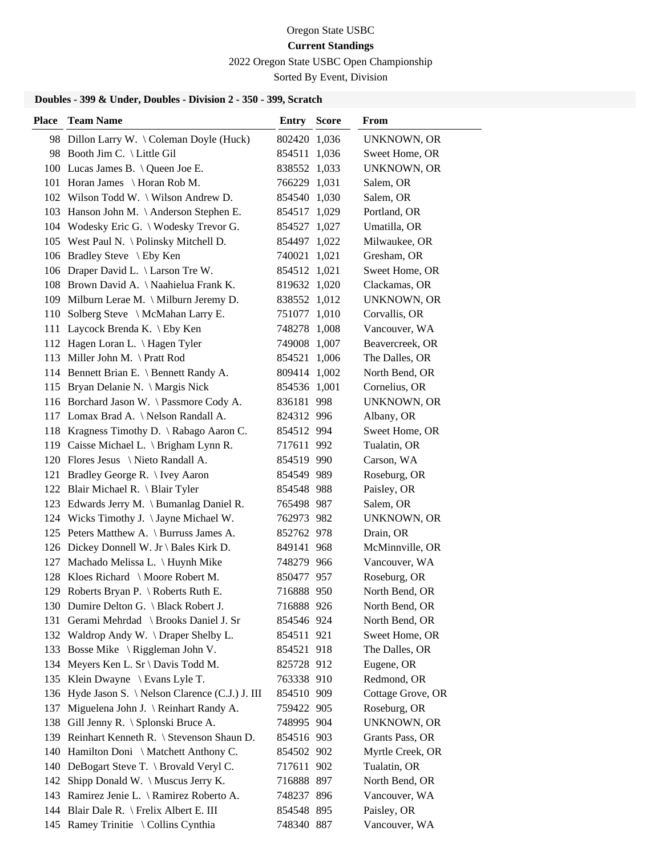2022 Oregon State USBC Open Championship

Sorted By Event, Division

| <b>Place</b> | <b>Team Name</b>                                  | <b>Entry Score</b> | From               |
|--------------|---------------------------------------------------|--------------------|--------------------|
|              | 98 Dillon Larry W. \ Coleman Doyle (Huck)         | 802420 1,036       | UNKNOWN, OR        |
|              | 98 Booth Jim C. \ Little Gil                      | 854511 1,036       | Sweet Home, OR     |
|              | 100 Lucas James B. \ Queen Joe E.                 | 838552 1,033       | <b>UNKNOWN, OR</b> |
|              | 101 Horan James \ Horan Rob M.                    | 766229 1,031       | Salem, OR          |
|              | 102 Wilson Todd W. \ Wilson Andrew D.             | 854540 1,030       | Salem, OR          |
|              | 103 Hanson John M. \Anderson Stephen E.           | 854517 1,029       | Portland, OR       |
|              | 104 Wodesky Eric G. \ Wodesky Trevor G.           | 854527 1,027       | Umatilla, OR       |
|              | 105 West Paul N. \ Polinsky Mitchell D.           | 854497 1,022       | Milwaukee, OR      |
|              | 106 Bradley Steve \ Eby Ken                       | 740021 1,021       | Gresham, OR        |
|              | 106 Draper David L. \ Larson Tre W.               | 854512 1,021       | Sweet Home, OR     |
|              | 108 Brown David A. \ Naahielua Frank K.           | 819632 1,020       | Clackamas, OR      |
|              | 109 Milburn Lerae M. \ Milburn Jeremy D.          | 838552 1,012       | <b>UNKNOWN, OR</b> |
|              | 110 Solberg Steve \ McMahan Larry E.              | 751077 1,010       | Corvallis, OR      |
|              | 111 Laycock Brenda K. \ Eby Ken                   | 748278 1,008       | Vancouver, WA      |
|              | 112 Hagen Loran L. \ Hagen Tyler                  | 749008 1,007       | Beavercreek, OR    |
|              | 113 Miller John M. \Pratt Rod                     | 854521 1,006       | The Dalles, OR     |
|              | 114 Bennett Brian E. \ Bennett Randy A.           | 809414 1,002       | North Bend, OR     |
|              | 115 Bryan Delanie N. \ Margis Nick                | 854536 1,001       | Cornelius, OR      |
|              | 116 Borchard Jason W. \ Passmore Cody A.          | 836181 998         | <b>UNKNOWN, OR</b> |
|              | 117 Lomax Brad A. \ Nelson Randall A.             | 824312 996         | Albany, OR         |
|              | 118 Kragness Timothy D. \ Rabago Aaron C.         | 854512 994         | Sweet Home, OR     |
|              | 119 Caisse Michael L. \ Brigham Lynn R.           | 717611 992         | Tualatin, OR       |
|              | 120 Flores Jesus \ Nieto Randall A.               | 854519 990         | Carson, WA         |
|              | 121 Bradley George R. \ Ivey Aaron                | 854549 989         | Roseburg, OR       |
|              | 122 Blair Michael R. \ Blair Tyler                | 854548 988         | Paisley, OR        |
|              | 123 Edwards Jerry M. \ Bumanlag Daniel R.         | 765498 987         | Salem, OR          |
|              | 124 Wicks Timothy J. \Jayne Michael W.            | 762973 982         | <b>UNKNOWN, OR</b> |
|              | 125 Peters Matthew A. \ Burruss James A.          | 852762 978         | Drain, OR          |
|              | 126 Dickey Donnell W. Jr \ Bales Kirk D.          | 849141 968         | McMinnville, OR    |
|              | 127 Machado Melissa L. \ Huynh Mike               | 748279 966         | Vancouver, WA      |
|              | 128 Kloes Richard \ Moore Robert M.               | 850477 957         | Roseburg, OR       |
|              | 129 Roberts Bryan P. \ Roberts Ruth E.            | 716888 950         | North Bend, OR     |
|              | 130 Dumire Delton G. \ Black Robert J.            | 716888 926         | North Bend, OR     |
|              | 131 Gerami Mehrdad \ Brooks Daniel J. Sr          | 854546 924         | North Bend, OR     |
|              | 132 Waldrop Andy W. \Draper Shelby L.             | 854511 921         | Sweet Home, OR     |
|              | 133 Bosse Mike \ Riggleman John V.                | 854521 918         | The Dalles, OR     |
|              | 134 Meyers Ken L. Sr \ Davis Todd M.              | 825728 912         | Eugene, OR         |
|              | 135 Klein Dwayne \ Evans Lyle T.                  | 763338 910         | Redmond, OR        |
|              | 136 Hyde Jason S. \ Nelson Clarence (C.J.) J. III | 854510 909         | Cottage Grove, OR  |
|              | 137 Miguelena John J. \ Reinhart Randy A.         | 759422 905         | Roseburg, OR       |
|              | 138 Gill Jenny R. \ Splonski Bruce A.             | 748995 904         | <b>UNKNOWN, OR</b> |
|              | 139 Reinhart Kenneth R. \ Stevenson Shaun D.      | 854516 903         | Grants Pass, OR    |
| 140          | Hamilton Doni \ Matchett Anthony C.               | 854502 902         | Myrtle Creek, OR   |
|              | 140 DeBogart Steve T. \ Brovald Veryl C.          | 717611 902         | Tualatin, OR       |
| 142          | Shipp Donald W. \ Muscus Jerry K.                 | 716888 897         | North Bend, OR     |
|              | 143 Ramirez Jenie L. \ Ramirez Roberto A.         | 748237 896         | Vancouver, WA      |
|              | 144 Blair Dale R. \ Frelix Albert E. III          | 854548 895         | Paisley, OR        |
|              | 145 Ramey Trinitie \ Collins Cynthia              | 748340 887         | Vancouver, WA      |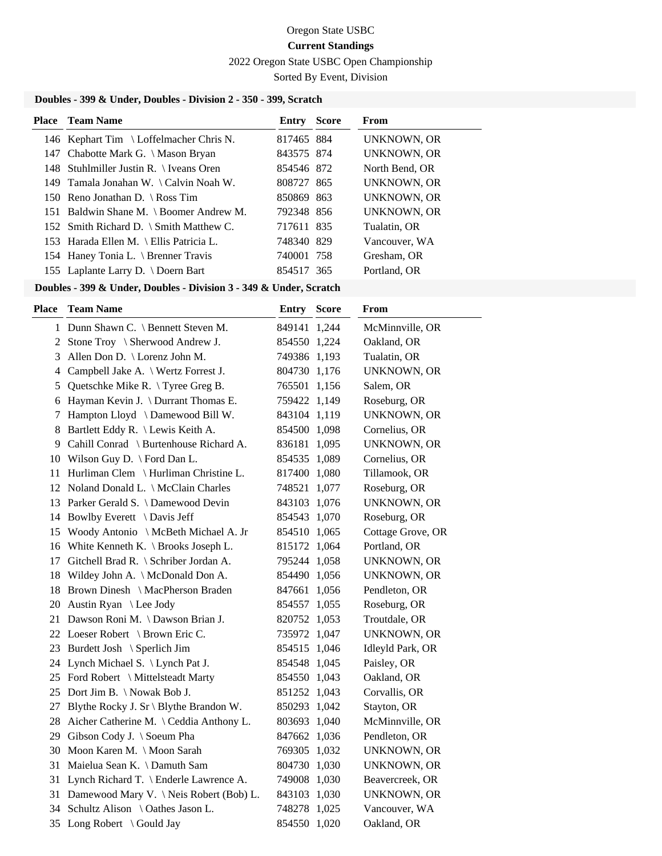2022 Oregon State USBC Open Championship

Sorted By Event, Division

#### **Doubles - 399 & Under, Doubles - Division 2 - 350 - 399, Scratch**

| <b>Place</b> Team Name                  | <b>Entry Score</b> | From               |
|-----------------------------------------|--------------------|--------------------|
| 146 Kephart Tim \ Loffelmacher Chris N. | 817465 884         | UNKNOWN, OR        |
| 147 Chabotte Mark G. \ Mason Bryan      | 843575 874         | <b>UNKNOWN, OR</b> |
| 148 Stuhlmiller Justin R. \ Iveans Oren | 854546 872         | North Bend, OR     |
| 149 Tamala Jonahan W. \ Calvin Noah W.  | 808727 865         | <b>UNKNOWN, OR</b> |
| 150 Reno Jonathan D. \ Ross Tim         | 850869 863         | <b>UNKNOWN, OR</b> |
| 151 Baldwin Shane M. \ Boomer Andrew M. | 792348 856         | <b>UNKNOWN, OR</b> |
| 152 Smith Richard D. \ Smith Matthew C. | 717611 835         | Tualatin, OR       |
| 153 Harada Ellen M. \ Ellis Patricia L. | 748340 829         | Vancouver, WA      |
| 154 Haney Tonia L. \ Brenner Travis     | 740001 758         | Gresham, OR        |
| 155 Laplante Larry D. \ Doern Bart      | 854517 365         | Portland, OR       |
|                                         |                    |                    |

#### **Doubles - 399 & Under, Doubles - Division 3 - 349 & Under, Scratch**

| Place | <b>Team Name</b>                           | <b>Entry Score</b> | From               |
|-------|--------------------------------------------|--------------------|--------------------|
|       | 1 Dunn Shawn C. \ Bennett Steven M.        | 849141 1,244       | McMinnville, OR    |
|       | 2 Stone Troy \ Sherwood Andrew J.          | 854550 1,224       | Oakland, OR        |
| 3     | Allen Don D. \ Lorenz John M.              | 749386 1,193       | Tualatin, OR       |
| 4     | Campbell Jake A. \ Wertz Forrest J.        | 804730 1,176       | <b>UNKNOWN, OR</b> |
| 5     | Quetschke Mike R. \Tyree Greg B.           | 765501 1,156       | Salem, OR          |
| 6     | Hayman Kevin J. \ Durrant Thomas E.        | 759422 1,149       | Roseburg, OR       |
| 7     | Hampton Lloyd \ Damewood Bill W.           | 843104 1,119       | UNKNOWN, OR        |
|       | 8 Bartlett Eddy R. \ Lewis Keith A.        | 854500 1,098       | Cornelius, OR      |
| 9     | Cahill Conrad \ Burtenhouse Richard A.     | 836181 1,095       | UNKNOWN, OR        |
|       | 10 Wilson Guy D. \ Ford Dan L.             | 854535 1,089       | Cornelius, OR      |
|       | 11 Hurliman Clem \ Hurliman Christine L.   | 817400 1,080       | Tillamook, OR      |
|       | 12 Noland Donald L. \ McClain Charles      | 748521 1,077       | Roseburg, OR       |
|       | 13 Parker Gerald S. \ Damewood Devin       | 843103 1,076       | <b>UNKNOWN, OR</b> |
|       | 14 Bowlby Everett \ Davis Jeff             | 854543 1,070       | Roseburg, OR       |
|       | 15 Woody Antonio \ McBeth Michael A. Jr    | 854510 1,065       | Cottage Grove, OR  |
|       | 16 White Kenneth K. \ Brooks Joseph L.     | 815172 1,064       | Portland, OR       |
|       | 17 Gitchell Brad R. \ Schriber Jordan A.   | 795244 1,058       | <b>UNKNOWN, OR</b> |
|       | 18 Wildey John A. \ McDonald Don A.        | 854490 1,056       | <b>UNKNOWN, OR</b> |
|       | 18 Brown Dinesh \ MacPherson Braden        | 847661 1,056       | Pendleton, OR      |
| 20    | Austin Ryan \ Lee Jody                     | 854557 1,055       | Roseburg, OR       |
|       | 21 Dawson Roni M. \Dawson Brian J.         | 820752 1,053       | Troutdale, OR      |
|       | 22 Loeser Robert \ Brown Eric C.           | 735972 1,047       | <b>UNKNOWN, OR</b> |
|       | 23 Burdett Josh \ Sperlich Jim             | 854515 1,046       | Idleyld Park, OR   |
|       | 24 Lynch Michael S. \ Lynch Pat J.         | 854548 1,045       | Paisley, OR        |
|       | 25 Ford Robert \ Mittelsteadt Marty        | 854550 1,043       | Oakland, OR        |
|       | 25 Dort Jim B. \Nowak Bob J.               | 851252 1,043       | Corvallis, OR      |
|       | 27 Blythe Rocky J. Sr \ Blythe Brandon W.  | 850293 1,042       | Stayton, OR        |
|       | 28 Aicher Catherine M. \ Ceddia Anthony L. | 803693 1,040       | McMinnville, OR    |
|       | 29 Gibson Cody J. \ Soeum Pha              | 847662 1,036       | Pendleton, OR      |
|       | 30 Moon Karen M. \ Moon Sarah              | 769305 1,032       | <b>UNKNOWN, OR</b> |
|       | 31 Maielua Sean K. \ Damuth Sam            | 804730 1,030       | <b>UNKNOWN, OR</b> |
|       | 31 Lynch Richard T. \ Enderle Lawrence A.  | 749008 1,030       | Beavercreek, OR    |
|       | 31 Damewood Mary V. \Neis Robert (Bob) L.  | 843103 1,030       | UNKNOWN, OR        |
|       | 34 Schultz Alison \ Oathes Jason L.        | 748278 1,025       | Vancouver, WA      |
|       | 35 Long Robert \ Gould Jay                 | 854550 1,020       | Oakland, OR        |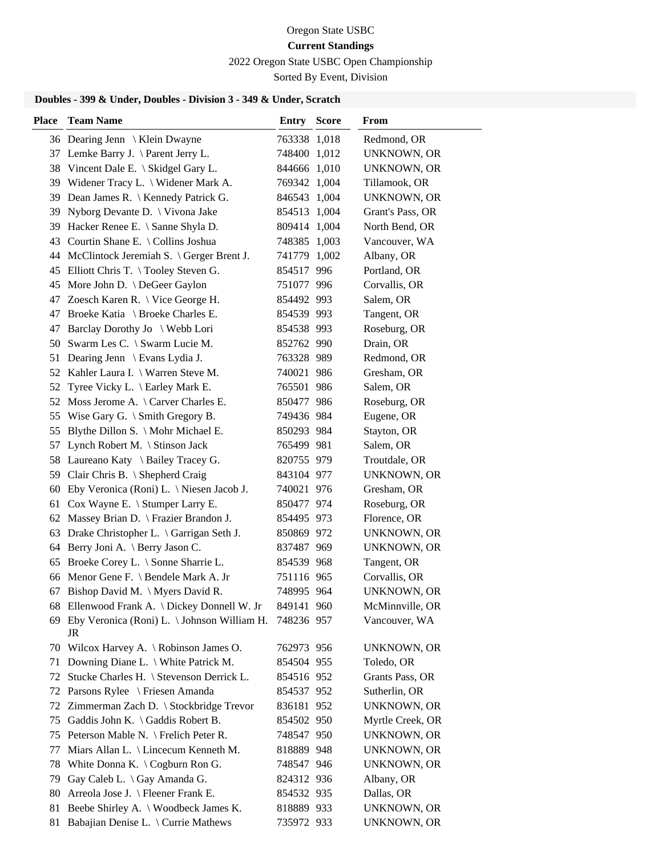2022 Oregon State USBC Open Championship

Sorted By Event, Division

# **Doubles - 399 & Under, Doubles - Division 3 - 349 & Under, Scratch**

| <b>Place</b> | <b>Team Name</b>                                    | <b>Entry Score</b> | From               |
|--------------|-----------------------------------------------------|--------------------|--------------------|
|              | 36 Dearing Jenn \ Klein Dwayne                      | 763338 1,018       | Redmond, OR        |
|              | 37 Lemke Barry J. \ Parent Jerry L.                 | 748400 1,012       | <b>UNKNOWN, OR</b> |
| 38           | Vincent Dale E. \ Skidgel Gary L.                   | 844666 1,010       | <b>UNKNOWN, OR</b> |
| 39           | Widener Tracy L. \ Widener Mark A.                  | 769342 1,004       | Tillamook, OR      |
|              | 39 Dean James R. \ Kennedy Patrick G.               | 846543 1,004       | <b>UNKNOWN, OR</b> |
| 39           | Nyborg Devante D.   Vivona Jake                     | 854513 1,004       | Grant's Pass, OR   |
| 39           | Hacker Renee E. \ Sanne Shyla D.                    | 809414 1,004       | North Bend, OR     |
| 43           | Courtin Shane E. \ Collins Joshua                   | 748385 1,003       | Vancouver, WA      |
| 44           | McClintock Jeremiah S. $\big\}$ Gerger Brent J.     | 741779 1,002       | Albany, OR         |
| 45           | Elliott Chris T. \Tooley Steven G.                  | 854517 996         | Portland, OR       |
| 45           | More John D. \ DeGeer Gaylon                        | 751077 996         | Corvallis, OR      |
|              | 47 Zoesch Karen R. \ Vice George H.                 | 854492 993         | Salem, OR          |
| 47           | Broeke Katia \ Broeke Charles E.                    | 854539 993         | Tangent, OR        |
| 47           | Barclay Dorothy Jo \ Webb Lori                      | 854538 993         | Roseburg, OR       |
|              | 50 Swarm Les C. \ Swarm Lucie M.                    | 852762 990         | Drain, OR          |
| 51           | Dearing Jenn \ Evans Lydia J.                       | 763328 989         | Redmond, OR        |
|              | 52 Kahler Laura I. \ Warren Steve M.                | 740021 986         | Gresham, OR        |
| 52           | Tyree Vicky L. \ Earley Mark E.                     | 765501 986         | Salem, OR          |
| 52           | Moss Jerome A. $\setminus$ Carver Charles E.        | 850477 986         | Roseburg, OR       |
| 55           | Wise Gary G. $\setminus$ Smith Gregory B.           | 749436 984         | Eugene, OR         |
| 55           | Blythe Dillon S. $\backslash$ Mohr Michael E.       | 850293 984         | Stayton, OR        |
| 57           | Lynch Robert M. \ Stinson Jack                      | 765499 981         | Salem, OR          |
| 58           | Laureano Katy \ Bailey Tracey G.                    | 820755 979         | Troutdale, OR      |
| 59           | Clair Chris B. \ Shepherd Craig                     | 843104 977         | <b>UNKNOWN, OR</b> |
| 60           | Eby Veronica (Roni) L. \ Niesen Jacob J.            | 740021 976         | Gresham, OR        |
| 61           | Cox Wayne E. \ Stumper Larry E.                     | 850477 974         | Roseburg, OR       |
| 62           | Massey Brian D. \ Frazier Brandon J.                | 854495 973         | Florence, OR       |
| 63           | Drake Christopher L. \ Garrigan Seth J.             | 850869 972         | UNKNOWN, OR        |
| 64           | Berry Joni A. \ Berry Jason C.                      | 837487 969         | UNKNOWN, OR        |
| 65           | Broeke Corey L. \ Sonne Sharrie L.                  | 854539 968         | Tangent, OR        |
|              | 66 Menor Gene F. \ Bendele Mark A. Jr               | 751116 965         | Corvallis, OR      |
|              | 67 Bishop David M. \ Myers David R.                 | 748995 964         | UNKNOWN, OR        |
|              | 68 Ellenwood Frank A. \ Dickey Donnell W. Jr        | 849141 960         | McMinnville, OR    |
|              | 69 Eby Veronica (Roni) L. \Johnson William H.<br>JR | 748236 957         | Vancouver, WA      |
|              | 70 Wilcox Harvey A. \ Robinson James O.             | 762973 956         | <b>UNKNOWN, OR</b> |
| 71           | Downing Diane L. \ White Patrick M.                 | 854504 955         | Toledo, OR         |
| 72           | Stucke Charles H. \ Stevenson Derrick L.            | 854516 952         | Grants Pass, OR    |
| 72           | Parsons Rylee \ Friesen Amanda                      | 854537 952         | Sutherlin, OR      |
| 72           | Zimmerman Zach D. \ Stockbridge Trevor              | 836181 952         | <b>UNKNOWN, OR</b> |
|              | 75 Gaddis John K. \ Gaddis Robert B.                | 854502 950         | Myrtle Creek, OR   |
|              | 75 Peterson Mable N. \ Frelich Peter R.             | 748547 950         | <b>UNKNOWN, OR</b> |
| 77           | Miars Allan L. \ Lincecum Kenneth M.                | 818889 948         | <b>UNKNOWN, OR</b> |
| 78           | White Donna K. $\bigsetminus$ Cogburn Ron G.        | 748547 946         | <b>UNKNOWN, OR</b> |
| 79           | Gay Caleb L. \ Gay Amanda G.                        | 824312 936         | Albany, OR         |
| 80           | Arreola Jose J. \ Fleener Frank E.                  | 854532 935         | Dallas, OR         |
| 81           | Beebe Shirley A. \ Woodbeck James K.                | 818889 933         | UNKNOWN, OR        |
|              | 81 Babajian Denise L. \ Currie Mathews              | 735972 933         | UNKNOWN, OR        |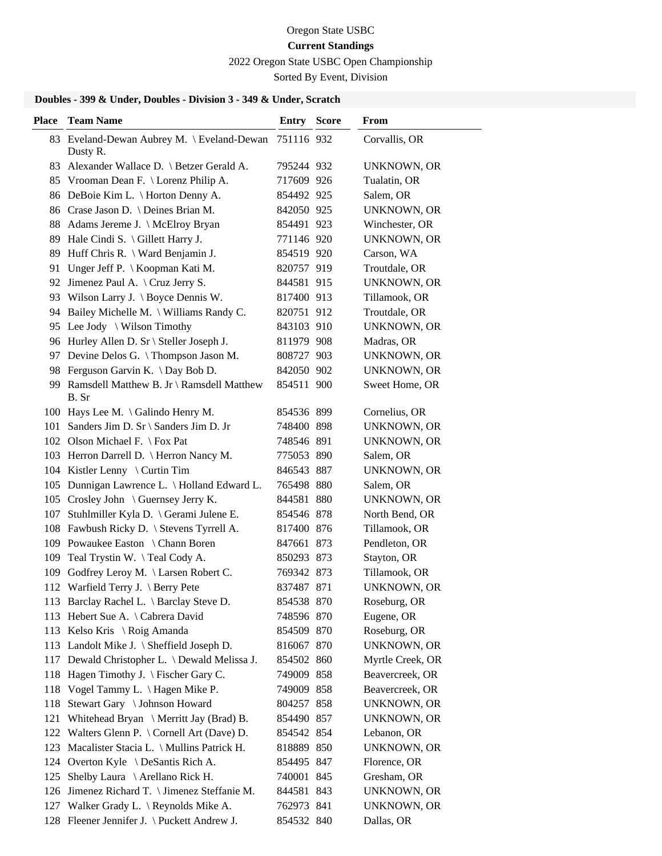2022 Oregon State USBC Open Championship

Sorted By Event, Division

# **Doubles - 399 & Under, Doubles - Division 3 - 349 & Under, Scratch**

| <b>Place</b> | <b>Team Name</b>                                       | Entry      | <b>Score</b> | From               |
|--------------|--------------------------------------------------------|------------|--------------|--------------------|
|              | 83 Eveland-Dewan Aubrey M. \ Eveland-Dewan<br>Dusty R. | 751116 932 |              | Corvallis, OR      |
|              | 83 Alexander Wallace D. \ Betzer Gerald A.             | 795244 932 |              | <b>UNKNOWN, OR</b> |
|              | 85 Vrooman Dean F. \ Lorenz Philip A.                  | 717609 926 |              | Tualatin, OR       |
|              | 86 DeBoie Kim L. \ Horton Denny A.                     | 854492 925 |              | Salem, OR          |
|              | 86 Crase Jason D. \ Deines Brian M.                    | 842050 925 |              | <b>UNKNOWN, OR</b> |
|              | 88 Adams Jereme J. \ McElroy Bryan                     | 854491 923 |              | Winchester, OR     |
|              | 89 Hale Cindi S. \ Gillett Harry J.                    | 771146 920 |              | <b>UNKNOWN, OR</b> |
| 89           | Huff Chris R. \ Ward Benjamin J.                       | 854519 920 |              | Carson, WA         |
| 91           | Unger Jeff P. \ Koopman Kati M.                        | 820757 919 |              | Troutdale, OR      |
|              | 92 Jimenez Paul A. \ Cruz Jerry S.                     | 844581 915 |              | <b>UNKNOWN, OR</b> |
|              | 93 Wilson Larry J. \ Boyce Dennis W.                   | 817400 913 |              | Tillamook, OR      |
|              | 94 Bailey Michelle M. \ Williams Randy C.              | 820751 912 |              | Troutdale, OR      |
|              | 95 Lee Jody \ Wilson Timothy                           | 843103 910 |              | <b>UNKNOWN, OR</b> |
|              | 96 Hurley Allen D. Sr \ Steller Joseph J.              | 811979 908 |              | Madras, OR         |
|              | 97 Devine Delos G. \Thompson Jason M.                  | 808727 903 |              | UNKNOWN, OR        |
|              | 98 Ferguson Garvin K. \Day Bob D.                      | 842050 902 |              | <b>UNKNOWN, OR</b> |
|              | 99 Ramsdell Matthew B. Jr \ Ramsdell Matthew<br>B. Sr  | 854511 900 |              | Sweet Home, OR     |
|              | 100 Hays Lee M. \ Galindo Henry M.                     | 854536 899 |              | Cornelius, OR      |
|              | 101 Sanders Jim D. Sr \ Sanders Jim D. Jr              | 748400 898 |              | <b>UNKNOWN, OR</b> |
|              | 102 Olson Michael F. \ Fox Pat                         | 748546 891 |              | <b>UNKNOWN, OR</b> |
|              | 103 Herron Darrell D.   Herron Nancy M.                | 775053 890 |              | Salem, OR          |
|              | 104 Kistler Lenny \ Curtin Tim                         | 846543 887 |              | <b>UNKNOWN, OR</b> |
|              | 105 Dunnigan Lawrence L. \ Holland Edward L.           | 765498 880 |              | Salem, OR          |
|              | 105 Crosley John \ Guernsey Jerry K.                   | 844581 880 |              | <b>UNKNOWN, OR</b> |
| 107          | Stuhlmiller Kyla D. \ Gerami Julene E.                 | 854546 878 |              | North Bend, OR     |
|              | 108 Fawbush Ricky D. \ Stevens Tyrrell A.              | 817400 876 |              | Tillamook, OR      |
|              | 109 Powaukee Easton \ Chann Boren                      | 847661 873 |              | Pendleton, OR      |
|              | 109 Teal Trystin W. \Teal Cody A.                      | 850293 873 |              | Stayton, OR        |
| 109          | Godfrey Leroy M. \ Larsen Robert C.                    | 769342 873 |              | Tillamook, OR      |
|              | 112 Warfield Terry J. \ Berry Pete                     | 837487 871 |              | <b>UNKNOWN, OR</b> |
|              | 113 Barclay Rachel L. \ Barclay Steve D.               | 854538 870 |              | Roseburg, OR       |
|              | 113 Hebert Sue A. \ Cabrera David                      | 748596 870 |              | Eugene, OR         |
|              | 113 Kelso Kris \ Roig Amanda                           | 854509 870 |              | Roseburg, OR       |
|              | 113 Landolt Mike J. \ Sheffield Joseph D.              | 816067 870 |              | <b>UNKNOWN, OR</b> |
|              | 117 Dewald Christopher L. \ Dewald Melissa J.          | 854502 860 |              | Myrtle Creek, OR   |
|              | 118 Hagen Timothy J. \ Fischer Gary C.                 | 749009 858 |              | Beavercreek, OR    |
| 118          | Vogel Tammy L. \ Hagen Mike P.                         | 749009 858 |              | Beavercreek, OR    |
| 118          | Stewart Gary \ Johnson Howard                          | 804257 858 |              | <b>UNKNOWN, OR</b> |
| 121          | Whitehead Bryan \ Merritt Jay (Brad) B.                | 854490 857 |              | <b>UNKNOWN, OR</b> |
|              | 122 Walters Glenn P. \ Cornell Art (Dave) D.           | 854542 854 |              | Lebanon, OR        |
|              | 123 Macalister Stacia L. \ Mullins Patrick H.          | 818889 850 |              | <b>UNKNOWN, OR</b> |
|              | 124 Overton Kyle \ DeSantis Rich A.                    | 854495 847 |              | Florence, OR       |
| 125          | Shelby Laura \ Arellano Rick H.                        | 740001 845 |              | Gresham, OR        |
|              | 126 Jimenez Richard T. \ Jimenez Steffanie M.          | 844581 843 |              | <b>UNKNOWN, OR</b> |
|              | 127 Walker Grady L. \ Reynolds Mike A.                 | 762973 841 |              | <b>UNKNOWN, OR</b> |
|              | 128 Fleener Jennifer J. \ Puckett Andrew J.            | 854532 840 |              | Dallas, OR         |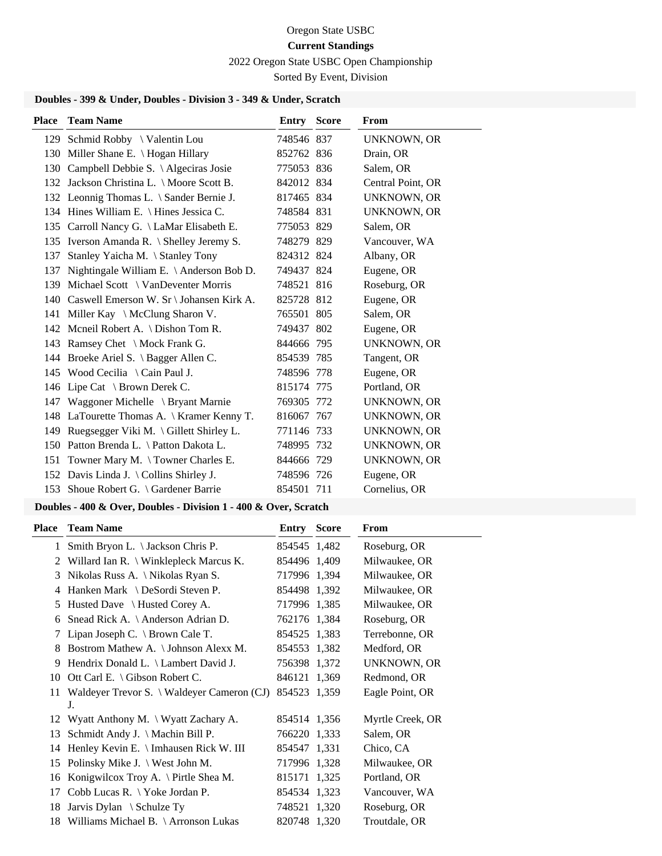2022 Oregon State USBC Open Championship

Sorted By Event, Division

# **Doubles - 399 & Under, Doubles - Division 3 - 349 & Under, Scratch**

| Place | <b>Team Name</b>                                | <b>Entry Score</b> | From               |
|-------|-------------------------------------------------|--------------------|--------------------|
|       | 129 Schmid Robby \ Valentin Lou                 | 748546 837         | UNKNOWN, OR        |
|       | 130 Miller Shane E. \ Hogan Hillary             | 852762 836         | Drain, OR          |
|       | 130 Campbell Debbie S. \ Algeciras Josie        | 775053 836         | Salem, OR          |
|       | 132 Jackson Christina L. \ Moore Scott B.       | 842012 834         | Central Point, OR  |
|       | 132 Leonnig Thomas L. \ Sander Bernie J.        | 817465 834         | UNKNOWN, OR        |
|       | 134 Hines William E. \ Hines Jessica C.         | 748584 831         | <b>UNKNOWN, OR</b> |
|       | 135 Carroll Nancy G. \ LaMar Elisabeth E.       | 775053 829         | Salem, OR          |
|       | 135 Iverson Amanda R. \ Shelley Jeremy S.       | 748279 829         | Vancouver, WA      |
| 137   | Stanley Yaicha M. \ Stanley Tony                | 824312 824         | Albany, OR         |
| 137   | Nightingale William E. \ Anderson Bob D.        | 749437 824         | Eugene, OR         |
| 139   | Michael Scott \ VanDeventer Morris              | 748521 816         | Roseburg, OR       |
| 140   | Caswell Emerson W. Sr \ Johansen Kirk A.        | 825728 812         | Eugene, OR         |
|       | 141 Miller Kay \ McClung Sharon V.              | 765501 805         | Salem, OR          |
|       | 142 Mcneil Robert A. \ Dishon Tom R.            | 749437 802         | Eugene, OR         |
|       | 143 Ramsey Chet \ Mock Frank G.                 | 844666 795         | <b>UNKNOWN, OR</b> |
|       | 144 Broeke Ariel S. \ Bagger Allen C.           | 854539 785         | Tangent, OR        |
|       | 145 Wood Cecilia \ Cain Paul J.                 | 748596 778         | Eugene, OR         |
|       | 146 Lipe Cat \ Brown Derek C.                   | 815174 775         | Portland, OR       |
| 147   | Waggoner Michelle \ Bryant Marnie               | 769305 772         | <b>UNKNOWN, OR</b> |
|       | 148 LaTourette Thomas A. \ Kramer Kenny T.      | 816067 767         | UNKNOWN, OR        |
| 149   | Ruegsegger Viki M. $\langle$ Gillett Shirley L. | 771146 733         | <b>UNKNOWN, OR</b> |
| 150   | Patton Brenda L. \ Patton Dakota L.             | 748995 732         | <b>UNKNOWN, OR</b> |
| 151   | Towner Mary M. $\backslash$ Towner Charles E.   | 844666 729         | UNKNOWN, OR        |
|       | 152 Davis Linda J. \ Collins Shirley J.         | 748596 726         | Eugene, OR         |
|       | 153 Shoue Robert G. \ Gardener Barrie           | 854501 711         | Cornelius, OR      |

#### **Doubles - 400 & Over, Doubles - Division 1 - 400 & Over, Scratch**

| Place | <b>Team Name</b>                                 | <b>Entry Score</b> | From               |
|-------|--------------------------------------------------|--------------------|--------------------|
|       | 1 Smith Bryon L. \ Jackson Chris P.              | 854545 1,482       | Roseburg, OR       |
| 2     | Willard Ian R. \ Winklepleck Marcus K.           | 854496 1,409       | Milwaukee, OR      |
| 3     | Nikolas Russ A. \ Nikolas Ryan S.                | 717996 1,394       | Milwaukee, OR      |
| 4     | Hanken Mark \ DeSordi Steven P.                  | 854498 1,392       | Milwaukee, OR      |
| 5     | Husted Dave \ Husted Corey A.                    | 717996 1,385       | Milwaukee, OR      |
| 6     | Snead Rick A. $\setminus$ Anderson Adrian D.     | 762176 1.384       | Roseburg, OR       |
| 7     | Lipan Joseph C. $\setminus$ Brown Cale T.        | 854525 1,383       | Terrebonne, OR     |
| 8     | Bostrom Mathew A. \ Johnson Alexx M.             | 854553 1,382       | Medford, OR        |
| 9     | Hendrix Donald L. \ Lambert David J.             | 756398 1,372       | <b>UNKNOWN, OR</b> |
| 10    | Ott Carl E. $\setminus$ Gibson Robert C.         | 846121 1,369       | Redmond, OR        |
| 11    | Waldeyer Trevor S. \ Waldeyer Cameron (CJ)<br>J. | 854523 1,359       | Eagle Point, OR    |
| 12    | Wyatt Anthony M. \ Wyatt Zachary A.              | 854514 1,356       | Myrtle Creek, OR   |
| 13    | Schmidt Andy J. $\Lambda$ Machin Bill P.         | 766220 1,333       | Salem, OR          |
|       | 14 Henley Kevin E. \ Imhausen Rick W. III        | 854547 1,331       | Chico, CA          |
|       | 15 Polinsky Mike J. \ West John M.               | 717996 1,328       | Milwaukee, OR      |
| 16    | Konigwilcox Troy A. \ Pirtle Shea M.             | 815171 1,325       | Portland, OR       |
| 17    | Cobb Lucas R. $\setminus$ Yoke Jordan P.         | 854534 1,323       | Vancouver, WA      |
| 18    | Jarvis Dylan $\setminus$ Schulze Ty              | 748521 1,320       | Roseburg, OR       |
| 18    | Williams Michael B. \ Arronson Lukas             | 820748 1,320       | Troutdale, OR      |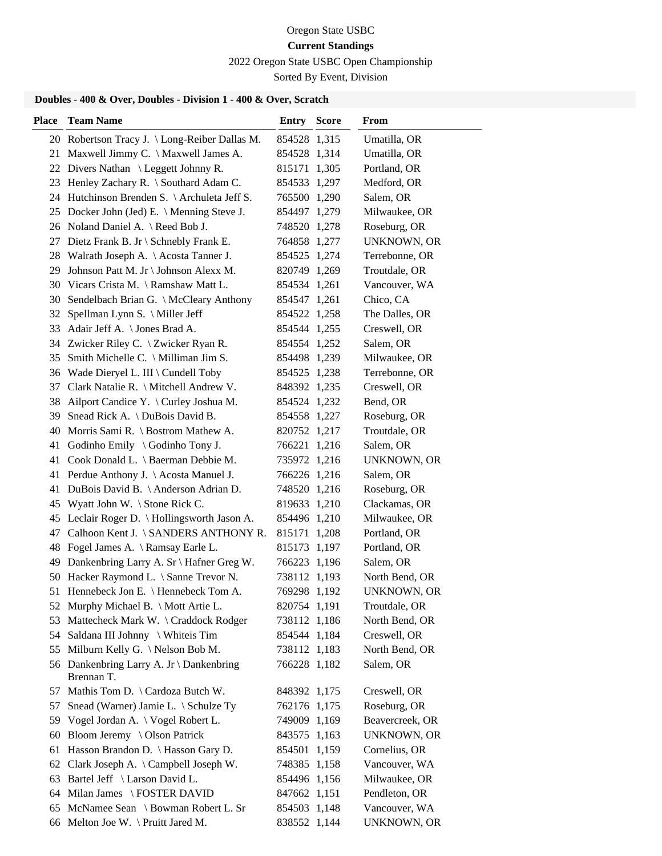2022 Oregon State USBC Open Championship

Sorted By Event, Division

# **Doubles - 400 & Over, Doubles - Division 1 - 400 & Over, Scratch**

| <b>Place</b> | <b>Team Name</b>                                       | Entry        | <b>Score</b> | From               |
|--------------|--------------------------------------------------------|--------------|--------------|--------------------|
|              | 20 Robertson Tracy J. \Long-Reiber Dallas M.           | 854528 1,315 |              | Umatilla, OR       |
|              | 21 Maxwell Jimmy C. \ Maxwell James A.                 | 854528 1,314 |              | Umatilla, OR       |
|              | 22 Divers Nathan \ Leggett Johnny R.                   | 815171 1,305 |              | Portland, OR       |
|              | 23 Henley Zachary R. \ Southard Adam C.                | 854533 1,297 |              | Medford, OR        |
|              | 24 Hutchinson Brenden S. \ Archuleta Jeff S.           | 765500 1,290 |              | Salem, OR          |
|              | 25 Docker John (Jed) E. \ Menning Steve J.             | 854497 1,279 |              | Milwaukee, OR      |
|              | 26 Noland Daniel A. \ Reed Bob J.                      | 748520 1,278 |              | Roseburg, OR       |
| 27           | Dietz Frank B. Jr \ Schnebly Frank E.                  | 764858 1,277 |              | <b>UNKNOWN, OR</b> |
|              | 28 Walrath Joseph A. \ Acosta Tanner J.                | 854525 1,274 |              | Terrebonne, OR     |
| 29           | Johnson Patt M. Jr \ Johnson Alexx M.                  | 820749 1,269 |              | Troutdale, OR      |
|              | 30 Vicars Crista M. \Ramshaw Matt L.                   | 854534 1,261 |              | Vancouver, WA      |
|              | 30 Sendelbach Brian G. \ McCleary Anthony              | 854547 1,261 |              | Chico, CA          |
| 32           | Spellman Lynn S. \ Miller Jeff                         | 854522 1,258 |              | The Dalles, OR     |
| 33           | Adair Jeff A. \ Jones Brad A.                          | 854544 1,255 |              | Creswell, OR       |
|              | 34 Zwicker Riley C. \ Zwicker Ryan R.                  | 854554 1,252 |              | Salem, OR          |
| 35           | Smith Michelle C. $\backslash$ Milliman Jim S.         | 854498 1,239 |              | Milwaukee, OR      |
|              | 36 Wade Dieryel L. III \ Cundell Toby                  | 854525 1,238 |              | Terrebonne, OR     |
| 37           | Clark Natalie R. \ Mitchell Andrew V.                  | 848392 1,235 |              | Creswell, OR       |
| 38           | Ailport Candice Y. $\setminus$ Curley Joshua M.        | 854524 1,232 |              | Bend, OR           |
| 39           | Snead Rick A. \ DuBois David B.                        | 854558 1,227 |              | Roseburg, OR       |
|              | 40 Morris Sami R. \ Bostrom Mathew A.                  | 820752 1,217 |              | Troutdale, OR      |
|              | 41 Godinho Emily \ Godinho Tony J.                     | 766221 1,216 |              | Salem, OR          |
|              | 41 Cook Donald L. \ Baerman Debbie M.                  | 735972 1,216 |              | <b>UNKNOWN, OR</b> |
|              | 41 Perdue Anthony J. \Acosta Manuel J.                 | 766226 1,216 |              | Salem, OR          |
| 41           | DuBois David B. \ Anderson Adrian D.                   | 748520 1,216 |              | Roseburg, OR       |
|              | 45 Wyatt John W. \ Stone Rick C.                       | 819633 1,210 |              | Clackamas, OR      |
|              | 45 Leclair Roger D. \ Hollingsworth Jason A.           | 854496 1,210 |              | Milwaukee, OR      |
| 47           | Calhoon Kent J. \ SANDERS ANTHONY R.                   | 815171 1,208 |              | Portland, OR       |
|              | 48 Fogel James A. \ Ramsay Earle L.                    | 815173 1,197 |              | Portland, OR       |
|              | 49 Dankenbring Larry A. Sr \ Hafner Greg W.            | 766223 1,196 |              | Salem, OR          |
|              | 50 Hacker Raymond L. \ Sanne Trevor N.                 | 738112 1,193 |              | North Bend, OR     |
|              | 51 Hennebeck Jon E. \ Hennebeck Tom A.                 | 769298 1,192 |              | <b>UNKNOWN, OR</b> |
|              | 52 Murphy Michael B. \ Mott Artie L.                   | 820754 1,191 |              | Troutdale, OR      |
|              | 53 Mattecheck Mark W. \ Craddock Rodger                | 738112 1,186 |              | North Bend, OR     |
|              | 54 Saldana III Johnny \ Whiteis Tim                    | 854544 1,184 |              | Creswell, OR       |
|              | 55 Milburn Kelly G. \ Nelson Bob M.                    | 738112 1,183 |              | North Bend, OR     |
|              | 56 Dankenbring Larry A. Jr \ Dankenbring<br>Brennan T. | 766228 1,182 |              | Salem, OR          |
| 57           | Mathis Tom D. \ Cardoza Butch W.                       | 848392 1,175 |              | Creswell, OR       |
| 57           | Snead (Warner) Jamie L. \ Schulze Ty                   | 762176 1,175 |              | Roseburg, OR       |
|              | 59 Vogel Jordan A. \ Vogel Robert L.                   | 749009 1,169 |              | Beavercreek, OR    |
| 60           | Bloom Jeremy \ Olson Patrick                           | 843575 1,163 |              | <b>UNKNOWN, OR</b> |
|              | 61 Hasson Brandon D. \ Hasson Gary D.                  | 854501 1,159 |              | Cornelius, OR      |
| 62           | Clark Joseph A. \ Campbell Joseph W.                   | 748385 1,158 |              | Vancouver, WA      |
| 63           | Bartel Jeff \ Larson David L.                          | 854496 1,156 |              | Milwaukee, OR      |
| 64           | Milan James \FOSTER DAVID                              | 847662 1,151 |              | Pendleton, OR      |
| 65           | McNamee Sean \ Bowman Robert L. Sr                     | 854503 1,148 |              | Vancouver, WA      |
|              | 66 Melton Joe W. \ Pruitt Jared M.                     | 838552 1,144 |              | UNKNOWN, OR        |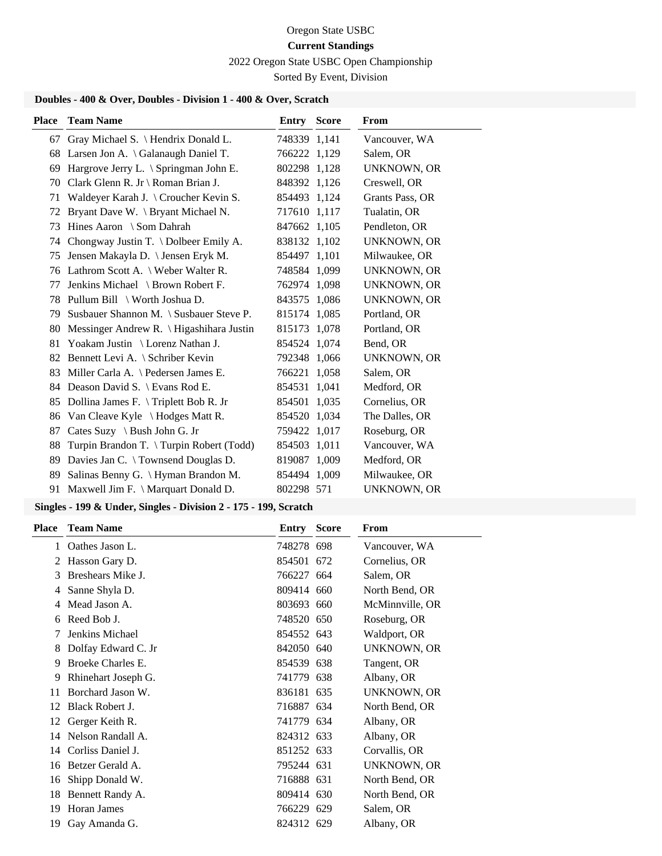2022 Oregon State USBC Open Championship

Sorted By Event, Division

# **Doubles - 400 & Over, Doubles - Division 1 - 400 & Over, Scratch**

| <b>Place</b> | <b>Team Name</b>                         | <b>Entry Score</b> | From               |
|--------------|------------------------------------------|--------------------|--------------------|
|              | 67 Gray Michael S. \ Hendrix Donald L.   | 748339 1,141       | Vancouver, WA      |
| 68           | Larsen Jon A. \ Galanaugh Daniel T.      | 766222 1,129       | Salem, OR          |
| 69           | Hargrove Jerry L. \ Springman John E.    | 802298 1,128       | <b>UNKNOWN, OR</b> |
| 70           | Clark Glenn R. Jr \ Roman Brian J.       | 848392 1,126       | Creswell, OR       |
| 71           | Waldeyer Karah J. \ Croucher Kevin S.    | 854493 1,124       | Grants Pass, OR    |
| 72           | Bryant Dave W. \ Bryant Michael N.       | 717610 1,117       | Tualatin, OR       |
| 73           | Hines Aaron \ Som Dahrah                 | 847662 1,105       | Pendleton, OR      |
| 74           | Chongway Justin T. \ Dolbeer Emily A.    | 838132 1,102       | <b>UNKNOWN, OR</b> |
| 75           | Jensen Makayla D. \ Jensen Eryk M.       | 854497 1,101       | Milwaukee, OR      |
|              | 76 Lathrom Scott A. \ Weber Walter R.    | 748584 1,099       | UNKNOWN, OR        |
| 77           | Jenkins Michael \ Brown Robert F.        | 762974 1,098       | <b>UNKNOWN, OR</b> |
| 78           | Pullum Bill \ Worth Joshua D.            | 843575 1,086       | <b>UNKNOWN, OR</b> |
| 79           | Susbauer Shannon M. \ Susbauer Steve P.  | 815174 1,085       | Portland, OR       |
| 80           | Messinger Andrew R. \ Higashihara Justin | 815173 1,078       | Portland, OR       |
| 81           | Yoakam Justin \ Lorenz Nathan J.         | 854524 1,074       | Bend, OR           |
| 82           | Bennett Levi A. \ Schriber Kevin         | 792348 1,066       | <b>UNKNOWN, OR</b> |
| 83           | Miller Carla A. \ Pedersen James E.      | 766221 1,058       | Salem, OR          |
| 84           | Deason David S. \ Evans Rod E.           | 854531 1,041       | Medford, OR        |
| 85           | Dollina James F. \Triplett Bob R. Jr     | 854501 1,035       | Cornelius, OR      |
| 86           | Van Cleave Kyle \ Hodges Matt R.         | 854520 1,034       | The Dalles, OR     |
| 87           | Cates Suzy \ Bush John G. Jr             | 759422 1,017       | Roseburg, OR       |
| 88           | Turpin Brandon T. \ Turpin Robert (Todd) | 854503 1,011       | Vancouver, WA      |
| 89           | Davies Jan C. \ Townsend Douglas D.      | 819087 1,009       | Medford, OR        |
| 89           | Salinas Benny G. \ Hyman Brandon M.      | 854494 1,009       | Milwaukee, OR      |
| 91           | Maxwell Jim F. \ Marquart Donald D.      | 802298 571         | <b>UNKNOWN, OR</b> |

| <b>Place</b> | <b>Team Name</b>    | <b>Entry Score</b> | From               |
|--------------|---------------------|--------------------|--------------------|
| $\mathbf{1}$ | Oathes Jason L.     | 748278 698         | Vancouver, WA      |
|              | 2 Hasson Gary D.    | 854501 672         | Cornelius, OR      |
| 3            | Breshears Mike J.   | 766227 664         | Salem, OR          |
| 4            | Sanne Shyla D.      | 809414 660         | North Bend, OR     |
| 4            | Mead Jason A.       | 803693 660         | McMinnville, OR    |
| 6            | Reed Bob J.         | 748520 650         | Roseburg, OR       |
|              | Jenkins Michael     | 854552 643         | Waldport, OR       |
| 8            | Dolfay Edward C. Jr | 842050 640         | <b>UNKNOWN, OR</b> |
| 9            | Broeke Charles E.   | 854539 638         | Tangent, OR        |
| 9            | Rhinehart Joseph G. | 741779 638         | Albany, OR         |
| 11           | Borchard Jason W.   | 836181 635         | UNKNOWN, OR        |
| 12           | Black Robert J.     | 716887 634         | North Bend, OR     |
| 12           | Gerger Keith R.     | 741779 634         | Albany, OR         |
| 14           | Nelson Randall A.   | 824312 633         | Albany, OR         |
| 14           | Corliss Daniel J.   | 851252 633         | Corvallis, OR      |
| 16           | Betzer Gerald A.    | 795244 631         | UNKNOWN, OR        |
| 16           | Shipp Donald W.     | 716888 631         | North Bend, OR     |
| 18           | Bennett Randy A.    | 809414 630         | North Bend, OR     |
| 19           | <b>Horan James</b>  | 766229 629         | Salem, OR          |
| 19           | Gay Amanda G.       | 824312 629         | Albany, OR         |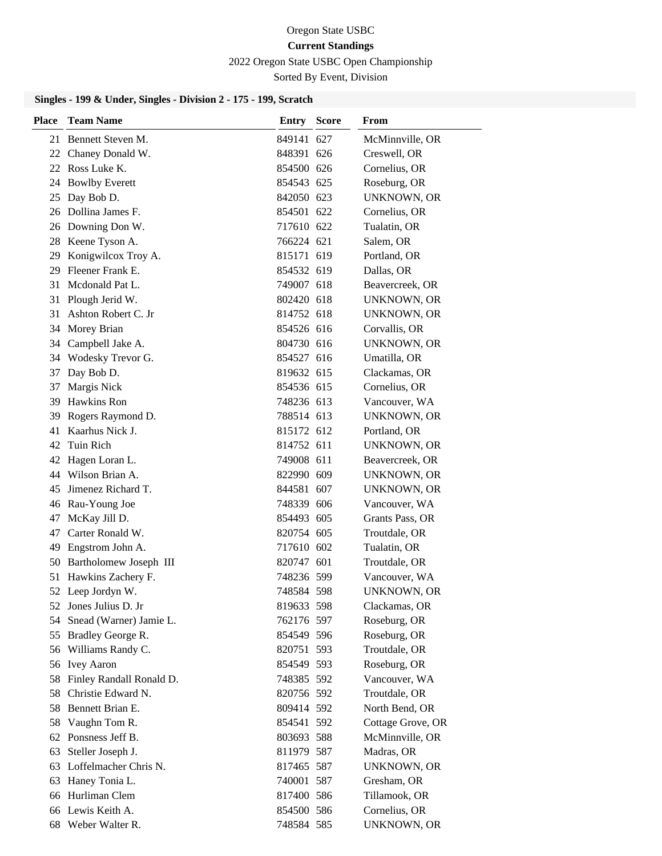#### 2022 Oregon State USBC Open Championship

Sorted By Event, Division

| <b>Place</b> | <b>Team Name</b>         | Entry      | <b>Score</b> | From               |
|--------------|--------------------------|------------|--------------|--------------------|
|              | 21 Bennett Steven M.     | 849141 627 |              | McMinnville, OR    |
|              | 22 Chaney Donald W.      | 848391 626 |              | Creswell, OR       |
|              | 22 Ross Luke K.          | 854500 626 |              | Cornelius, OR      |
|              | 24 Bowlby Everett        | 854543 625 |              | Roseburg, OR       |
| 25           | Day Bob D.               | 842050 623 |              | <b>UNKNOWN, OR</b> |
|              | 26 Dollina James F.      | 854501 622 |              | Cornelius, OR      |
|              | 26 Downing Don W.        | 717610 622 |              | Tualatin, OR       |
| 28           | Keene Tyson A.           | 766224 621 |              | Salem, OR          |
| 29           | Konigwilcox Troy A.      | 815171 619 |              | Portland, OR       |
|              | 29 Fleener Frank E.      | 854532 619 |              | Dallas, OR         |
|              | 31 Mcdonald Pat L.       | 749007 618 |              | Beavercreek, OR    |
| 31           | Plough Jerid W.          | 802420 618 |              | <b>UNKNOWN, OR</b> |
| 31           | Ashton Robert C. Jr      | 814752 618 |              | UNKNOWN, OR        |
| 34           | Morey Brian              | 854526 616 |              | Corvallis, OR      |
|              | 34 Campbell Jake A.      | 804730 616 |              | <b>UNKNOWN, OR</b> |
|              | 34 Wodesky Trevor G.     | 854527 616 |              | Umatilla, OR       |
| 37           | Day Bob D.               | 819632 615 |              | Clackamas, OR      |
| 37           | Margis Nick              | 854536 615 |              | Cornelius, OR      |
|              | 39 Hawkins Ron           | 748236 613 |              | Vancouver, WA      |
| 39           | Rogers Raymond D.        | 788514 613 |              | <b>UNKNOWN, OR</b> |
| 41           | Kaarhus Nick J.          | 815172 612 |              | Portland, OR       |
| 42           | Tuin Rich                | 814752 611 |              | <b>UNKNOWN, OR</b> |
| 42           | Hagen Loran L.           | 749008 611 |              | Beavercreek, OR    |
|              | 44 Wilson Brian A.       | 822990 609 |              | UNKNOWN, OR        |
| 45           | Jimenez Richard T.       | 844581 607 |              | UNKNOWN, OR        |
| 46           | Rau-Young Joe            | 748339 606 |              | Vancouver, WA      |
| 47           | McKay Jill D.            | 854493 605 |              | Grants Pass, OR    |
| 47           | Carter Ronald W.         | 820754 605 |              | Troutdale, OR      |
| 49           | Engstrom John A.         | 717610 602 |              | Tualatin, OR       |
| 50           | Bartholomew Joseph III   | 820747 601 |              | Troutdale, OR      |
| 51           | Hawkins Zachery F.       | 748236 599 |              | Vancouver, WA      |
|              | 52 Leep Jordyn W.        | 748584 598 |              | <b>UNKNOWN, OR</b> |
| 52           | Jones Julius D. Jr       | 819633 598 |              | Clackamas, OR      |
| 54           | Snead (Warner) Jamie L.  | 762176 597 |              | Roseburg, OR       |
|              | 55 Bradley George R.     | 854549 596 |              | Roseburg, OR       |
| 56           | Williams Randy C.        | 820751 593 |              | Troutdale, OR      |
| 56           | Ivey Aaron               | 854549 593 |              | Roseburg, OR       |
| 58           | Finley Randall Ronald D. | 748385 592 |              | Vancouver, WA      |
| 58           | Christie Edward N.       | 820756 592 |              | Troutdale, OR      |
| 58           | Bennett Brian E.         | 809414 592 |              | North Bend, OR     |
| 58           | Vaughn Tom R.            | 854541 592 |              | Cottage Grove, OR  |
| 62           | Ponsness Jeff B.         | 803693 588 |              | McMinnville, OR    |
| 63           | Steller Joseph J.        | 811979 587 |              | Madras, OR         |
|              | 63 Loffelmacher Chris N. | 817465 587 |              | UNKNOWN, OR        |
| 63           | Haney Tonia L.           | 740001 587 |              | Gresham, OR        |
| 66           | Hurliman Clem            | 817400 586 |              | Tillamook, OR      |
|              | 66 Lewis Keith A.        | 854500 586 |              | Cornelius, OR      |
|              | 68 Weber Walter R.       | 748584 585 |              | UNKNOWN, OR        |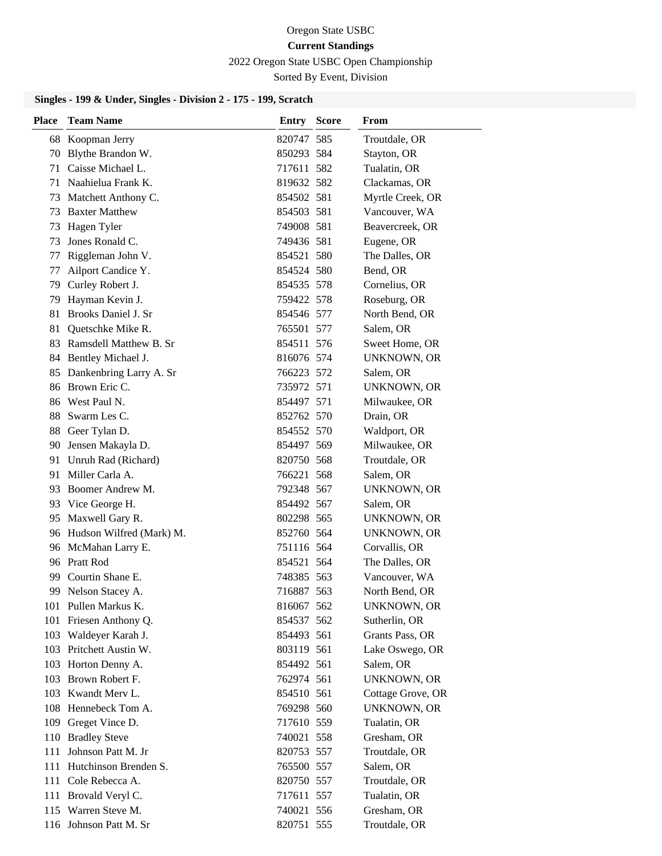2022 Oregon State USBC Open Championship

Sorted By Event, Division

| <b>Place</b> | <b>Team Name</b>            | Entry      | <b>Score</b> | <b>From</b>        |
|--------------|-----------------------------|------------|--------------|--------------------|
|              | 68 Koopman Jerry            | 820747 585 |              | Troutdale, OR      |
| 70           | Blythe Brandon W.           | 850293 584 |              | Stayton, OR        |
|              | 71 Caisse Michael L.        | 717611 582 |              | Tualatin, OR       |
| 71           | Naahielua Frank K.          | 819632 582 |              | Clackamas, OR      |
| 73           | Matchett Anthony C.         | 854502 581 |              | Myrtle Creek, OR   |
| 73           | <b>Baxter Matthew</b>       | 854503 581 |              | Vancouver, WA      |
| 73           | Hagen Tyler                 | 749008 581 |              | Beavercreek, OR    |
| 73           | Jones Ronald C.             | 749436 581 |              | Eugene, OR         |
| 77           | Riggleman John V.           | 854521 580 |              | The Dalles, OR     |
| 77           | Ailport Candice Y.          | 854524 580 |              | Bend, OR           |
|              | 79 Curley Robert J.         | 854535 578 |              | Cornelius, OR      |
| 79           | Hayman Kevin J.             | 759422 578 |              | Roseburg, OR       |
|              | 81 Brooks Daniel J. Sr      | 854546 577 |              | North Bend, OR     |
| 81           | Quetschke Mike R.           | 765501 577 |              | Salem, OR          |
|              | 83 Ramsdell Matthew B. Sr   | 854511 576 |              | Sweet Home, OR     |
|              | 84 Bentley Michael J.       | 816076 574 |              | <b>UNKNOWN, OR</b> |
| 85           | Dankenbring Larry A. Sr     | 766223 572 |              | Salem, OR          |
|              | 86 Brown Eric C.            | 735972 571 |              | <b>UNKNOWN, OR</b> |
|              | 86 West Paul N.             | 854497 571 |              | Milwaukee, OR      |
|              | 88 Swarm Les C.             | 852762 570 |              | Drain, OR          |
|              | 88 Geer Tylan D.            | 854552 570 |              | Waldport, OR       |
| 90           | Jensen Makayla D.           | 854497 569 |              | Milwaukee, OR      |
|              | 91 Unruh Rad (Richard)      | 820750 568 |              | Troutdale, OR      |
| 91           | Miller Carla A.             | 766221 568 |              | Salem, OR          |
| 93           | Boomer Andrew M.            | 792348 567 |              | <b>UNKNOWN, OR</b> |
| 93           | Vice George H.              | 854492 567 |              | Salem, OR          |
|              | 95 Maxwell Gary R.          | 802298 565 |              | UNKNOWN, OR        |
|              | 96 Hudson Wilfred (Mark) M. | 852760 564 |              | <b>UNKNOWN, OR</b> |
|              | 96 McMahan Larry E.         | 751116 564 |              | Corvallis, OR      |
|              | 96 Pratt Rod                | 854521 564 |              | The Dalles, OR     |
|              | 99 Courtin Shane E.         | 748385 563 |              | Vancouver, WA      |
|              | 99 Nelson Stacey A.         | 716887 563 |              | North Bend, OR     |
|              | 101 Pullen Markus K.        | 816067 562 |              | <b>UNKNOWN, OR</b> |
|              | 101 Friesen Anthony Q.      | 854537 562 |              | Sutherlin, OR      |
|              | 103 Waldeyer Karah J.       | 854493 561 |              | Grants Pass, OR    |
|              | 103 Pritchett Austin W.     | 803119 561 |              | Lake Oswego, OR    |
|              | 103 Horton Denny A.         | 854492 561 |              | Salem, OR          |
|              | 103 Brown Robert F.         | 762974 561 |              | UNKNOWN, OR        |
|              | 103 Kwandt Merv L.          | 854510 561 |              | Cottage Grove, OR  |
|              | 108 Hennebeck Tom A.        | 769298 560 |              | <b>UNKNOWN, OR</b> |
|              | 109 Greget Vince D.         | 717610 559 |              | Tualatin, OR       |
|              | 110 Bradley Steve           | 740021 558 |              | Gresham, OR        |
| 111          | Johnson Patt M. Jr          | 820753 557 |              | Troutdale, OR      |
| 111          | Hutchinson Brenden S.       | 765500 557 |              | Salem, OR          |
|              | 111 Cole Rebecca A.         | 820750 557 |              | Troutdale, OR      |
|              | 111 Brovald Veryl C.        | 717611 557 |              | Tualatin, OR       |
|              | 115 Warren Steve M.         | 740021 556 |              | Gresham, OR        |
|              | 116 Johnson Patt M. Sr      | 820751 555 |              | Troutdale, OR      |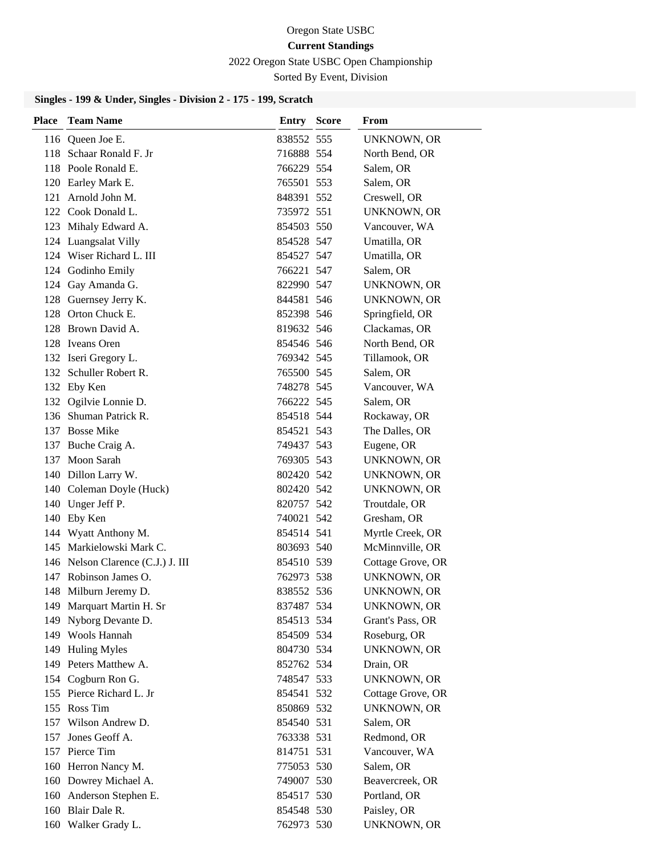#### 2022 Oregon State USBC Open Championship

Sorted By Event, Division

| <b>Place</b> | <b>Team Name</b>                  | <b>Entry Score</b> | From               |
|--------------|-----------------------------------|--------------------|--------------------|
|              | 116 Queen Joe E.                  | 838552 555         | <b>UNKNOWN, OR</b> |
|              | 118 Schaar Ronald F. Jr           | 716888 554         | North Bend, OR     |
|              | 118 Poole Ronald E.               | 766229 554         | Salem, OR          |
|              | 120 Earley Mark E.                | 765501 553         | Salem, OR          |
| 121          | Arnold John M.                    | 848391 552         | Creswell, OR       |
|              | 122 Cook Donald L.                | 735972 551         | <b>UNKNOWN, OR</b> |
|              | 123 Mihaly Edward A.              | 854503 550         | Vancouver, WA      |
|              | 124 Luangsalat Villy              | 854528 547         | Umatilla, OR       |
|              | 124 Wiser Richard L. III          | 854527 547         | Umatilla, OR       |
|              | 124 Godinho Emily                 | 766221 547         | Salem, OR          |
|              | 124 Gay Amanda G.                 | 822990 547         | UNKNOWN, OR        |
|              | 128 Guernsey Jerry K.             | 844581 546         | <b>UNKNOWN, OR</b> |
|              | 128 Orton Chuck E.                | 852398 546         | Springfield, OR    |
|              | 128 Brown David A.                | 819632 546         | Clackamas, OR      |
|              | 128 Iveans Oren                   | 854546 546         | North Bend, OR     |
|              | 132 Iseri Gregory L.              | 769342 545         | Tillamook, OR      |
|              | 132 Schuller Robert R.            | 765500 545         | Salem, OR          |
|              | 132 Eby Ken                       | 748278 545         | Vancouver, WA      |
|              | 132 Ogilvie Lonnie D.             | 766222 545         | Salem, OR          |
|              | 136 Shuman Patrick R.             | 854518 544         | Rockaway, OR       |
|              | 137 Bosse Mike                    | 854521 543         | The Dalles, OR     |
|              | 137 Buche Craig A.                | 749437 543         | Eugene, OR         |
|              | 137 Moon Sarah                    | 769305 543         | UNKNOWN, OR        |
|              | 140 Dillon Larry W.               | 802420 542         | UNKNOWN, OR        |
|              | 140 Coleman Doyle (Huck)          | 802420 542         | UNKNOWN, OR        |
|              | 140 Unger Jeff P.                 | 820757 542         | Troutdale, OR      |
|              | 140 Eby Ken                       | 740021 542         | Gresham, OR        |
|              | 144 Wyatt Anthony M.              | 854514 541         | Myrtle Creek, OR   |
|              | 145 Markielowski Mark C.          | 803693 540         | McMinnville, OR    |
|              | 146 Nelson Clarence (C.J.) J. III | 854510 539         | Cottage Grove, OR  |
|              | 147 Robinson James O.             | 762973 538         | <b>UNKNOWN, OR</b> |
|              | 148 Milburn Jeremy D.             | 838552 536         | UNKNOWN, OR        |
|              | 149 Marquart Martin H. Sr         | 837487 534         | UNKNOWN, OR        |
|              | 149 Nyborg Devante D.             | 854513 534         | Grant's Pass, OR   |
|              | 149 Wools Hannah                  | 854509 534         | Roseburg, OR       |
|              | 149 Huling Myles                  | 804730 534         | <b>UNKNOWN, OR</b> |
|              | 149 Peters Matthew A.             | 852762 534         | Drain, OR          |
|              | 154 Cogburn Ron G.                | 748547 533         | <b>UNKNOWN, OR</b> |
|              | 155 Pierce Richard L. Jr          | 854541 532         | Cottage Grove, OR  |
|              | 155 Ross Tim                      | 850869 532         | <b>UNKNOWN, OR</b> |
|              | 157 Wilson Andrew D.              | 854540 531         | Salem, OR          |
|              | 157 Jones Geoff A.                | 763338 531         | Redmond, OR        |
|              | 157 Pierce Tim                    | 814751 531         | Vancouver, WA      |
|              | 160 Herron Nancy M.               | 775053 530         | Salem, OR          |
|              | 160 Dowrey Michael A.             | 749007 530         | Beavercreek, OR    |
|              | 160 Anderson Stephen E.           | 854517 530         | Portland, OR       |
|              | 160 Blair Dale R.                 | 854548 530         | Paisley, OR        |
|              | 160 Walker Grady L.               | 762973 530         | UNKNOWN, OR        |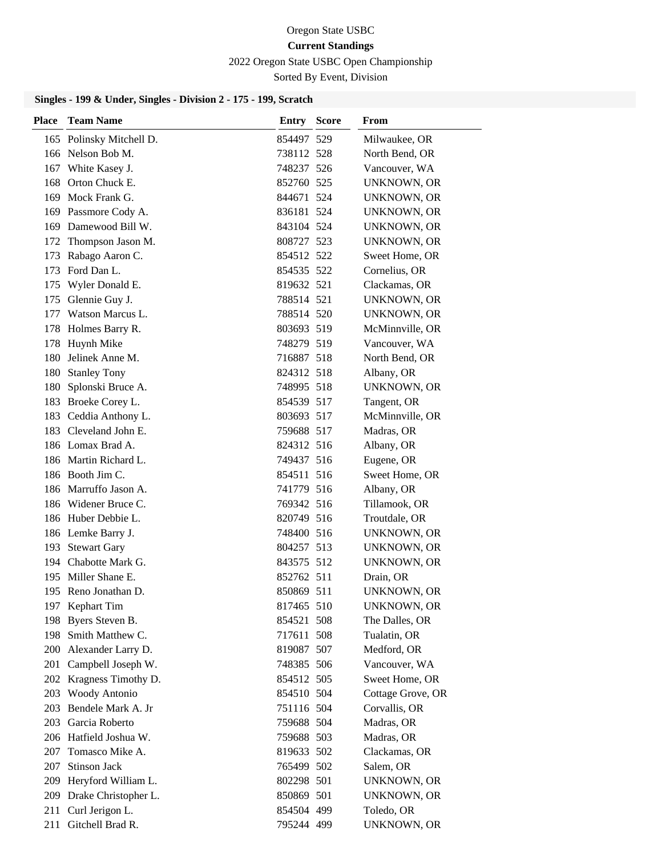#### 2022 Oregon State USBC Open Championship

Sorted By Event, Division

| <b>Place</b> | <b>Team Name</b>         | <b>Entry Score</b> | <b>From</b>        |
|--------------|--------------------------|--------------------|--------------------|
|              | 165 Polinsky Mitchell D. | 854497 529         | Milwaukee, OR      |
|              | 166 Nelson Bob M.        | 738112 528         | North Bend, OR     |
|              | 167 White Kasey J.       | 748237 526         | Vancouver, WA      |
|              | 168 Orton Chuck E.       | 852760 525         | UNKNOWN, OR        |
|              | 169 Mock Frank G.        | 844671 524         | UNKNOWN, OR        |
|              | 169 Passmore Cody A.     | 836181 524         | UNKNOWN, OR        |
|              | 169 Damewood Bill W.     | 843104 524         | UNKNOWN, OR        |
|              | 172 Thompson Jason M.    | 808727 523         | UNKNOWN, OR        |
| 173          | Rabago Aaron C.          | 854512 522         | Sweet Home, OR     |
|              | 173 Ford Dan L.          | 854535 522         | Cornelius, OR      |
|              | 175 Wyler Donald E.      | 819632 521         | Clackamas, OR      |
|              | 175 Glennie Guy J.       | 788514 521         | UNKNOWN, OR        |
|              | 177 Watson Marcus L.     | 788514 520         | UNKNOWN, OR        |
|              | 178 Holmes Barry R.      | 803693 519         | McMinnville, OR    |
|              | 178 Huynh Mike           | 748279 519         | Vancouver, WA      |
| 180          | Jelinek Anne M.          | 716887 518         | North Bend, OR     |
| 180          | <b>Stanley Tony</b>      | 824312 518         | Albany, OR         |
| 180          | Splonski Bruce A.        | 748995 518         | UNKNOWN, OR        |
|              | 183 Broeke Corey L.      | 854539 517         | Tangent, OR        |
|              | 183 Ceddia Anthony L.    | 803693 517         | McMinnville, OR    |
|              | 183 Cleveland John E.    | 759688 517         | Madras, OR         |
|              | 186 Lomax Brad A.        | 824312 516         | Albany, OR         |
|              | 186 Martin Richard L.    | 749437 516         | Eugene, OR         |
|              | 186 Booth Jim C.         | 854511 516         | Sweet Home, OR     |
|              | 186 Marruffo Jason A.    | 741779 516         | Albany, OR         |
|              | 186 Widener Bruce C.     | 769342 516         | Tillamook, OR      |
|              | 186 Huber Debbie L.      | 820749 516         | Troutdale, OR      |
|              | 186 Lemke Barry J.       | 748400 516         | UNKNOWN, OR        |
|              | 193 Stewart Gary         | 804257 513         | UNKNOWN, OR        |
|              | 194 Chabotte Mark G.     | 843575 512         | UNKNOWN, OR        |
|              | 195 Miller Shane E.      | 852762 511         | Drain, OR          |
|              | 195 Reno Jonathan D.     | 850869 511         | UNKNOWN, OR        |
|              | 197 Kephart Tim          | 817465 510         | <b>UNKNOWN, OR</b> |
|              | 198 Byers Steven B.      | 854521 508         | The Dalles, OR     |
|              | 198 Smith Matthew C.     | 717611 508         | Tualatin, OR       |
|              | 200 Alexander Larry D.   | 819087 507         | Medford, OR        |
| 201          | Campbell Joseph W.       | 748385 506         | Vancouver, WA      |
| 202          | Kragness Timothy D.      | 854512 505         | Sweet Home, OR     |
|              | 203 Woody Antonio        | 854510 504         | Cottage Grove, OR  |
|              | 203 Bendele Mark A. Jr   | 751116 504         | Corvallis, OR      |
|              | 203 Garcia Roberto       | 759688 504         | Madras, OR         |
|              | 206 Hatfield Joshua W.   | 759688 503         | Madras, OR         |
|              | 207 Tomasco Mike A.      | 819633 502         | Clackamas, OR      |
| 207          | Stinson Jack             | 765499 502         | Salem, OR          |
| 209          | Heryford William L.      | 802298 501         | <b>UNKNOWN, OR</b> |
| 209          | Drake Christopher L.     | 850869 501         | <b>UNKNOWN, OR</b> |
| 211          | Curl Jerigon L.          | 854504 499         | Toledo, OR         |
| 211          | Gitchell Brad R.         | 795244 499         | UNKNOWN, OR        |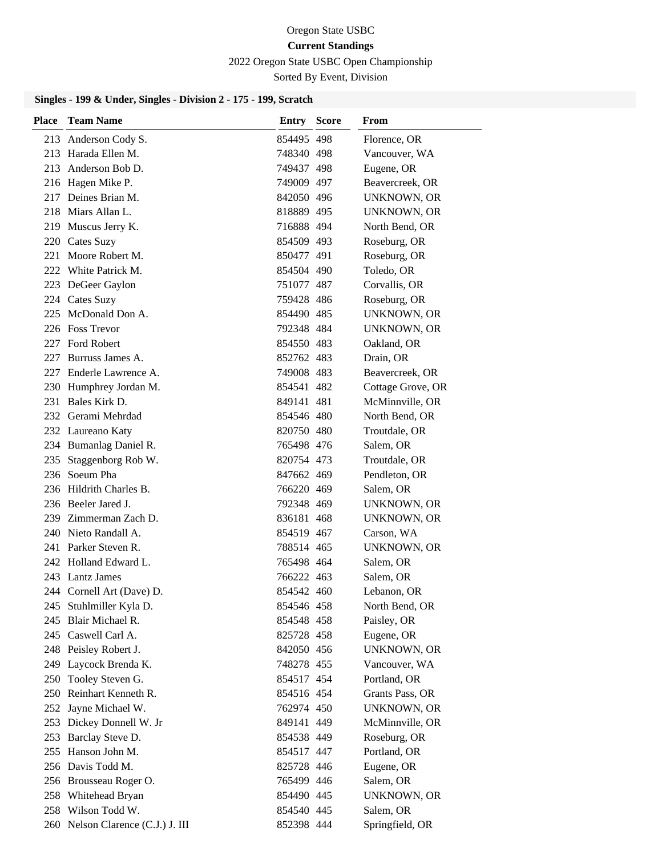#### 2022 Oregon State USBC Open Championship

Sorted By Event, Division

| Place | <b>Team Name</b>                  | <b>Entry Score</b> | From               |
|-------|-----------------------------------|--------------------|--------------------|
|       | 213 Anderson Cody S.              | 854495 498         | Florence, OR       |
|       | 213 Harada Ellen M.               | 748340 498         | Vancouver, WA      |
|       | 213 Anderson Bob D.               | 749437 498         | Eugene, OR         |
|       | 216 Hagen Mike P.                 | 749009 497         | Beavercreek, OR    |
|       | 217 Deines Brian M.               | 842050 496         | <b>UNKNOWN, OR</b> |
|       | 218 Miars Allan L.                | 818889 495         | UNKNOWN, OR        |
|       | 219 Muscus Jerry K.               | 716888 494         | North Bend, OR     |
|       | 220 Cates Suzy                    | 854509 493         | Roseburg, OR       |
|       | 221 Moore Robert M.               | 850477 491         | Roseburg, OR       |
|       | 222 White Patrick M.              | 854504 490         | Toledo, OR         |
|       | 223 DeGeer Gaylon                 | 751077 487         | Corvallis, OR      |
|       | 224 Cates Suzy                    | 759428 486         | Roseburg, OR       |
|       | 225 McDonald Don A.               | 854490 485         | UNKNOWN, OR        |
|       | 226 Foss Trevor                   | 792348 484         | <b>UNKNOWN, OR</b> |
|       | 227 Ford Robert                   | 854550 483         | Oakland, OR        |
| 227   | Burruss James A.                  | 852762 483         | Drain, OR          |
|       | 227 Enderle Lawrence A.           | 749008 483         | Beavercreek, OR    |
|       | 230 Humphrey Jordan M.            | 854541 482         | Cottage Grove, OR  |
|       | 231 Bales Kirk D.                 | 849141 481         | McMinnville, OR    |
|       | 232 Gerami Mehrdad                | 854546 480         | North Bend, OR     |
|       | 232 Laureano Katy                 | 820750 480         | Troutdale, OR      |
|       | 234 Bumanlag Daniel R.            | 765498 476         | Salem, OR          |
|       | 235 Staggenborg Rob W.            | 820754 473         | Troutdale, OR      |
|       | 236 Soeum Pha                     | 847662 469         | Pendleton, OR      |
|       | 236 Hildrith Charles B.           | 766220 469         | Salem, OR          |
|       | 236 Beeler Jared J.               | 792348 469         | UNKNOWN, OR        |
|       | 239 Zimmerman Zach D.             | 836181 468         | UNKNOWN, OR        |
|       | 240 Nieto Randall A.              | 854519 467         | Carson, WA         |
|       | 241 Parker Steven R.              | 788514 465         | <b>UNKNOWN, OR</b> |
|       | 242 Holland Edward L.             | 765498 464         | Salem, OR          |
|       | 243 Lantz James                   | 766222 463         | Salem, OR          |
|       | 244 Cornell Art (Dave) D.         | 854542 460         | Lebanon, OR        |
|       | 245 Stuhlmiller Kyla D.           | 854546 458         | North Bend, OR     |
|       | 245 Blair Michael R.              | 854548 458         | Paisley, OR        |
|       | 245 Caswell Carl A.               | 825728 458         | Eugene, OR         |
|       | 248 Peisley Robert J.             | 842050 456         | UNKNOWN, OR        |
|       | 249 Laycock Brenda K.             | 748278 455         | Vancouver, WA      |
| 250   | Tooley Steven G.                  | 854517 454         | Portland, OR       |
|       | 250 Reinhart Kenneth R.           | 854516 454         | Grants Pass, OR    |
|       | 252 Jayne Michael W.              | 762974 450         | <b>UNKNOWN, OR</b> |
|       | 253 Dickey Donnell W. Jr          | 849141 449         | McMinnville, OR    |
|       | 253 Barclay Steve D.              | 854538 449         | Roseburg, OR       |
|       | 255 Hanson John M.                | 854517 447         | Portland, OR       |
|       | 256 Davis Todd M.                 | 825728 446         | Eugene, OR         |
|       | 256 Brousseau Roger O.            | 765499 446         | Salem, OR          |
|       | 258 Whitehead Bryan               | 854490 445         | UNKNOWN, OR        |
|       | 258 Wilson Todd W.                | 854540 445         | Salem, OR          |
|       | 260 Nelson Clarence (C.J.) J. III | 852398 444         | Springfield, OR    |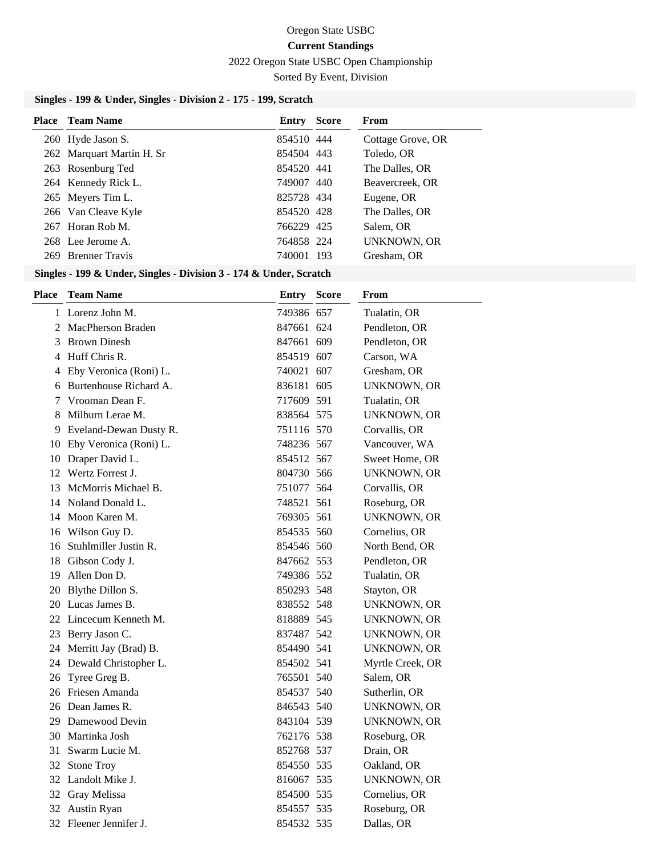2022 Oregon State USBC Open Championship

Sorted By Event, Division

| <b>Place</b> Team Name                                             | Entry      | <b>Score</b> | From               |  |  |
|--------------------------------------------------------------------|------------|--------------|--------------------|--|--|
| 260 Hyde Jason S.                                                  | 854510 444 |              | Cottage Grove, OR  |  |  |
| 262 Marquart Martin H. Sr                                          | 854504 443 |              | Toledo, OR         |  |  |
| 263 Rosenburg Ted                                                  | 854520 441 |              | The Dalles, OR     |  |  |
| 264 Kennedy Rick L.                                                | 749007 440 |              | Beavercreek, OR    |  |  |
| 265 Meyers Tim L.                                                  | 825728 434 |              | Eugene, OR         |  |  |
| 266 Van Cleave Kyle                                                | 854520 428 |              | The Dalles, OR     |  |  |
| 267 Horan Rob M.                                                   | 766229 425 |              | Salem, OR          |  |  |
| 268 Lee Jerome A.                                                  | 764858 224 |              | <b>UNKNOWN, OR</b> |  |  |
| 269 Brenner Travis                                                 | 740001 193 |              | Gresham, OR        |  |  |
| Singles - 199 & Under, Singles - Division 3 - 174 & Under, Scratch |            |              |                    |  |  |

| <b>Place</b> | <b>Team Name</b>          | <b>Entry Score</b> | From               |
|--------------|---------------------------|--------------------|--------------------|
|              | 1 Lorenz John M.          | 749386 657         | Tualatin, OR       |
|              | 2 MacPherson Braden       | 847661 624         | Pendleton, OR      |
|              | 3 Brown Dinesh            | 847661 609         | Pendleton, OR      |
|              | 4 Huff Chris R.           | 854519 607         | Carson, WA         |
|              | 4 Eby Veronica (Roni) L.  | 740021 607         | Gresham, OR        |
|              | 6 Burtenhouse Richard A.  | 836181 605         | <b>UNKNOWN, OR</b> |
| 7            | Vrooman Dean F.           | 717609 591         | Tualatin, OR       |
| 8            | Milburn Lerae M.          | 838564 575         | <b>UNKNOWN, OR</b> |
|              | 9 Eveland-Dewan Dusty R.  | 751116 570         | Corvallis, OR      |
|              | 10 Eby Veronica (Roni) L. | 748236 567         | Vancouver, WA      |
|              | 10 Draper David L.        | 854512 567         | Sweet Home, OR     |
|              | 12 Wertz Forrest J.       | 804730 566         | <b>UNKNOWN, OR</b> |
|              | 13 McMorris Michael B.    | 751077 564         | Corvallis, OR      |
|              | 14 Noland Donald L.       | 748521 561         | Roseburg, OR       |
|              | 14 Moon Karen M.          | 769305 561         | <b>UNKNOWN, OR</b> |
|              | 16 Wilson Guy D.          | 854535 560         | Cornelius, OR      |
|              | 16 Stuhlmiller Justin R.  | 854546 560         | North Bend, OR     |
|              | 18 Gibson Cody J.         | 847662 553         | Pendleton, OR      |
| 19           | Allen Don D.              | 749386 552         | Tualatin, OR       |
|              | 20 Blythe Dillon S.       | 850293 548         | Stayton, OR        |
|              | 20 Lucas James B.         | 838552 548         | <b>UNKNOWN, OR</b> |
|              | 22 Lincecum Kenneth M.    | 818889 545         | <b>UNKNOWN, OR</b> |
|              | 23 Berry Jason C.         | 837487 542         | UNKNOWN, OR        |
|              | 24 Merritt Jay (Brad) B.  | 854490 541         | <b>UNKNOWN, OR</b> |
|              | 24 Dewald Christopher L.  | 854502 541         | Myrtle Creek, OR   |
|              | 26 Tyree Greg B.          | 765501 540         | Salem, OR          |
|              | 26 Friesen Amanda         | 854537 540         | Sutherlin, OR      |
|              | 26 Dean James R.          | 846543 540         | <b>UNKNOWN, OR</b> |
|              | 29 Damewood Devin         | 843104 539         | <b>UNKNOWN, OR</b> |
|              | 30 Martinka Josh          | 762176 538         | Roseburg, OR       |
|              | 31 Swarm Lucie M.         | 852768 537         | Drain, OR          |
|              | 32 Stone Troy             | 854550 535         | Oakland, OR        |
|              | 32 Landolt Mike J.        | 816067 535         | UNKNOWN, OR        |
|              | 32 Gray Melissa           | 854500 535         | Cornelius, OR      |
|              | 32 Austin Ryan            | 854557 535         | Roseburg, OR       |
|              | 32 Fleener Jennifer J.    | 854532 535         | Dallas, OR         |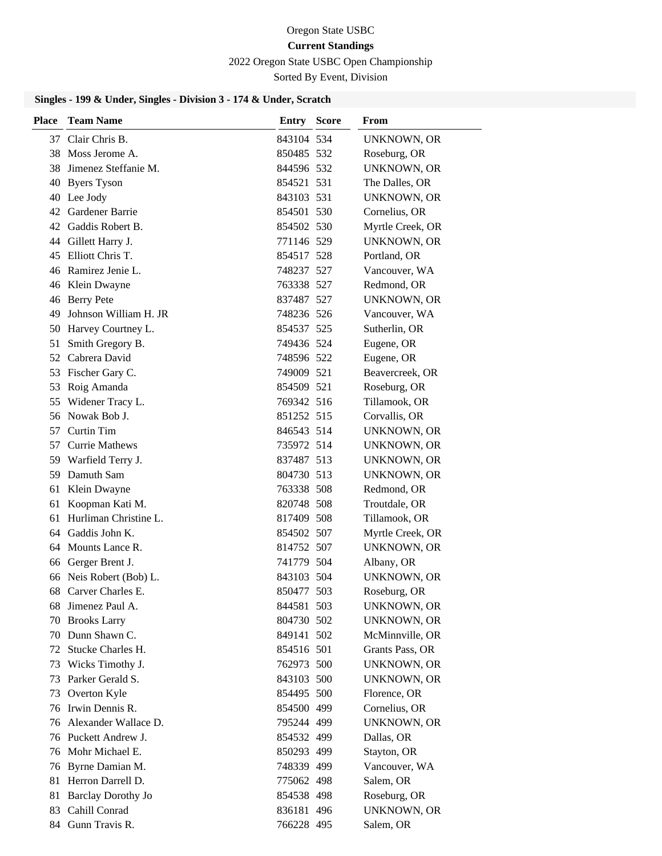#### 2022 Oregon State USBC Open Championship

Sorted By Event, Division

| <b>Place</b> | <b>Team Name</b>          | <b>Entry Score</b> | From               |
|--------------|---------------------------|--------------------|--------------------|
|              | 37 Clair Chris B.         | 843104 534         | <b>UNKNOWN, OR</b> |
|              | 38 Moss Jerome A.         | 850485 532         | Roseburg, OR       |
|              | 38 Jimenez Steffanie M.   | 844596 532         | <b>UNKNOWN, OR</b> |
|              | 40 Byers Tyson            | 854521 531         | The Dalles, OR     |
|              | 40 Lee Jody               | 843103 531         | <b>UNKNOWN, OR</b> |
|              | 42 Gardener Barrie        | 854501 530         | Cornelius, OR      |
|              | 42 Gaddis Robert B.       | 854502 530         | Myrtle Creek, OR   |
|              | 44 Gillett Harry J.       | 771146 529         | <b>UNKNOWN, OR</b> |
|              | 45 Elliott Chris T.       | 854517 528         | Portland, OR       |
|              | 46 Ramirez Jenie L.       | 748237 527         | Vancouver, WA      |
|              | 46 Klein Dwayne           | 763338 527         | Redmond, OR        |
|              | 46 Berry Pete             | 837487 527         | <b>UNKNOWN, OR</b> |
| 49           | Johnson William H. JR     | 748236 526         | Vancouver, WA      |
|              | 50 Harvey Courtney L.     | 854537 525         | Sutherlin, OR      |
| 51           | Smith Gregory B.          | 749436 524         | Eugene, OR         |
|              | 52 Cabrera David          | 748596 522         | Eugene, OR         |
|              | 53 Fischer Gary C.        | 749009 521         | Beavercreek, OR    |
|              | 53 Roig Amanda            | 854509 521         | Roseburg, OR       |
|              | 55 Widener Tracy L.       | 769342 516         | Tillamook, OR      |
|              | 56 Nowak Bob J.           | 851252 515         | Corvallis, OR      |
|              | 57 Curtin Tim             | 846543 514         | <b>UNKNOWN, OR</b> |
|              | 57 Currie Mathews         | 735972 514         | UNKNOWN, OR        |
|              | 59 Warfield Terry J.      | 837487 513         | UNKNOWN, OR        |
|              | 59 Damuth Sam             | 804730 513         | UNKNOWN, OR        |
| 61           | Klein Dwayne              | 763338 508         | Redmond, OR        |
| 61           | Koopman Kati M.           | 820748 508         | Troutdale, OR      |
| 61           | Hurliman Christine L.     | 817409 508         | Tillamook, OR      |
|              | 64 Gaddis John K.         | 854502 507         | Myrtle Creek, OR   |
|              | 64 Mounts Lance R.        | 814752 507         | <b>UNKNOWN, OR</b> |
|              | 66 Gerger Brent J.        | 741779 504         | Albany, OR         |
|              | 66 Neis Robert (Bob) L.   | 843103 504         | <b>UNKNOWN, OR</b> |
|              | 68 Carver Charles E.      | 850477 503         | Roseburg, OR       |
|              | 68 Jimenez Paul A.        | 844581 503         | UNKNOWN, OR        |
|              | 70 Brooks Larry           | 804730 502         | UNKNOWN, OR        |
|              | 70 Dunn Shawn C.          | 849141 502         | McMinnville, OR    |
|              | 72 Stucke Charles H.      | 854516 501         | Grants Pass, OR    |
| 73           | Wicks Timothy J.          | 762973 500         | <b>UNKNOWN, OR</b> |
| 73           | Parker Gerald S.          | 843103 500         | <b>UNKNOWN, OR</b> |
| 73           | Overton Kyle              | 854495 500         | Florence, OR       |
|              | 76 Irwin Dennis R.        | 854500 499         | Cornelius, OR      |
|              | 76 Alexander Wallace D.   | 795244 499         | <b>UNKNOWN, OR</b> |
|              | 76 Puckett Andrew J.      | 854532 499         | Dallas, OR         |
|              | 76 Mohr Michael E.        | 850293 499         | Stayton, OR        |
| 76           | Byrne Damian M.           | 748339 499         | Vancouver, WA      |
| 81           | Herron Darrell D.         | 775062 498         | Salem, OR          |
| 81           | <b>Barclay Dorothy Jo</b> | 854538 498         | Roseburg, OR       |
|              | 83 Cahill Conrad          | 836181 496         | <b>UNKNOWN, OR</b> |
|              | 84 Gunn Travis R.         | 766228 495         | Salem, OR          |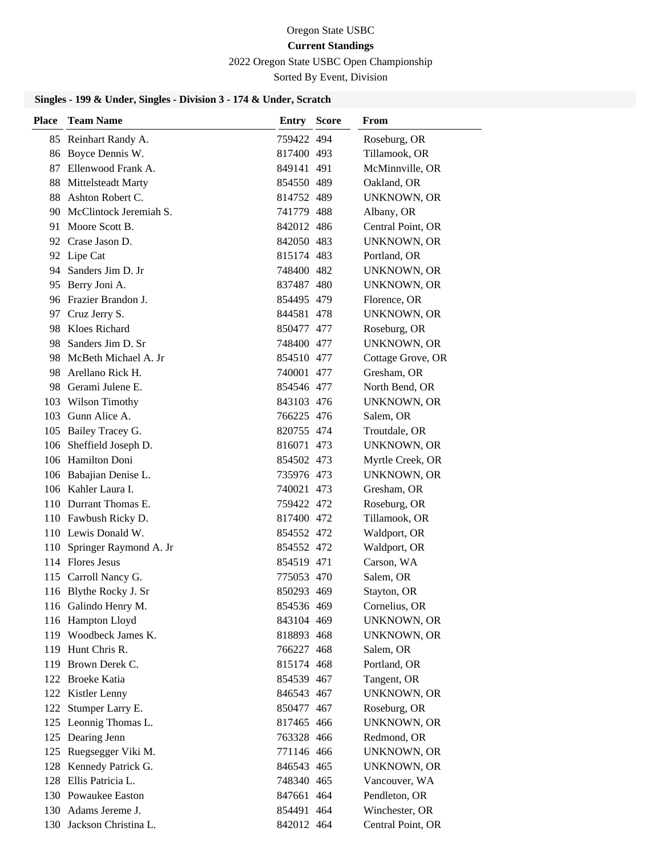2022 Oregon State USBC Open Championship

Sorted By Event, Division

| <b>Place</b> | <b>Team Name</b>           | Entry      | <b>Score</b> | From               |
|--------------|----------------------------|------------|--------------|--------------------|
|              | 85 Reinhart Randy A.       | 759422 494 |              | Roseburg, OR       |
|              | 86 Boyce Dennis W.         | 817400 493 |              | Tillamook, OR      |
|              | 87 Ellenwood Frank A.      | 849141 491 |              | McMinnville, OR    |
|              | 88 Mittelsteadt Marty      | 854550 489 |              | Oakland, OR        |
|              | 88 Ashton Robert C.        | 814752 489 |              | <b>UNKNOWN, OR</b> |
|              | 90 McClintock Jeremiah S.  | 741779 488 |              | Albany, OR         |
|              | 91 Moore Scott B.          | 842012 486 |              | Central Point, OR  |
|              | 92 Crase Jason D.          | 842050 483 |              | <b>UNKNOWN, OR</b> |
|              | 92 Lipe Cat                | 815174 483 |              | Portland, OR       |
|              | 94 Sanders Jim D. Jr       | 748400 482 |              | <b>UNKNOWN, OR</b> |
|              | 95 Berry Joni A.           | 837487 480 |              | <b>UNKNOWN, OR</b> |
|              | 96 Frazier Brandon J.      | 854495 479 |              | Florence, OR       |
|              | 97 Cruz Jerry S.           | 844581 478 |              | <b>UNKNOWN, OR</b> |
|              | 98 Kloes Richard           | 850477 477 |              | Roseburg, OR       |
|              | 98 Sanders Jim D. Sr       | 748400 477 |              | UNKNOWN, OR        |
|              | 98 McBeth Michael A. Jr    | 854510 477 |              | Cottage Grove, OR  |
|              | 98 Arellano Rick H.        | 740001 477 |              | Gresham, OR        |
|              | 98 Gerami Julene E.        | 854546 477 |              | North Bend, OR     |
|              | 103 Wilson Timothy         | 843103 476 |              | <b>UNKNOWN, OR</b> |
|              | 103 Gunn Alice A.          | 766225 476 |              | Salem, OR          |
|              | 105 Bailey Tracey G.       | 820755 474 |              | Troutdale, OR      |
|              | 106 Sheffield Joseph D.    | 816071 473 |              | <b>UNKNOWN, OR</b> |
|              | 106 Hamilton Doni          | 854502 473 |              | Myrtle Creek, OR   |
|              | 106 Babajian Denise L.     | 735976 473 |              | <b>UNKNOWN, OR</b> |
|              | 106 Kahler Laura I.        | 740021 473 |              | Gresham, OR        |
|              | 110 Durrant Thomas E.      | 759422 472 |              | Roseburg, OR       |
|              | 110 Fawbush Ricky D.       | 817400 472 |              | Tillamook, OR      |
|              | 110 Lewis Donald W.        | 854552 472 |              | Waldport, OR       |
|              | 110 Springer Raymond A. Jr | 854552 472 |              | Waldport, OR       |
|              | 114 Flores Jesus           | 854519 471 |              | Carson, WA         |
|              | 115 Carroll Nancy G.       | 775053 470 |              | Salem, OR          |
|              | 116 Blythe Rocky J. Sr     | 850293 469 |              | Stayton, OR        |
|              | 116 Galindo Henry M.       | 854536 469 |              | Cornelius, OR      |
|              | 116 Hampton Lloyd          | 843104 469 |              | <b>UNKNOWN, OR</b> |
|              | 119 Woodbeck James K.      | 818893 468 |              | <b>UNKNOWN, OR</b> |
|              | 119 Hunt Chris R.          | 766227 468 |              | Salem, OR          |
|              | 119 Brown Derek C.         | 815174 468 |              | Portland, OR       |
|              | 122 Broeke Katia           | 854539 467 |              | Tangent, OR        |
|              | 122 Kistler Lenny          | 846543 467 |              | <b>UNKNOWN, OR</b> |
| 122          | Stumper Larry E.           | 850477 467 |              | Roseburg, OR       |
|              | 125 Leonnig Thomas L.      | 817465 466 |              | <b>UNKNOWN, OR</b> |
|              | 125 Dearing Jenn           | 763328 466 |              | Redmond, OR        |
|              | 125 Ruegsegger Viki M.     | 771146 466 |              | <b>UNKNOWN, OR</b> |
|              | 128 Kennedy Patrick G.     | 846543 465 |              | <b>UNKNOWN, OR</b> |
|              | 128 Ellis Patricia L.      | 748340 465 |              | Vancouver, WA      |
|              | 130 Powaukee Easton        | 847661 464 |              | Pendleton, OR      |
|              | 130 Adams Jereme J.        | 854491 464 |              | Winchester, OR     |
|              | 130 Jackson Christina L.   | 842012 464 |              | Central Point, OR  |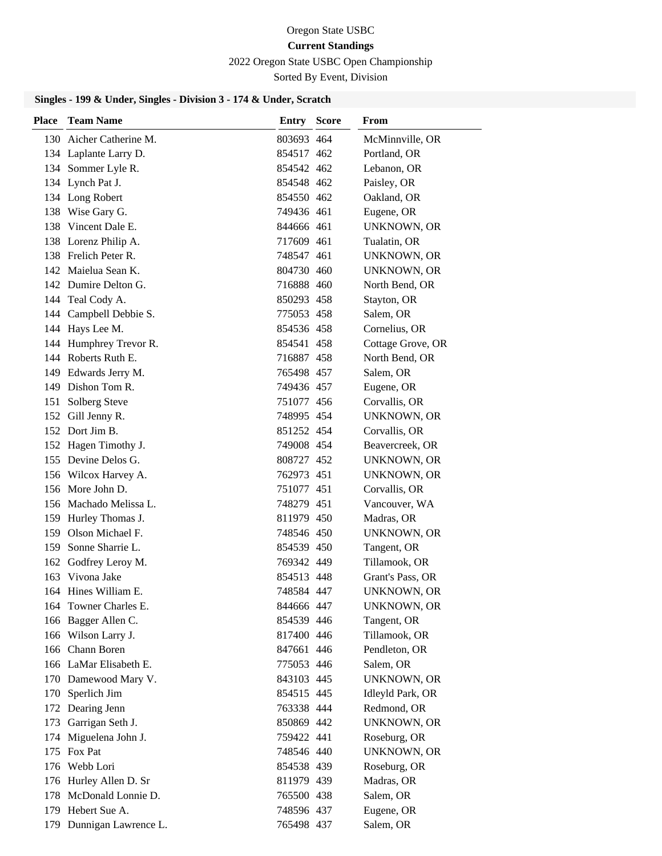2022 Oregon State USBC Open Championship

Sorted By Event, Division

| 130 Aicher Catherine M.<br>803693 464<br>McMinnville, OR<br>134 Laplante Larry D.<br>Portland, OR<br>854517 462<br>134 Sommer Lyle R.<br>Lebanon, OR<br>854542 462<br>134 Lynch Pat J.<br>Paisley, OR<br>854548 462<br>Oakland, OR<br>134 Long Robert<br>854550 462<br>138 Wise Gary G.<br>749436 461<br>Eugene, OR<br>138 Vincent Dale E.<br>844666 461<br>UNKNOWN, OR<br>138 Lorenz Philip A.<br>717609 461<br>Tualatin, OR<br>138 Frelich Peter R.<br><b>UNKNOWN, OR</b><br>748547 461<br>142 Maielua Sean K.<br>804730 460<br>UNKNOWN, OR<br>142 Dumire Delton G.<br>716888 460<br>North Bend, OR<br>144 Teal Cody A.<br>Stayton, OR<br>850293 458<br>144 Campbell Debbie S.<br>Salem, OR<br>775053 458<br>144 Hays Lee M.<br>Cornelius, OR<br>854536 458<br>144 Humphrey Trevor R.<br>854541 458<br>Cottage Grove, OR<br>144 Roberts Ruth E.<br>716887 458<br>North Bend, OR<br>149 Edwards Jerry M.<br>Salem, OR<br>765498 457<br>149 Dishon Tom R.<br>Eugene, OR<br>749436 457<br>Corvallis, OR<br>151 Solberg Steve<br>751077 456<br>152 Gill Jenny R.<br>748995 454<br><b>UNKNOWN, OR</b><br>152 Dort Jim B.<br>Corvallis, OR<br>851252 454<br>152 Hagen Timothy J.<br>749008 454<br>Beavercreek, OR<br>155 Devine Delos G.<br>808727 452<br><b>UNKNOWN, OR</b><br>156 Wilcox Harvey A.<br>762973 451<br><b>UNKNOWN, OR</b><br>156 More John D.<br>Corvallis, OR<br>751077 451<br>Vancouver, WA<br>156 Machado Melissa L.<br>748279 451<br>159 Hurley Thomas J.<br>Madras, OR<br>811979 450<br>159 Olson Michael F.<br><b>UNKNOWN, OR</b><br>748546 450<br>159 Sonne Sharrie L.<br>Tangent, OR<br>854539 450<br>162 Godfrey Leroy M.<br>Tillamook, OR<br>769342 449<br>163 Vivona Jake<br>854513 448<br>Grant's Pass, OR<br>748584 447<br><b>UNKNOWN, OR</b><br>164 Hines William E.<br>164 Towner Charles E.<br>844666 447<br>UNKNOWN, OR<br>166 Bagger Allen C.<br>854539 446<br>Tangent, OR<br>166 Wilson Larry J.<br>Tillamook, OR<br>817400 446<br>166 Chann Boren<br>Pendleton, OR<br>847661 446<br>166 LaMar Elisabeth E.<br>Salem, OR<br>775053 446<br>170 Damewood Mary V.<br>843103 445<br>UNKNOWN, OR<br>170 Sperlich Jim<br>Idleyld Park, OR<br>854515 445<br>172 Dearing Jenn<br>Redmond, OR<br>763338 444<br>Garrigan Seth J.<br><b>UNKNOWN, OR</b><br>850869 442<br>173<br>174 Miguelena John J.<br>759422 441<br>Roseburg, OR<br>175 Fox Pat<br>748546 440<br><b>UNKNOWN, OR</b><br>176 Webb Lori<br>854538 439<br>Roseburg, OR<br>176 Hurley Allen D. Sr<br>Madras, OR<br>811979 439<br>178 McDonald Lonnie D.<br>Salem, OR<br>765500 438<br>179 Hebert Sue A.<br>Eugene, OR<br>748596 437<br>765498 437 | Place | <b>Team Name</b>         | <b>Entry Score</b> | <b>From</b> |
|------------------------------------------------------------------------------------------------------------------------------------------------------------------------------------------------------------------------------------------------------------------------------------------------------------------------------------------------------------------------------------------------------------------------------------------------------------------------------------------------------------------------------------------------------------------------------------------------------------------------------------------------------------------------------------------------------------------------------------------------------------------------------------------------------------------------------------------------------------------------------------------------------------------------------------------------------------------------------------------------------------------------------------------------------------------------------------------------------------------------------------------------------------------------------------------------------------------------------------------------------------------------------------------------------------------------------------------------------------------------------------------------------------------------------------------------------------------------------------------------------------------------------------------------------------------------------------------------------------------------------------------------------------------------------------------------------------------------------------------------------------------------------------------------------------------------------------------------------------------------------------------------------------------------------------------------------------------------------------------------------------------------------------------------------------------------------------------------------------------------------------------------------------------------------------------------------------------------------------------------------------------------------------------------------------------------------------------------------------------------------------------------------------------------------------------------------------------------------------------------------------------------------------------------------------------------------------------------------------------------------------|-------|--------------------------|--------------------|-------------|
|                                                                                                                                                                                                                                                                                                                                                                                                                                                                                                                                                                                                                                                                                                                                                                                                                                                                                                                                                                                                                                                                                                                                                                                                                                                                                                                                                                                                                                                                                                                                                                                                                                                                                                                                                                                                                                                                                                                                                                                                                                                                                                                                                                                                                                                                                                                                                                                                                                                                                                                                                                                                                                    |       |                          |                    |             |
|                                                                                                                                                                                                                                                                                                                                                                                                                                                                                                                                                                                                                                                                                                                                                                                                                                                                                                                                                                                                                                                                                                                                                                                                                                                                                                                                                                                                                                                                                                                                                                                                                                                                                                                                                                                                                                                                                                                                                                                                                                                                                                                                                                                                                                                                                                                                                                                                                                                                                                                                                                                                                                    |       |                          |                    |             |
|                                                                                                                                                                                                                                                                                                                                                                                                                                                                                                                                                                                                                                                                                                                                                                                                                                                                                                                                                                                                                                                                                                                                                                                                                                                                                                                                                                                                                                                                                                                                                                                                                                                                                                                                                                                                                                                                                                                                                                                                                                                                                                                                                                                                                                                                                                                                                                                                                                                                                                                                                                                                                                    |       |                          |                    |             |
|                                                                                                                                                                                                                                                                                                                                                                                                                                                                                                                                                                                                                                                                                                                                                                                                                                                                                                                                                                                                                                                                                                                                                                                                                                                                                                                                                                                                                                                                                                                                                                                                                                                                                                                                                                                                                                                                                                                                                                                                                                                                                                                                                                                                                                                                                                                                                                                                                                                                                                                                                                                                                                    |       |                          |                    |             |
|                                                                                                                                                                                                                                                                                                                                                                                                                                                                                                                                                                                                                                                                                                                                                                                                                                                                                                                                                                                                                                                                                                                                                                                                                                                                                                                                                                                                                                                                                                                                                                                                                                                                                                                                                                                                                                                                                                                                                                                                                                                                                                                                                                                                                                                                                                                                                                                                                                                                                                                                                                                                                                    |       |                          |                    |             |
|                                                                                                                                                                                                                                                                                                                                                                                                                                                                                                                                                                                                                                                                                                                                                                                                                                                                                                                                                                                                                                                                                                                                                                                                                                                                                                                                                                                                                                                                                                                                                                                                                                                                                                                                                                                                                                                                                                                                                                                                                                                                                                                                                                                                                                                                                                                                                                                                                                                                                                                                                                                                                                    |       |                          |                    |             |
|                                                                                                                                                                                                                                                                                                                                                                                                                                                                                                                                                                                                                                                                                                                                                                                                                                                                                                                                                                                                                                                                                                                                                                                                                                                                                                                                                                                                                                                                                                                                                                                                                                                                                                                                                                                                                                                                                                                                                                                                                                                                                                                                                                                                                                                                                                                                                                                                                                                                                                                                                                                                                                    |       |                          |                    |             |
|                                                                                                                                                                                                                                                                                                                                                                                                                                                                                                                                                                                                                                                                                                                                                                                                                                                                                                                                                                                                                                                                                                                                                                                                                                                                                                                                                                                                                                                                                                                                                                                                                                                                                                                                                                                                                                                                                                                                                                                                                                                                                                                                                                                                                                                                                                                                                                                                                                                                                                                                                                                                                                    |       |                          |                    |             |
|                                                                                                                                                                                                                                                                                                                                                                                                                                                                                                                                                                                                                                                                                                                                                                                                                                                                                                                                                                                                                                                                                                                                                                                                                                                                                                                                                                                                                                                                                                                                                                                                                                                                                                                                                                                                                                                                                                                                                                                                                                                                                                                                                                                                                                                                                                                                                                                                                                                                                                                                                                                                                                    |       |                          |                    |             |
|                                                                                                                                                                                                                                                                                                                                                                                                                                                                                                                                                                                                                                                                                                                                                                                                                                                                                                                                                                                                                                                                                                                                                                                                                                                                                                                                                                                                                                                                                                                                                                                                                                                                                                                                                                                                                                                                                                                                                                                                                                                                                                                                                                                                                                                                                                                                                                                                                                                                                                                                                                                                                                    |       |                          |                    |             |
|                                                                                                                                                                                                                                                                                                                                                                                                                                                                                                                                                                                                                                                                                                                                                                                                                                                                                                                                                                                                                                                                                                                                                                                                                                                                                                                                                                                                                                                                                                                                                                                                                                                                                                                                                                                                                                                                                                                                                                                                                                                                                                                                                                                                                                                                                                                                                                                                                                                                                                                                                                                                                                    |       |                          |                    |             |
|                                                                                                                                                                                                                                                                                                                                                                                                                                                                                                                                                                                                                                                                                                                                                                                                                                                                                                                                                                                                                                                                                                                                                                                                                                                                                                                                                                                                                                                                                                                                                                                                                                                                                                                                                                                                                                                                                                                                                                                                                                                                                                                                                                                                                                                                                                                                                                                                                                                                                                                                                                                                                                    |       |                          |                    |             |
|                                                                                                                                                                                                                                                                                                                                                                                                                                                                                                                                                                                                                                                                                                                                                                                                                                                                                                                                                                                                                                                                                                                                                                                                                                                                                                                                                                                                                                                                                                                                                                                                                                                                                                                                                                                                                                                                                                                                                                                                                                                                                                                                                                                                                                                                                                                                                                                                                                                                                                                                                                                                                                    |       |                          |                    |             |
|                                                                                                                                                                                                                                                                                                                                                                                                                                                                                                                                                                                                                                                                                                                                                                                                                                                                                                                                                                                                                                                                                                                                                                                                                                                                                                                                                                                                                                                                                                                                                                                                                                                                                                                                                                                                                                                                                                                                                                                                                                                                                                                                                                                                                                                                                                                                                                                                                                                                                                                                                                                                                                    |       |                          |                    |             |
|                                                                                                                                                                                                                                                                                                                                                                                                                                                                                                                                                                                                                                                                                                                                                                                                                                                                                                                                                                                                                                                                                                                                                                                                                                                                                                                                                                                                                                                                                                                                                                                                                                                                                                                                                                                                                                                                                                                                                                                                                                                                                                                                                                                                                                                                                                                                                                                                                                                                                                                                                                                                                                    |       |                          |                    |             |
|                                                                                                                                                                                                                                                                                                                                                                                                                                                                                                                                                                                                                                                                                                                                                                                                                                                                                                                                                                                                                                                                                                                                                                                                                                                                                                                                                                                                                                                                                                                                                                                                                                                                                                                                                                                                                                                                                                                                                                                                                                                                                                                                                                                                                                                                                                                                                                                                                                                                                                                                                                                                                                    |       |                          |                    |             |
|                                                                                                                                                                                                                                                                                                                                                                                                                                                                                                                                                                                                                                                                                                                                                                                                                                                                                                                                                                                                                                                                                                                                                                                                                                                                                                                                                                                                                                                                                                                                                                                                                                                                                                                                                                                                                                                                                                                                                                                                                                                                                                                                                                                                                                                                                                                                                                                                                                                                                                                                                                                                                                    |       |                          |                    |             |
|                                                                                                                                                                                                                                                                                                                                                                                                                                                                                                                                                                                                                                                                                                                                                                                                                                                                                                                                                                                                                                                                                                                                                                                                                                                                                                                                                                                                                                                                                                                                                                                                                                                                                                                                                                                                                                                                                                                                                                                                                                                                                                                                                                                                                                                                                                                                                                                                                                                                                                                                                                                                                                    |       |                          |                    |             |
|                                                                                                                                                                                                                                                                                                                                                                                                                                                                                                                                                                                                                                                                                                                                                                                                                                                                                                                                                                                                                                                                                                                                                                                                                                                                                                                                                                                                                                                                                                                                                                                                                                                                                                                                                                                                                                                                                                                                                                                                                                                                                                                                                                                                                                                                                                                                                                                                                                                                                                                                                                                                                                    |       |                          |                    |             |
|                                                                                                                                                                                                                                                                                                                                                                                                                                                                                                                                                                                                                                                                                                                                                                                                                                                                                                                                                                                                                                                                                                                                                                                                                                                                                                                                                                                                                                                                                                                                                                                                                                                                                                                                                                                                                                                                                                                                                                                                                                                                                                                                                                                                                                                                                                                                                                                                                                                                                                                                                                                                                                    |       |                          |                    |             |
|                                                                                                                                                                                                                                                                                                                                                                                                                                                                                                                                                                                                                                                                                                                                                                                                                                                                                                                                                                                                                                                                                                                                                                                                                                                                                                                                                                                                                                                                                                                                                                                                                                                                                                                                                                                                                                                                                                                                                                                                                                                                                                                                                                                                                                                                                                                                                                                                                                                                                                                                                                                                                                    |       |                          |                    |             |
|                                                                                                                                                                                                                                                                                                                                                                                                                                                                                                                                                                                                                                                                                                                                                                                                                                                                                                                                                                                                                                                                                                                                                                                                                                                                                                                                                                                                                                                                                                                                                                                                                                                                                                                                                                                                                                                                                                                                                                                                                                                                                                                                                                                                                                                                                                                                                                                                                                                                                                                                                                                                                                    |       |                          |                    |             |
|                                                                                                                                                                                                                                                                                                                                                                                                                                                                                                                                                                                                                                                                                                                                                                                                                                                                                                                                                                                                                                                                                                                                                                                                                                                                                                                                                                                                                                                                                                                                                                                                                                                                                                                                                                                                                                                                                                                                                                                                                                                                                                                                                                                                                                                                                                                                                                                                                                                                                                                                                                                                                                    |       |                          |                    |             |
|                                                                                                                                                                                                                                                                                                                                                                                                                                                                                                                                                                                                                                                                                                                                                                                                                                                                                                                                                                                                                                                                                                                                                                                                                                                                                                                                                                                                                                                                                                                                                                                                                                                                                                                                                                                                                                                                                                                                                                                                                                                                                                                                                                                                                                                                                                                                                                                                                                                                                                                                                                                                                                    |       |                          |                    |             |
|                                                                                                                                                                                                                                                                                                                                                                                                                                                                                                                                                                                                                                                                                                                                                                                                                                                                                                                                                                                                                                                                                                                                                                                                                                                                                                                                                                                                                                                                                                                                                                                                                                                                                                                                                                                                                                                                                                                                                                                                                                                                                                                                                                                                                                                                                                                                                                                                                                                                                                                                                                                                                                    |       |                          |                    |             |
|                                                                                                                                                                                                                                                                                                                                                                                                                                                                                                                                                                                                                                                                                                                                                                                                                                                                                                                                                                                                                                                                                                                                                                                                                                                                                                                                                                                                                                                                                                                                                                                                                                                                                                                                                                                                                                                                                                                                                                                                                                                                                                                                                                                                                                                                                                                                                                                                                                                                                                                                                                                                                                    |       |                          |                    |             |
|                                                                                                                                                                                                                                                                                                                                                                                                                                                                                                                                                                                                                                                                                                                                                                                                                                                                                                                                                                                                                                                                                                                                                                                                                                                                                                                                                                                                                                                                                                                                                                                                                                                                                                                                                                                                                                                                                                                                                                                                                                                                                                                                                                                                                                                                                                                                                                                                                                                                                                                                                                                                                                    |       |                          |                    |             |
|                                                                                                                                                                                                                                                                                                                                                                                                                                                                                                                                                                                                                                                                                                                                                                                                                                                                                                                                                                                                                                                                                                                                                                                                                                                                                                                                                                                                                                                                                                                                                                                                                                                                                                                                                                                                                                                                                                                                                                                                                                                                                                                                                                                                                                                                                                                                                                                                                                                                                                                                                                                                                                    |       |                          |                    |             |
|                                                                                                                                                                                                                                                                                                                                                                                                                                                                                                                                                                                                                                                                                                                                                                                                                                                                                                                                                                                                                                                                                                                                                                                                                                                                                                                                                                                                                                                                                                                                                                                                                                                                                                                                                                                                                                                                                                                                                                                                                                                                                                                                                                                                                                                                                                                                                                                                                                                                                                                                                                                                                                    |       |                          |                    |             |
|                                                                                                                                                                                                                                                                                                                                                                                                                                                                                                                                                                                                                                                                                                                                                                                                                                                                                                                                                                                                                                                                                                                                                                                                                                                                                                                                                                                                                                                                                                                                                                                                                                                                                                                                                                                                                                                                                                                                                                                                                                                                                                                                                                                                                                                                                                                                                                                                                                                                                                                                                                                                                                    |       |                          |                    |             |
|                                                                                                                                                                                                                                                                                                                                                                                                                                                                                                                                                                                                                                                                                                                                                                                                                                                                                                                                                                                                                                                                                                                                                                                                                                                                                                                                                                                                                                                                                                                                                                                                                                                                                                                                                                                                                                                                                                                                                                                                                                                                                                                                                                                                                                                                                                                                                                                                                                                                                                                                                                                                                                    |       |                          |                    |             |
|                                                                                                                                                                                                                                                                                                                                                                                                                                                                                                                                                                                                                                                                                                                                                                                                                                                                                                                                                                                                                                                                                                                                                                                                                                                                                                                                                                                                                                                                                                                                                                                                                                                                                                                                                                                                                                                                                                                                                                                                                                                                                                                                                                                                                                                                                                                                                                                                                                                                                                                                                                                                                                    |       |                          |                    |             |
|                                                                                                                                                                                                                                                                                                                                                                                                                                                                                                                                                                                                                                                                                                                                                                                                                                                                                                                                                                                                                                                                                                                                                                                                                                                                                                                                                                                                                                                                                                                                                                                                                                                                                                                                                                                                                                                                                                                                                                                                                                                                                                                                                                                                                                                                                                                                                                                                                                                                                                                                                                                                                                    |       |                          |                    |             |
|                                                                                                                                                                                                                                                                                                                                                                                                                                                                                                                                                                                                                                                                                                                                                                                                                                                                                                                                                                                                                                                                                                                                                                                                                                                                                                                                                                                                                                                                                                                                                                                                                                                                                                                                                                                                                                                                                                                                                                                                                                                                                                                                                                                                                                                                                                                                                                                                                                                                                                                                                                                                                                    |       |                          |                    |             |
|                                                                                                                                                                                                                                                                                                                                                                                                                                                                                                                                                                                                                                                                                                                                                                                                                                                                                                                                                                                                                                                                                                                                                                                                                                                                                                                                                                                                                                                                                                                                                                                                                                                                                                                                                                                                                                                                                                                                                                                                                                                                                                                                                                                                                                                                                                                                                                                                                                                                                                                                                                                                                                    |       |                          |                    |             |
|                                                                                                                                                                                                                                                                                                                                                                                                                                                                                                                                                                                                                                                                                                                                                                                                                                                                                                                                                                                                                                                                                                                                                                                                                                                                                                                                                                                                                                                                                                                                                                                                                                                                                                                                                                                                                                                                                                                                                                                                                                                                                                                                                                                                                                                                                                                                                                                                                                                                                                                                                                                                                                    |       |                          |                    |             |
|                                                                                                                                                                                                                                                                                                                                                                                                                                                                                                                                                                                                                                                                                                                                                                                                                                                                                                                                                                                                                                                                                                                                                                                                                                                                                                                                                                                                                                                                                                                                                                                                                                                                                                                                                                                                                                                                                                                                                                                                                                                                                                                                                                                                                                                                                                                                                                                                                                                                                                                                                                                                                                    |       |                          |                    |             |
|                                                                                                                                                                                                                                                                                                                                                                                                                                                                                                                                                                                                                                                                                                                                                                                                                                                                                                                                                                                                                                                                                                                                                                                                                                                                                                                                                                                                                                                                                                                                                                                                                                                                                                                                                                                                                                                                                                                                                                                                                                                                                                                                                                                                                                                                                                                                                                                                                                                                                                                                                                                                                                    |       |                          |                    |             |
|                                                                                                                                                                                                                                                                                                                                                                                                                                                                                                                                                                                                                                                                                                                                                                                                                                                                                                                                                                                                                                                                                                                                                                                                                                                                                                                                                                                                                                                                                                                                                                                                                                                                                                                                                                                                                                                                                                                                                                                                                                                                                                                                                                                                                                                                                                                                                                                                                                                                                                                                                                                                                                    |       |                          |                    |             |
|                                                                                                                                                                                                                                                                                                                                                                                                                                                                                                                                                                                                                                                                                                                                                                                                                                                                                                                                                                                                                                                                                                                                                                                                                                                                                                                                                                                                                                                                                                                                                                                                                                                                                                                                                                                                                                                                                                                                                                                                                                                                                                                                                                                                                                                                                                                                                                                                                                                                                                                                                                                                                                    |       |                          |                    |             |
|                                                                                                                                                                                                                                                                                                                                                                                                                                                                                                                                                                                                                                                                                                                                                                                                                                                                                                                                                                                                                                                                                                                                                                                                                                                                                                                                                                                                                                                                                                                                                                                                                                                                                                                                                                                                                                                                                                                                                                                                                                                                                                                                                                                                                                                                                                                                                                                                                                                                                                                                                                                                                                    |       |                          |                    |             |
|                                                                                                                                                                                                                                                                                                                                                                                                                                                                                                                                                                                                                                                                                                                                                                                                                                                                                                                                                                                                                                                                                                                                                                                                                                                                                                                                                                                                                                                                                                                                                                                                                                                                                                                                                                                                                                                                                                                                                                                                                                                                                                                                                                                                                                                                                                                                                                                                                                                                                                                                                                                                                                    |       |                          |                    |             |
|                                                                                                                                                                                                                                                                                                                                                                                                                                                                                                                                                                                                                                                                                                                                                                                                                                                                                                                                                                                                                                                                                                                                                                                                                                                                                                                                                                                                                                                                                                                                                                                                                                                                                                                                                                                                                                                                                                                                                                                                                                                                                                                                                                                                                                                                                                                                                                                                                                                                                                                                                                                                                                    |       |                          |                    |             |
|                                                                                                                                                                                                                                                                                                                                                                                                                                                                                                                                                                                                                                                                                                                                                                                                                                                                                                                                                                                                                                                                                                                                                                                                                                                                                                                                                                                                                                                                                                                                                                                                                                                                                                                                                                                                                                                                                                                                                                                                                                                                                                                                                                                                                                                                                                                                                                                                                                                                                                                                                                                                                                    |       |                          |                    |             |
|                                                                                                                                                                                                                                                                                                                                                                                                                                                                                                                                                                                                                                                                                                                                                                                                                                                                                                                                                                                                                                                                                                                                                                                                                                                                                                                                                                                                                                                                                                                                                                                                                                                                                                                                                                                                                                                                                                                                                                                                                                                                                                                                                                                                                                                                                                                                                                                                                                                                                                                                                                                                                                    |       |                          |                    |             |
|                                                                                                                                                                                                                                                                                                                                                                                                                                                                                                                                                                                                                                                                                                                                                                                                                                                                                                                                                                                                                                                                                                                                                                                                                                                                                                                                                                                                                                                                                                                                                                                                                                                                                                                                                                                                                                                                                                                                                                                                                                                                                                                                                                                                                                                                                                                                                                                                                                                                                                                                                                                                                                    |       |                          |                    |             |
|                                                                                                                                                                                                                                                                                                                                                                                                                                                                                                                                                                                                                                                                                                                                                                                                                                                                                                                                                                                                                                                                                                                                                                                                                                                                                                                                                                                                                                                                                                                                                                                                                                                                                                                                                                                                                                                                                                                                                                                                                                                                                                                                                                                                                                                                                                                                                                                                                                                                                                                                                                                                                                    |       |                          |                    |             |
|                                                                                                                                                                                                                                                                                                                                                                                                                                                                                                                                                                                                                                                                                                                                                                                                                                                                                                                                                                                                                                                                                                                                                                                                                                                                                                                                                                                                                                                                                                                                                                                                                                                                                                                                                                                                                                                                                                                                                                                                                                                                                                                                                                                                                                                                                                                                                                                                                                                                                                                                                                                                                                    |       | 179 Dunnigan Lawrence L. |                    | Salem, OR   |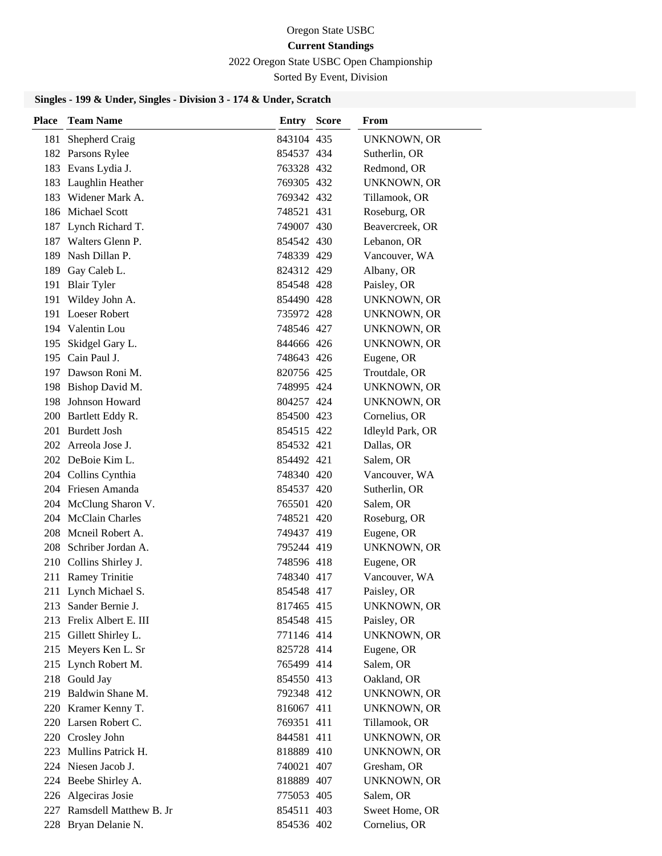#### 2022 Oregon State USBC Open Championship

Sorted By Event, Division

| <b>Place</b> | <b>Team Name</b>           | <b>Entry Score</b> | From               |
|--------------|----------------------------|--------------------|--------------------|
| 181          | Shepherd Craig             | 843104 435         | <b>UNKNOWN, OR</b> |
|              | 182 Parsons Rylee          | 854537 434         | Sutherlin, OR      |
|              | 183 Evans Lydia J.         | 763328 432         | Redmond, OR        |
|              | 183 Laughlin Heather       | 769305 432         | <b>UNKNOWN, OR</b> |
|              | 183 Widener Mark A.        | 769342 432         | Tillamook, OR      |
|              | 186 Michael Scott          | 748521 431         | Roseburg, OR       |
|              | 187 Lynch Richard T.       | 749007 430         | Beavercreek, OR    |
|              | 187 Walters Glenn P.       | 854542 430         | Lebanon, OR        |
|              | 189 Nash Dillan P.         | 748339 429         | Vancouver, WA      |
|              | 189 Gay Caleb L.           | 824312 429         | Albany, OR         |
|              | 191 Blair Tyler            | 854548 428         | Paisley, OR        |
|              | 191 Wildey John A.         | 854490 428         | <b>UNKNOWN, OR</b> |
|              | 191 Loeser Robert          | 735972 428         | <b>UNKNOWN, OR</b> |
|              | 194 Valentin Lou           | 748546 427         | UNKNOWN, OR        |
|              | 195 Skidgel Gary L.        | 844666 426         | <b>UNKNOWN, OR</b> |
|              | 195 Cain Paul J.           | 748643 426         | Eugene, OR         |
|              | 197 Dawson Roni M.         | 820756 425         | Troutdale, OR      |
|              | 198 Bishop David M.        | 748995 424         | UNKNOWN, OR        |
|              | 198 Johnson Howard         | 804257 424         | <b>UNKNOWN, OR</b> |
|              | 200 Bartlett Eddy R.       | 854500 423         | Cornelius, OR      |
|              | 201 Burdett Josh           | 854515 422         | Idleyld Park, OR   |
|              | 202 Arreola Jose J.        | 854532 421         | Dallas, OR         |
|              | 202 DeBoie Kim L.          | 854492 421         | Salem, OR          |
|              | 204 Collins Cynthia        | 748340 420         | Vancouver, WA      |
|              | 204 Friesen Amanda         | 854537 420         | Sutherlin, OR      |
|              | 204 McClung Sharon V.      | 765501 420         | Salem, OR          |
|              | 204 McClain Charles        | 748521 420         | Roseburg, OR       |
|              | 208 Mcneil Robert A.       | 749437 419         | Eugene, OR         |
|              | 208 Schriber Jordan A.     | 795244 419         | <b>UNKNOWN, OR</b> |
|              | 210 Collins Shirley J.     | 748596 418         | Eugene, OR         |
|              | 211 Ramey Trinitie         | 748340 417         | Vancouver, WA      |
|              | 211 Lynch Michael S.       | 854548 417         | Paisley, OR        |
|              | 213 Sander Bernie J.       | 817465 415         | <b>UNKNOWN, OR</b> |
|              | 213 Frelix Albert E. III   | 854548 415         | Paisley, OR        |
|              | 215 Gillett Shirley L.     | 771146 414         | UNKNOWN, OR        |
|              | 215 Meyers Ken L. Sr       | 825728 414         | Eugene, OR         |
|              | 215 Lynch Robert M.        | 765499 414         | Salem, OR          |
|              | 218 Gould Jay              | 854550 413         | Oakland, OR        |
|              | 219 Baldwin Shane M.       | 792348 412         | UNKNOWN, OR        |
|              | 220 Kramer Kenny T.        | 816067 411         | UNKNOWN, OR        |
|              | 220 Larsen Robert C.       | 769351 411         | Tillamook, OR      |
|              | 220 Crosley John           | 844581 411         | UNKNOWN, OR        |
|              | 223 Mullins Patrick H.     | 818889 410         | <b>UNKNOWN, OR</b> |
|              | 224 Niesen Jacob J.        | 740021 407         | Gresham, OR        |
|              | 224 Beebe Shirley A.       | 818889 407         | <b>UNKNOWN, OR</b> |
|              | 226 Algeciras Josie        | 775053 405         | Salem, OR          |
|              | 227 Ramsdell Matthew B. Jr | 854511 403         | Sweet Home, OR     |
|              | 228 Bryan Delanie N.       | 854536 402         | Cornelius, OR      |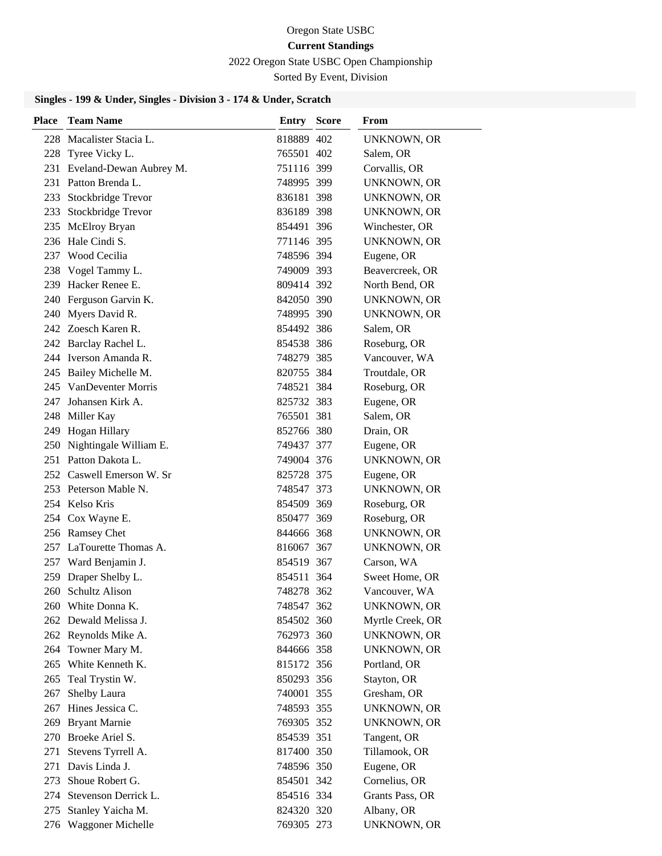2022 Oregon State USBC Open Championship

Sorted By Event, Division

| <b>Place</b> | <b>Team Name</b>            | <b>Entry Score</b> | From               |
|--------------|-----------------------------|--------------------|--------------------|
|              | 228 Macalister Stacia L.    | 818889 402         | <b>UNKNOWN, OR</b> |
|              | 228 Tyree Vicky L.          | 765501 402         | Salem, OR          |
|              | 231 Eveland-Dewan Aubrey M. | 751116 399         | Corvallis, OR      |
|              | 231 Patton Brenda L.        | 748995 399         | <b>UNKNOWN, OR</b> |
|              | 233 Stockbridge Trevor      | 836181 398         | <b>UNKNOWN, OR</b> |
|              | 233 Stockbridge Trevor      | 836189 398         | UNKNOWN, OR        |
|              | 235 McElroy Bryan           | 854491 396         | Winchester, OR     |
|              | 236 Hale Cindi S.           | 771146 395         | <b>UNKNOWN, OR</b> |
|              | 237 Wood Cecilia            | 748596 394         | Eugene, OR         |
|              | 238 Vogel Tammy L.          | 749009 393         | Beavercreek, OR    |
|              | 239 Hacker Renee E.         | 809414 392         | North Bend, OR     |
|              | 240 Ferguson Garvin K.      | 842050 390         | UNKNOWN, OR        |
|              | 240 Myers David R.          | 748995 390         | <b>UNKNOWN, OR</b> |
|              | 242 Zoesch Karen R.         | 854492 386         | Salem, OR          |
|              | 242 Barclay Rachel L.       | 854538 386         | Roseburg, OR       |
|              | 244 Iverson Amanda R.       | 748279 385         | Vancouver, WA      |
|              | 245 Bailey Michelle M.      | 820755 384         | Troutdale, OR      |
|              | 245 VanDeventer Morris      | 748521 384         | Roseburg, OR       |
|              | 247 Johansen Kirk A.        | 825732 383         | Eugene, OR         |
|              | 248 Miller Kay              | 765501 381         | Salem, OR          |
|              | 249 Hogan Hillary           | 852766 380         | Drain, OR          |
|              | 250 Nightingale William E.  | 749437 377         | Eugene, OR         |
|              | 251 Patton Dakota L.        | 749004 376         | <b>UNKNOWN, OR</b> |
|              | 252 Caswell Emerson W. Sr   | 825728 375         | Eugene, OR         |
|              | 253 Peterson Mable N.       | 748547 373         | <b>UNKNOWN, OR</b> |
|              | 254 Kelso Kris              | 854509 369         | Roseburg, OR       |
|              | 254 Cox Wayne E.            | 850477 369         | Roseburg, OR       |
|              | 256 Ramsey Chet             | 844666 368         | UNKNOWN, OR        |
|              | 257 LaTourette Thomas A.    | 816067 367         | <b>UNKNOWN, OR</b> |
|              | 257 Ward Benjamin J.        | 854519 367         | Carson, WA         |
|              | 259 Draper Shelby L.        | 854511 364         | Sweet Home, OR     |
|              | 260 Schultz Alison          | 748278 362         | Vancouver, WA      |
|              | 260 White Donna K.          | 748547 362         | UNKNOWN, OR        |
|              | 262 Dewald Melissa J.       | 854502 360         | Myrtle Creek, OR   |
|              | 262 Reynolds Mike A.        | 762973 360         | <b>UNKNOWN, OR</b> |
|              | 264 Towner Mary M.          | 844666 358         | <b>UNKNOWN, OR</b> |
|              | 265 White Kenneth K.        | 815172 356         | Portland, OR       |
| 265          | Teal Trystin W.             | 850293 356         | Stayton, OR        |
| 267          | Shelby Laura                | 740001 355         | Gresham, OR        |
| 267          | Hines Jessica C.            | 748593 355         | <b>UNKNOWN, OR</b> |
|              | 269 Bryant Marnie           | 769305 352         | <b>UNKNOWN, OR</b> |
|              | 270 Broeke Ariel S.         | 854539 351         | Tangent, OR        |
| 271          | Stevens Tyrrell A.          | 817400 350         | Tillamook, OR      |
| 271          | Davis Linda J.              | 748596 350         | Eugene, OR         |
| 273          | Shoue Robert G.             | 854501 342         | Cornelius, OR      |
| 274          | Stevenson Derrick L.        | 854516 334         | Grants Pass, OR    |
| 275          | Stanley Yaicha M.           | 824320 320         | Albany, OR         |
|              | 276 Waggoner Michelle       | 769305 273         | <b>UNKNOWN, OR</b> |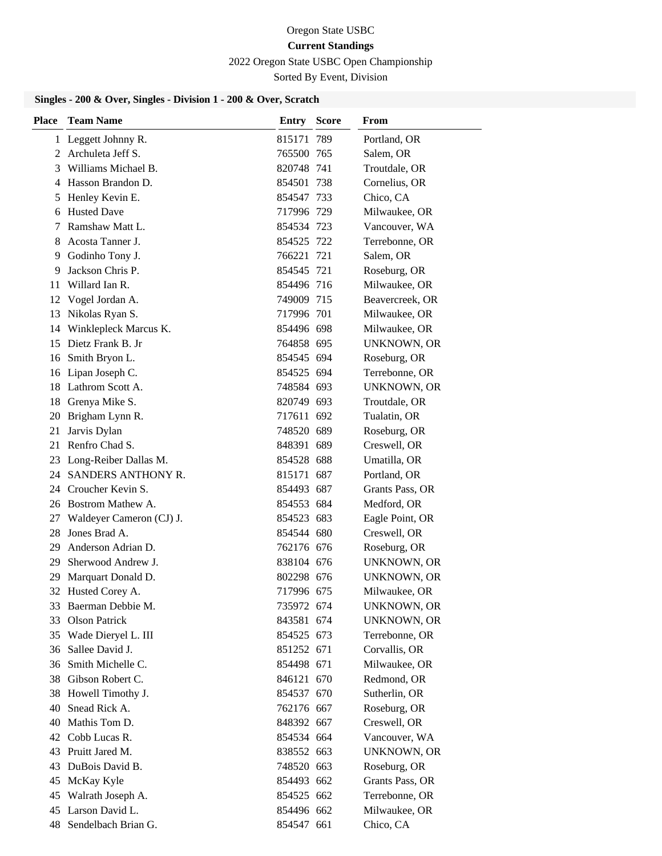#### 2022 Oregon State USBC Open Championship

Sorted By Event, Division

| Place | <b>Team Name</b>         | Entry      | <b>Score</b> | From               |
|-------|--------------------------|------------|--------------|--------------------|
|       | 1 Leggett Johnny R.      | 815171 789 |              | Portland, OR       |
|       | 2 Archuleta Jeff S.      | 765500 765 |              | Salem, OR          |
| 3     | Williams Michael B.      | 820748 741 |              | Troutdale, OR      |
|       | 4 Hasson Brandon D.      | 854501 738 |              | Cornelius, OR      |
| 5     | Henley Kevin E.          | 854547 733 |              | Chico, CA          |
|       | 6 Husted Dave            | 717996 729 |              | Milwaukee, OR      |
| 7     | Ramshaw Matt L.          | 854534 723 |              | Vancouver, WA      |
| 8     | Acosta Tanner J.         | 854525 722 |              | Terrebonne, OR     |
| 9     | Godinho Tony J.          | 766221 721 |              | Salem, OR          |
| 9     | Jackson Chris P.         | 854545 721 |              | Roseburg, OR       |
| 11    | Willard Ian R.           | 854496 716 |              | Milwaukee, OR      |
| 12    | Vogel Jordan A.          | 749009 715 |              | Beavercreek, OR    |
| 13    | Nikolas Ryan S.          | 717996 701 |              | Milwaukee, OR      |
| 14    | Winklepleck Marcus K.    | 854496 698 |              | Milwaukee, OR      |
| 15    | Dietz Frank B. Jr        | 764858 695 |              | <b>UNKNOWN, OR</b> |
|       | 16 Smith Bryon L.        | 854545 694 |              | Roseburg, OR       |
|       | 16 Lipan Joseph C.       | 854525 694 |              | Terrebonne, OR     |
|       | 18 Lathrom Scott A.      | 748584 693 |              | <b>UNKNOWN, OR</b> |
|       | 18 Grenya Mike S.        | 820749 693 |              | Troutdale, OR      |
| 20    | Brigham Lynn R.          | 717611 692 |              | Tualatin, OR       |
| 21    | Jarvis Dylan             | 748520 689 |              | Roseburg, OR       |
| 21    | Renfro Chad S.           | 848391 689 |              | Creswell, OR       |
| 23    | Long-Reiber Dallas M.    | 854528 688 |              | Umatilla, OR       |
| 24    | SANDERS ANTHONY R.       | 815171 687 |              | Portland, OR       |
| 24    | Croucher Kevin S.        | 854493 687 |              | Grants Pass, OR    |
|       | 26 Bostrom Mathew A.     | 854553 684 |              | Medford, OR        |
| 27    | Waldeyer Cameron (CJ) J. | 854523 683 |              | Eagle Point, OR    |
| 28    | Jones Brad A.            | 854544 680 |              | Creswell, OR       |
| 29    | Anderson Adrian D.       | 762176 676 |              | Roseburg, OR       |
|       | 29 Sherwood Andrew J.    | 838104 676 |              | <b>UNKNOWN, OR</b> |
| 29    | Marquart Donald D.       | 802298 676 |              | <b>UNKNOWN, OR</b> |
|       | 32 Husted Corey A.       | 717996 675 |              | Milwaukee, OR      |
| 33    | Baerman Debbie M.        | 735972 674 |              | UNKNOWN, OR        |
| 33    | <b>Olson Patrick</b>     | 843581 674 |              | <b>UNKNOWN, OR</b> |
| 35    | Wade Dieryel L. III      | 854525 673 |              | Terrebonne, OR     |
| 36    | Sallee David J.          | 851252 671 |              | Corvallis, OR      |
| 36    | Smith Michelle C.        | 854498 671 |              | Milwaukee, OR      |
| 38    | Gibson Robert C.         | 846121 670 |              | Redmond, OR        |
| 38    | Howell Timothy J.        | 854537 670 |              | Sutherlin, OR      |
| 40    | Snead Rick A.            | 762176 667 |              | Roseburg, OR       |
| 40    | Mathis Tom D.            | 848392 667 |              | Creswell, OR       |
|       | 42 Cobb Lucas R.         | 854534 664 |              | Vancouver, WA      |
| 43    | Pruitt Jared M.          | 838552 663 |              | UNKNOWN, OR        |
| 43    | DuBois David B.          | 748520 663 |              | Roseburg, OR       |
| 45    | McKay Kyle               | 854493 662 |              | Grants Pass, OR    |
| 45    | Walrath Joseph A.        | 854525 662 |              | Terrebonne, OR     |
| 45    | Larson David L.          | 854496 662 |              | Milwaukee, OR      |
| 48    | Sendelbach Brian G.      | 854547 661 |              | Chico, CA          |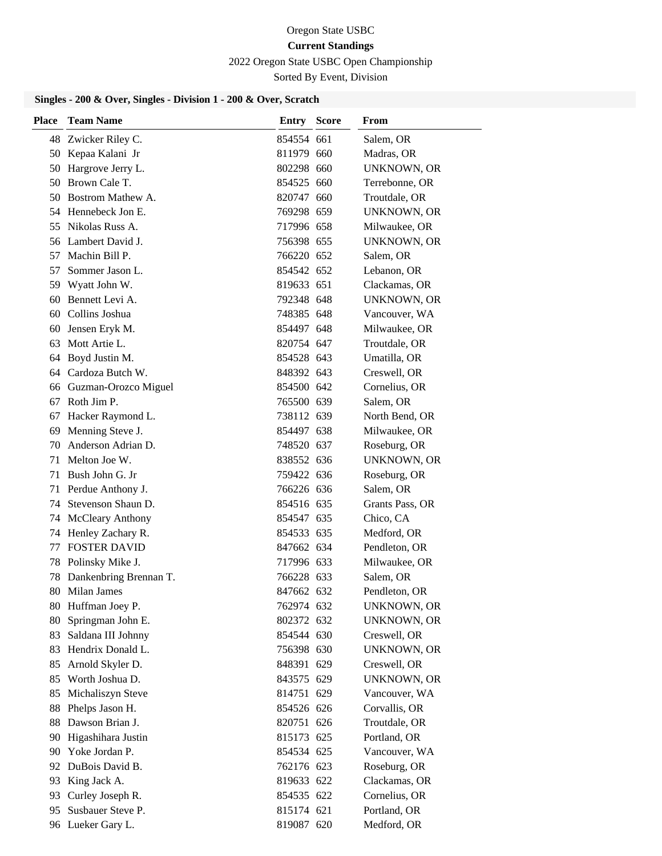#### 2022 Oregon State USBC Open Championship

Sorted By Event, Division

| Place | <b>Team Name</b>          | <b>Entry Score</b> | From               |
|-------|---------------------------|--------------------|--------------------|
| 48    | Zwicker Riley C.          | 854554 661         | Salem, OR          |
| 50    | Kepaa Kalani Jr           | 811979 660         | Madras, OR         |
| 50    | Hargrove Jerry L.         | 802298 660         | <b>UNKNOWN, OR</b> |
| 50    | Brown Cale T.             | 854525 660         | Terrebonne, OR     |
|       | 50 Bostrom Mathew A.      | 820747 660         | Troutdale, OR      |
|       | 54 Hennebeck Jon E.       | 769298 659         | <b>UNKNOWN, OR</b> |
|       | 55 Nikolas Russ A.        | 717996 658         | Milwaukee, OR      |
|       | 56 Lambert David J.       | 756398 655         | <b>UNKNOWN, OR</b> |
| 57    | Machin Bill P.            | 766220 652         | Salem, OR          |
| 57    | Sommer Jason L.           | 854542 652         | Lebanon, OR        |
|       | 59 Wyatt John W.          | 819633 651         | Clackamas, OR      |
| 60    | Bennett Levi A.           | 792348 648         | <b>UNKNOWN, OR</b> |
|       | 60 Collins Joshua         | 748385 648         | Vancouver, WA      |
| 60    | Jensen Eryk M.            | 854497 648         | Milwaukee, OR      |
| 63    | Mott Artie L.             | 820754 647         | Troutdale, OR      |
| 64    | Boyd Justin M.            | 854528 643         | Umatilla, OR       |
|       | 64 Cardoza Butch W.       | 848392 643         | Creswell, OR       |
|       | 66 Guzman-Orozco Miguel   | 854500 642         | Cornelius, OR      |
| 67    | Roth Jim P.               | 765500 639         | Salem, OR          |
| 67    | Hacker Raymond L.         | 738112 639         | North Bend, OR     |
| 69    | Menning Steve J.          | 854497 638         | Milwaukee, OR      |
| 70    | Anderson Adrian D.        | 748520 637         | Roseburg, OR       |
| 71    | Melton Joe W.             | 838552 636         | UNKNOWN, OR        |
| 71    | Bush John G. Jr           | 759422 636         | Roseburg, OR       |
| 71    | Perdue Anthony J.         | 766226 636         | Salem, OR          |
|       | 74 Stevenson Shaun D.     | 854516 635         | Grants Pass, OR    |
|       | 74 McCleary Anthony       | 854547 635         | Chico, CA          |
| 74    | Henley Zachary R.         | 854533 635         | Medford, OR        |
| 77    | <b>FOSTER DAVID</b>       | 847662 634         | Pendleton, OR      |
| 78    | Polinsky Mike J.          | 717996 633         | Milwaukee, OR      |
|       | 78 Dankenbring Brennan T. | 766228 633         | Salem, OR          |
| 80    | Milan James               | 847662 632         | Pendleton, OR      |
|       | 80 Huffman Joey P.        | 762974 632         | <b>UNKNOWN, OR</b> |
| 80    | Springman John E.         | 802372 632         | <b>UNKNOWN, OR</b> |
| 83    | Saldana III Johnny        | 854544 630         | Creswell, OR       |
| 83    | Hendrix Donald L.         | 756398 630         | <b>UNKNOWN, OR</b> |
| 85    | Arnold Skyler D.          | 848391 629         | Creswell, OR       |
| 85    | Worth Joshua D.           | 843575 629         | <b>UNKNOWN, OR</b> |
| 85    | Michaliszyn Steve         | 814751 629         | Vancouver, WA      |
| 88    | Phelps Jason H.           | 854526 626         | Corvallis, OR      |
| 88    | Dawson Brian J.           | 820751 626         | Troutdale, OR      |
| 90    | Higashihara Justin        | 815173 625         | Portland, OR       |
| 90    | Yoke Jordan P.            | 854534 625         | Vancouver, WA      |
|       | 92 DuBois David B.        | 762176 623         | Roseburg, OR       |
| 93    | King Jack A.              | 819633 622         | Clackamas, OR      |
| 93    | Curley Joseph R.          | 854535 622         | Cornelius, OR      |
| 95    | Susbauer Steve P.         | 815174 621         | Portland, OR       |
|       | 96 Lueker Gary L.         | 819087 620         | Medford, OR        |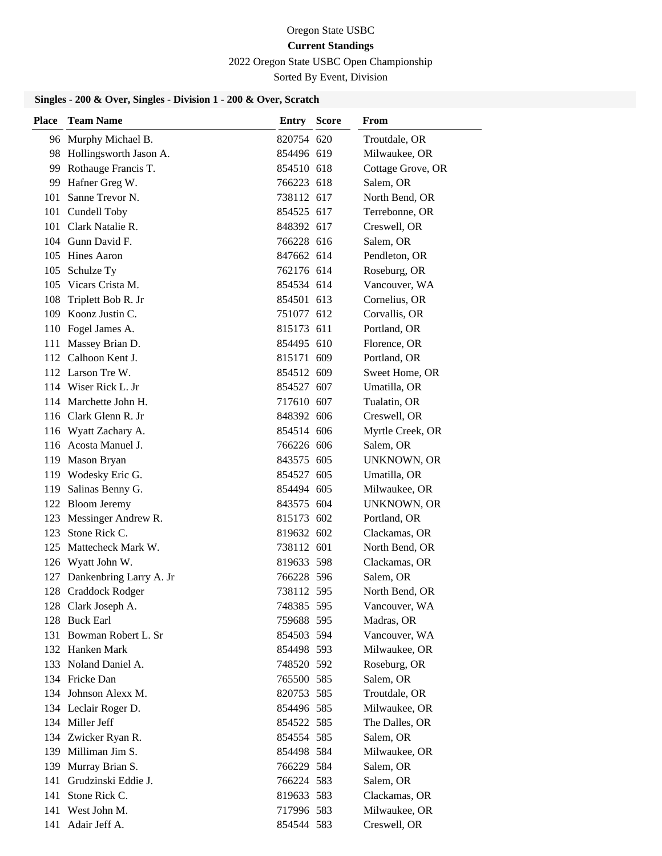#### 2022 Oregon State USBC Open Championship

Sorted By Event, Division

| Place | <b>Team Name</b>            | <b>Entry Score</b> | From               |
|-------|-----------------------------|--------------------|--------------------|
|       | 96 Murphy Michael B.        | 820754 620         | Troutdale, OR      |
|       | 98 Hollingsworth Jason A.   | 854496 619         | Milwaukee, OR      |
|       | 99 Rothauge Francis T.      | 854510 618         | Cottage Grove, OR  |
|       | 99 Hafner Greg W.           | 766223 618         | Salem, OR          |
|       | 101 Sanne Trevor N.         | 738112 617         | North Bend, OR     |
|       | 101 Cundell Toby            | 854525 617         | Terrebonne, OR     |
|       | 101 Clark Natalie R.        | 848392 617         | Creswell, OR       |
|       | 104 Gunn David F.           | 766228 616         | Salem, OR          |
|       | 105 Hines Aaron             | 847662 614         | Pendleton, OR      |
|       | 105 Schulze Ty              | 762176 614         | Roseburg, OR       |
|       | 105 Vicars Crista M.        | 854534 614         | Vancouver, WA      |
|       | 108 Triplett Bob R. Jr      | 854501 613         | Cornelius, OR      |
|       | 109 Koonz Justin C.         | 751077 612         | Corvallis, OR      |
|       | 110 Fogel James A.          | 815173 611         | Portland, OR       |
|       | 111 Massey Brian D.         | 854495 610         | Florence, OR       |
|       | 112 Calhoon Kent J.         | 815171 609         | Portland, OR       |
|       | 112 Larson Tre W.           | 854512 609         | Sweet Home, OR     |
|       | 114 Wiser Rick L. Jr        | 854527 607         | Umatilla, OR       |
|       | 114 Marchette John H.       | 717610 607         | Tualatin, OR       |
|       | 116 Clark Glenn R. Jr       | 848392 606         | Creswell, OR       |
|       | 116 Wyatt Zachary A.        | 854514 606         | Myrtle Creek, OR   |
|       | 116 Acosta Manuel J.        | 766226 606         | Salem, OR          |
|       | 119 Mason Bryan             | 843575 605         | <b>UNKNOWN, OR</b> |
|       | 119 Wodesky Eric G.         | 854527 605         | Umatilla, OR       |
|       | 119 Salinas Benny G.        | 854494 605         | Milwaukee, OR      |
|       | 122 Bloom Jeremy            | 843575 604         | <b>UNKNOWN, OR</b> |
|       | 123 Messinger Andrew R.     | 815173 602         | Portland, OR       |
|       | 123 Stone Rick C.           | 819632 602         | Clackamas, OR      |
|       | 125 Mattecheck Mark W.      | 738112 601         | North Bend, OR     |
|       | 126 Wyatt John W.           | 819633 598         | Clackamas, OR      |
|       | 127 Dankenbring Larry A. Jr | 766228 596         | Salem, OR          |
|       | 128 Craddock Rodger         | 738112 595         | North Bend, OR     |
|       | 128 Clark Joseph A.         | 748385 595         | Vancouver, WA      |
|       | 128 Buck Earl               | 759688 595         | Madras, OR         |
|       | 131 Bowman Robert L. Sr     | 854503 594         | Vancouver, WA      |
|       | 132 Hanken Mark             | 854498 593         | Milwaukee, OR      |
|       | 133 Noland Daniel A.        | 748520 592         | Roseburg, OR       |
|       | 134 Fricke Dan              | 765500 585         | Salem, OR          |
|       | 134 Johnson Alexx M.        | 820753 585         | Troutdale, OR      |
|       | 134 Leclair Roger D.        | 854496 585         | Milwaukee, OR      |
|       | 134 Miller Jeff             | 854522 585         | The Dalles, OR     |
|       | 134 Zwicker Ryan R.         | 854554 585         | Salem, OR          |
|       | 139 Milliman Jim S.         | 854498 584         | Milwaukee, OR      |
|       | 139 Murray Brian S.         | 766229 584         | Salem, OR          |
|       | 141 Grudzinski Eddie J.     | 766224 583         | Salem, OR          |
| 141   | Stone Rick C.               | 819633 583         | Clackamas, OR      |
|       | 141 West John M.            | 717996 583         | Milwaukee, OR      |
|       | 141 Adair Jeff A.           | 854544 583         | Creswell, OR       |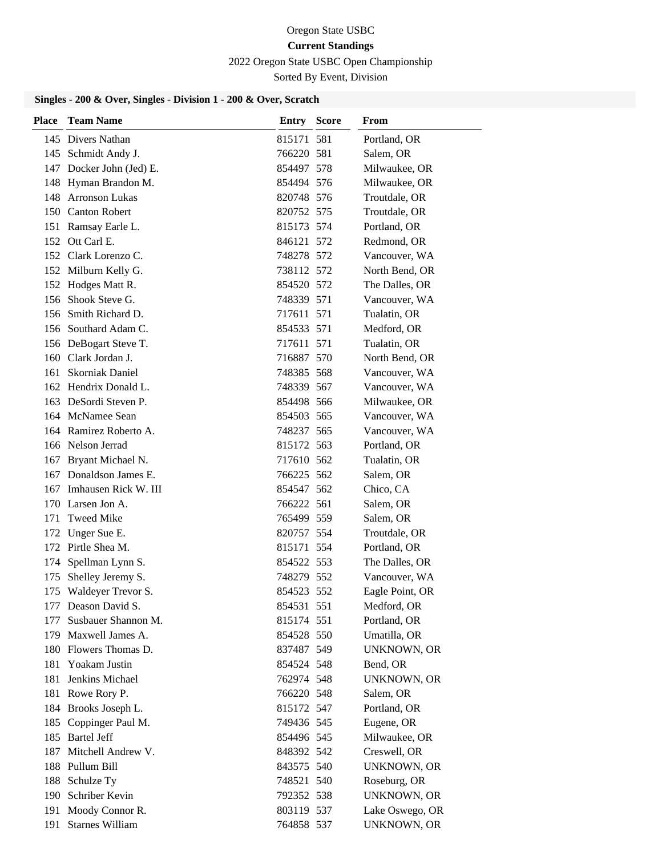# Oregon State USBC

# **Current Standings**

2022 Oregon State USBC Open Championship

Sorted By Event, Division

| Place | <b>Team Name</b>         | Entry      | <b>Score</b> | From               |
|-------|--------------------------|------------|--------------|--------------------|
|       | 145 Divers Nathan        | 815171 581 |              | Portland, OR       |
|       | 145 Schmidt Andy J.      | 766220 581 |              | Salem, OR          |
|       | 147 Docker John (Jed) E. | 854497 578 |              | Milwaukee, OR      |
|       | 148 Hyman Brandon M.     | 854494 576 |              | Milwaukee, OR      |
|       | 148 Arronson Lukas       | 820748 576 |              | Troutdale, OR      |
|       | 150 Canton Robert        | 820752 575 |              | Troutdale, OR      |
|       | 151 Ramsay Earle L.      | 815173 574 |              | Portland, OR       |
|       | 152 Ott Carl E.          | 846121 572 |              | Redmond, OR        |
|       | 152 Clark Lorenzo C.     | 748278 572 |              | Vancouver, WA      |
|       | 152 Milburn Kelly G.     | 738112 572 |              | North Bend, OR     |
|       | 152 Hodges Matt R.       | 854520 572 |              | The Dalles, OR     |
|       | 156 Shook Steve G.       | 748339 571 |              | Vancouver, WA      |
|       | 156 Smith Richard D.     | 717611 571 |              | Tualatin, OR       |
|       | 156 Southard Adam C.     | 854533 571 |              | Medford, OR        |
|       | 156 DeBogart Steve T.    | 717611 571 |              | Tualatin, OR       |
|       | 160 Clark Jordan J.      | 716887 570 |              | North Bend, OR     |
| 161   | Skorniak Daniel          | 748385 568 |              | Vancouver, WA      |
|       | 162 Hendrix Donald L.    | 748339 567 |              | Vancouver, WA      |
|       | 163 DeSordi Steven P.    | 854498 566 |              | Milwaukee, OR      |
|       | 164 McNamee Sean         | 854503 565 |              | Vancouver, WA      |
|       | 164 Ramirez Roberto A.   | 748237 565 |              | Vancouver, WA      |
|       | 166 Nelson Jerrad        | 815172 563 |              | Portland, OR       |
| 167   | Bryant Michael N.        | 717610 562 |              | Tualatin, OR       |
|       | 167 Donaldson James E.   | 766225 562 |              | Salem, OR          |
| 167   | Imhausen Rick W. III     | 854547 562 |              | Chico, CA          |
| 170   | Larsen Jon A.            | 766222 561 |              | Salem, OR          |
| 171   | <b>Tweed Mike</b>        | 765499 559 |              | Salem, OR          |
| 172   | Unger Sue E.             | 820757 554 |              | Troutdale, OR      |
|       | 172 Pirtle Shea M.       | 815171 554 |              | Portland, OR       |
|       | 174 Spellman Lynn S.     | 854522 553 |              | The Dalles, OR     |
| 175   | Shelley Jeremy S.        | 748279 552 |              | Vancouver, WA      |
|       | 175 Waldeyer Trevor S.   | 854523 552 |              | Eagle Point, OR    |
|       | 177 Deason David S.      | 854531 551 |              | Medford, OR        |
|       | 177 Susbauer Shannon M.  | 815174 551 |              | Portland, OR       |
|       | 179 Maxwell James A.     | 854528 550 |              | Umatilla, OR       |
|       | 180 Flowers Thomas D.    | 837487 549 |              | <b>UNKNOWN, OR</b> |
|       | 181 Yoakam Justin        | 854524 548 |              | Bend, OR           |
| 181   | Jenkins Michael          | 762974 548 |              | <b>UNKNOWN, OR</b> |
|       | 181 Rowe Rory P.         | 766220 548 |              | Salem, OR          |
|       | 184 Brooks Joseph L.     | 815172 547 |              | Portland, OR       |
|       | 185 Coppinger Paul M.    | 749436 545 |              | Eugene, OR         |
|       | 185 Bartel Jeff          | 854496 545 |              | Milwaukee, OR      |
|       | 187 Mitchell Andrew V.   | 848392 542 |              | Creswell, OR       |
|       | 188 Pullum Bill          | 843575 540 |              | UNKNOWN, OR        |
|       | 188 Schulze Ty           | 748521 540 |              | Roseburg, OR       |
|       | 190 Schriber Kevin       | 792352 538 |              | <b>UNKNOWN, OR</b> |
|       | 191 Moody Connor R.      | 803119 537 |              | Lake Oswego, OR    |
|       | 191 Starnes William      | 764858 537 |              | UNKNOWN, OR        |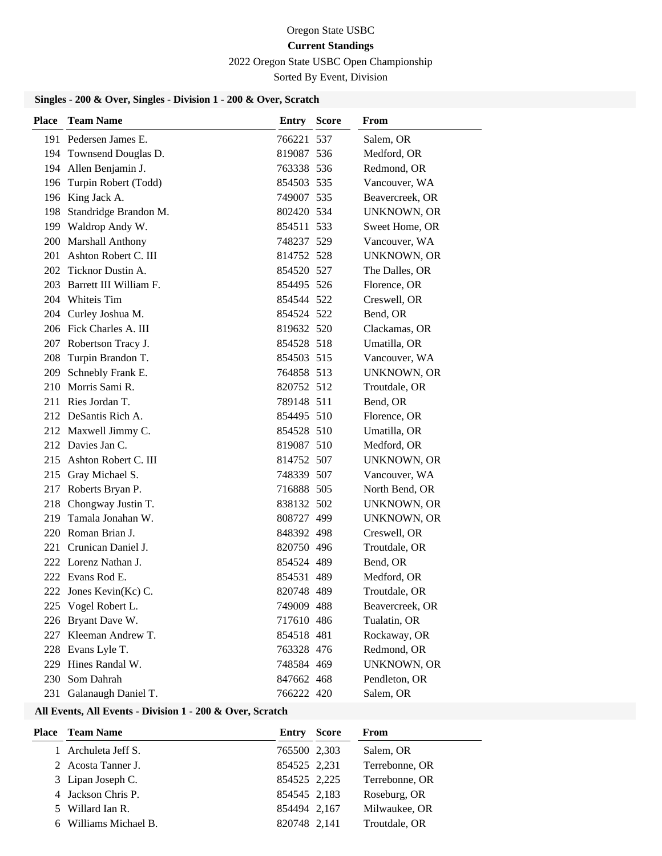2022 Oregon State USBC Open Championship

Sorted By Event, Division

# **Singles - 200 & Over, Singles - Division 1 - 200 & Over, Scratch**

| <b>Place</b> | <b>Team Name</b>           | Entry      | <b>Score</b> | From               |
|--------------|----------------------------|------------|--------------|--------------------|
|              | 191 Pedersen James E.      | 766221 537 |              | Salem, OR          |
|              | 194 Townsend Douglas D.    | 819087 536 |              | Medford, OR        |
|              | 194 Allen Benjamin J.      | 763338 536 |              | Redmond, OR        |
|              | 196 Turpin Robert (Todd)   | 854503 535 |              | Vancouver, WA      |
|              | 196 King Jack A.           | 749007 535 |              | Beavercreek, OR    |
|              | 198 Standridge Brandon M.  | 802420 534 |              | UNKNOWN, OR        |
|              | 199 Waldrop Andy W.        | 854511 533 |              | Sweet Home, OR     |
|              | 200 Marshall Anthony       | 748237 529 |              | Vancouver, WA      |
|              | 201 Ashton Robert C. III   | 814752 528 |              | <b>UNKNOWN, OR</b> |
|              | 202 Ticknor Dustin A.      | 854520 527 |              | The Dalles, OR     |
|              | 203 Barrett III William F. | 854495 526 |              | Florence, OR       |
|              | 204 Whiteis Tim            | 854544 522 |              | Creswell, OR       |
|              | 204 Curley Joshua M.       | 854524 522 |              | Bend, OR           |
|              | 206 Fick Charles A. III    | 819632 520 |              | Clackamas, OR      |
|              | 207 Robertson Tracy J.     | 854528 518 |              | Umatilla, OR       |
| 208          | Turpin Brandon T.          | 854503 515 |              | Vancouver, WA      |
| 209          | Schnebly Frank E.          | 764858 513 |              | <b>UNKNOWN, OR</b> |
|              | 210 Morris Sami R.         | 820752 512 |              | Troutdale, OR      |
|              | 211 Ries Jordan T.         | 789148 511 |              | Bend, OR           |
|              | 212 DeSantis Rich A.       | 854495 510 |              | Florence, OR       |
|              | 212 Maxwell Jimmy C.       | 854528 510 |              | Umatilla, OR       |
|              | 212 Davies Jan C.          | 819087 510 |              | Medford, OR        |
|              | 215 Ashton Robert C. III   | 814752 507 |              | <b>UNKNOWN, OR</b> |
|              | 215 Gray Michael S.        | 748339 507 |              | Vancouver, WA      |
|              | 217 Roberts Bryan P.       | 716888 505 |              | North Bend, OR     |
|              | 218 Chongway Justin T.     | 838132 502 |              | UNKNOWN, OR        |
| 219          | Tamala Jonahan W.          | 808727 499 |              | <b>UNKNOWN, OR</b> |
|              | 220 Roman Brian J.         | 848392 498 |              | Creswell, OR       |
|              | 221 Crunican Daniel J.     | 820750 496 |              | Troutdale, OR      |
|              | 222 Lorenz Nathan J.       | 854524 489 |              | Bend, OR           |
|              | 222 Evans Rod E.           | 854531 489 |              | Medford, OR        |
|              | 222 Jones Kevin(Kc) C.     | 820748 489 |              | Troutdale, OR      |
|              | 225 Vogel Robert L.        | 749009 488 |              | Beavercreek, OR    |
|              | 226 Bryant Dave W.         | 717610 486 |              | Tualatin, OR       |
|              | 227 Kleeman Andrew T.      | 854518 481 |              | Rockaway, OR       |
|              | 228 Evans Lyle T.          | 763328 476 |              | Redmond, OR        |
|              | 229 Hines Randal W.        | 748584 469 |              | <b>UNKNOWN, OR</b> |
|              | 230 Som Dahrah             | 847662 468 |              | Pendleton, OR      |
|              | 231 Galanaugh Daniel T.    | 766222 420 |              | Salem, OR          |

| <b>Place</b> | <b>Team Name</b>      | Entry        | <b>Score</b> | From           |
|--------------|-----------------------|--------------|--------------|----------------|
|              | 1 Archuleta Jeff S.   | 765500 2,303 |              | Salem, OR      |
|              | 2 Acosta Tanner J.    | 854525 2,231 |              | Terrebonne, OR |
|              | 3 Lipan Joseph C.     | 854525 2,225 |              | Terrebonne, OR |
|              | 4 Jackson Chris P.    | 854545 2,183 |              | Roseburg, OR   |
|              | 5 Willard Ian R.      | 854494 2,167 |              | Milwaukee, OR  |
|              | 6 Williams Michael B. | 820748 2,141 |              | Troutdale, OR  |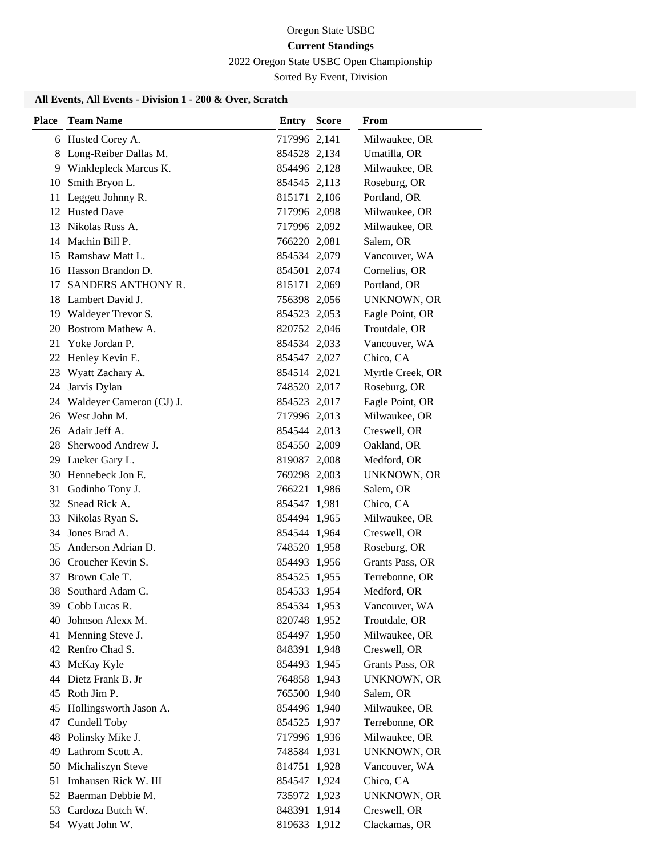2022 Oregon State USBC Open Championship

Sorted By Event, Division

| Place | <b>Team Name</b>         | <b>Entry Score</b> | <b>From</b>        |
|-------|--------------------------|--------------------|--------------------|
|       | 6 Husted Corey A.        | 717996 2,141       | Milwaukee, OR      |
| 8     | Long-Reiber Dallas M.    | 854528 2,134       | Umatilla, OR       |
|       | 9 Winklepleck Marcus K.  | 854496 2,128       | Milwaukee, OR      |
| 10    | Smith Bryon L.           | 854545 2,113       | Roseburg, OR       |
| 11    | Leggett Johnny R.        | 815171 2,106       | Portland, OR       |
|       | 12 Husted Dave           | 717996 2,098       | Milwaukee, OR      |
| 13    | Nikolas Russ A.          | 717996 2,092       | Milwaukee, OR      |
|       | 14 Machin Bill P.        | 766220 2,081       | Salem, OR          |
| 15    | Ramshaw Matt L.          | 854534 2,079       | Vancouver, WA      |
|       | 16 Hasson Brandon D.     | 854501 2,074       | Cornelius, OR      |
| 17    | SANDERS ANTHONY R.       | 815171 2,069       | Portland, OR       |
|       | 18 Lambert David J.      | 756398 2,056       | UNKNOWN, OR        |
|       | 19 Waldeyer Trevor S.    | 854523 2,053       | Eagle Point, OR    |
| 20    | Bostrom Mathew A.        | 820752 2,046       | Troutdale, OR      |
| 21    | Yoke Jordan P.           | 854534 2,033       | Vancouver, WA      |
|       | 22 Henley Kevin E.       | 854547 2,027       | Chico, CA          |
| 23    | Wyatt Zachary A.         | 854514 2,021       | Myrtle Creek, OR   |
| 24    | Jarvis Dylan             | 748520 2,017       | Roseburg, OR       |
| 24    | Waldeyer Cameron (CJ) J. | 854523 2,017       | Eagle Point, OR    |
|       | 26 West John M.          | 717996 2,013       | Milwaukee, OR      |
|       | 26 Adair Jeff A.         | 854544 2,013       | Creswell, OR       |
| 28    | Sherwood Andrew J.       | 854550 2,009       | Oakland, OR        |
|       | 29 Lueker Gary L.        | 819087 2,008       | Medford, OR        |
|       | 30 Hennebeck Jon E.      | 769298 2,003       | UNKNOWN, OR        |
| 31    | Godinho Tony J.          | 766221 1,986       | Salem, OR          |
| 32    | Snead Rick A.            | 854547 1,981       | Chico, CA          |
| 33    | Nikolas Ryan S.          | 854494 1,965       | Milwaukee, OR      |
|       | 34 Jones Brad A.         | 854544 1,964       | Creswell, OR       |
| 35    | Anderson Adrian D.       | 748520 1,958       | Roseburg, OR       |
|       | 36 Croucher Kevin S.     | 854493 1,956       | Grants Pass, OR    |
| 37    | Brown Cale T.            | 854525 1,955       | Terrebonne, OR     |
| 38    | Southard Adam C.         | 854533 1,954       | Medford, OR        |
|       | 39 Cobb Lucas R.         | 854534 1,953       | Vancouver, WA      |
| 40    | Johnson Alexx M.         | 820748 1,952       | Troutdale, OR      |
| 41    | Menning Steve J.         | 854497 1,950       | Milwaukee, OR      |
|       | 42 Renfro Chad S.        | 848391 1,948       | Creswell, OR       |
| 43    | McKay Kyle               | 854493 1,945       | Grants Pass, OR    |
| 44    | Dietz Frank B. Jr        | 764858 1,943       | <b>UNKNOWN, OR</b> |
| 45    | Roth Jim P.              | 765500 1,940       | Salem, OR          |
| 45    | Hollingsworth Jason A.   | 854496 1,940       | Milwaukee, OR      |
| 47    | Cundell Toby             | 854525 1,937       | Terrebonne, OR     |
| 48    | Polinsky Mike J.         | 717996 1,936       | Milwaukee, OR      |
|       | 49 Lathrom Scott A.      | 748584 1,931       | UNKNOWN, OR        |
| 50    | Michaliszyn Steve        | 814751 1,928       | Vancouver, WA      |
| 51    | Imhausen Rick W. III     | 854547 1,924       | Chico, CA          |
| 52    | Baerman Debbie M.        | 735972 1,923       | <b>UNKNOWN, OR</b> |
| 53    | Cardoza Butch W.         | 848391 1,914       | Creswell, OR       |
|       | 54 Wyatt John W.         | 819633 1,912       | Clackamas, OR      |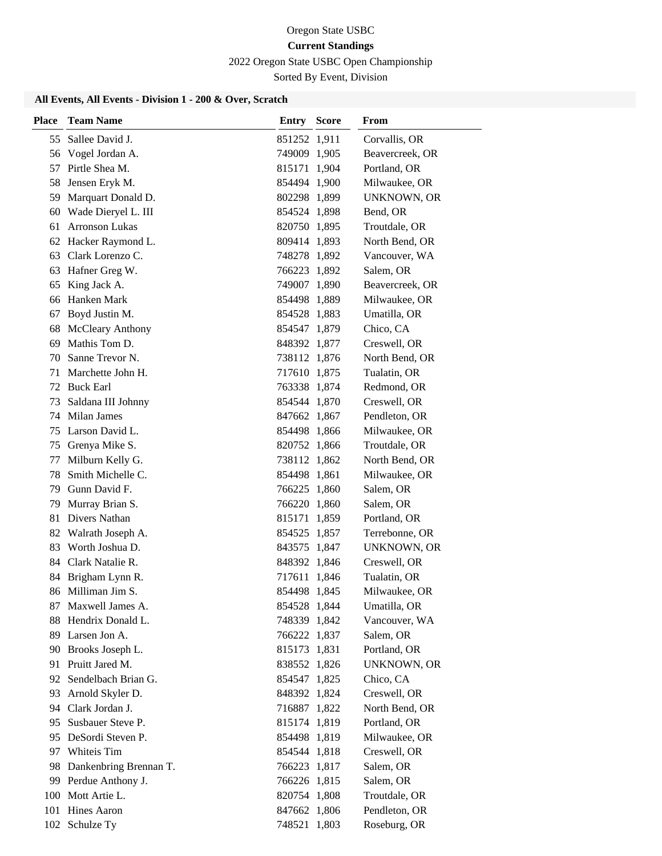2022 Oregon State USBC Open Championship

Sorted By Event, Division

| <b>Place</b> | <b>Team Name</b>          | <b>Entry Score</b> | From               |
|--------------|---------------------------|--------------------|--------------------|
| 55           | Sallee David J.           | 851252 1,911       | Corvallis, OR      |
| 56           | Vogel Jordan A.           | 749009 1,905       | Beavercreek, OR    |
| 57           | Pirtle Shea M.            | 815171 1,904       | Portland, OR       |
| 58           | Jensen Eryk M.            | 854494 1,900       | Milwaukee, OR      |
| 59           | Marquart Donald D.        | 802298 1,899       | <b>UNKNOWN, OR</b> |
| 60           | Wade Dieryel L. III       | 854524 1,898       | Bend, OR           |
| 61           | <b>Arronson Lukas</b>     | 820750 1,895       | Troutdale, OR      |
|              | 62 Hacker Raymond L.      | 809414 1,893       | North Bend, OR     |
| 63           | Clark Lorenzo C.          | 748278 1,892       | Vancouver, WA      |
| 63           | Hafner Greg W.            | 766223 1,892       | Salem, OR          |
| 65           | King Jack A.              | 749007 1,890       | Beavercreek, OR    |
| 66           | Hanken Mark               | 854498 1,889       | Milwaukee, OR      |
| 67           | Boyd Justin M.            | 854528 1,883       | Umatilla, OR       |
| 68           | <b>McCleary Anthony</b>   | 854547 1,879       | Chico, CA          |
| 69           | Mathis Tom D.             | 848392 1,877       | Creswell, OR       |
| 70           | Sanne Trevor N.           | 738112 1,876       | North Bend, OR     |
| 71           | Marchette John H.         | 717610 1,875       | Tualatin, OR       |
|              | 72 Buck Earl              | 763338 1,874       | Redmond, OR        |
| 73           | Saldana III Johnny        | 854544 1,870       | Creswell, OR       |
|              | 74 Milan James            | 847662 1,867       | Pendleton, OR      |
|              | 75 Larson David L.        | 854498 1,866       | Milwaukee, OR      |
|              | 75 Grenya Mike S.         | 820752 1,866       | Troutdale, OR      |
| 77           | Milburn Kelly G.          | 738112 1,862       | North Bend, OR     |
| 78           | Smith Michelle C.         | 854498 1,861       | Milwaukee, OR      |
| 79           | Gunn David F.             | 766225 1,860       | Salem, OR          |
| 79           | Murray Brian S.           | 766220 1,860       | Salem, OR          |
| 81           | Divers Nathan             | 815171 1,859       | Portland, OR       |
|              | 82 Walrath Joseph A.      | 854525 1,857       | Terrebonne, OR     |
| 83           | Worth Joshua D.           | 843575 1,847       | <b>UNKNOWN, OR</b> |
|              | 84 Clark Natalie R.       | 848392 1,846       | Creswell, OR       |
| 84           | Brigham Lynn R.           | 717611 1,846       | Tualatin, OR       |
|              | 86 Milliman Jim S.        | 854498 1,845       | Milwaukee, OR      |
| 87           | Maxwell James A.          | 854528 1,844       | Umatilla, OR       |
| 88           | Hendrix Donald L.         | 748339 1,842       | Vancouver, WA      |
|              | 89 Larsen Jon A.          | 766222 1,837       | Salem, OR          |
|              | 90 Brooks Joseph L.       | 815173 1,831       | Portland, OR       |
| 91           | Pruitt Jared M.           | 838552 1,826       | <b>UNKNOWN, OR</b> |
| 92.          | Sendelbach Brian G.       | 854547 1,825       | Chico, CA          |
| 93           | Arnold Skyler D.          | 848392 1,824       | Creswell, OR       |
|              | 94 Clark Jordan J.        | 716887 1,822       | North Bend, OR     |
|              | 95 Susbauer Steve P.      | 815174 1,819       | Portland, OR       |
|              | 95 DeSordi Steven P.      | 854498 1,819       | Milwaukee, OR      |
|              | 97 Whiteis Tim            | 854544 1,818       | Creswell, OR       |
|              | 98 Dankenbring Brennan T. | 766223 1,817       | Salem, OR          |
|              | 99 Perdue Anthony J.      | 766226 1,815       | Salem, OR          |
| 100          | Mott Artie L.             | 820754 1,808       | Troutdale, OR      |
| 101          | <b>Hines Aaron</b>        | 847662 1,806       | Pendleton, OR      |
|              | 102 Schulze Ty            | 748521 1,803       | Roseburg, OR       |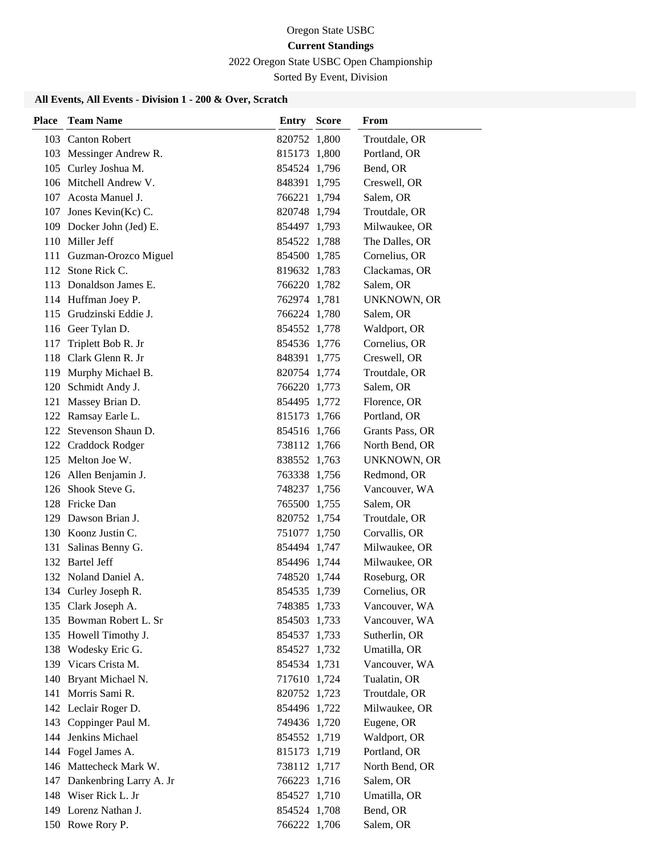2022 Oregon State USBC Open Championship

Sorted By Event, Division

| Place | <b>Team Name</b>            | <b>Entry Score</b> | From            |
|-------|-----------------------------|--------------------|-----------------|
|       | 103 Canton Robert           | 820752 1,800       | Troutdale, OR   |
|       | 103 Messinger Andrew R.     | 815173 1,800       | Portland, OR    |
|       | 105 Curley Joshua M.        | 854524 1,796       | Bend, OR        |
|       | 106 Mitchell Andrew V.      | 848391 1,795       | Creswell, OR    |
|       | 107 Acosta Manuel J.        | 766221 1,794       | Salem, OR       |
|       | 107 Jones Kevin(Kc) C.      | 820748 1,794       | Troutdale, OR   |
|       | 109 Docker John (Jed) E.    | 854497 1,793       | Milwaukee, OR   |
|       | 110 Miller Jeff             | 854522 1,788       | The Dalles, OR  |
|       | 111 Guzman-Orozco Miguel    | 854500 1,785       | Cornelius, OR   |
|       | 112 Stone Rick C.           | 819632 1,783       | Clackamas, OR   |
|       | 113 Donaldson James E.      | 766220 1,782       | Salem, OR       |
|       | 114 Huffman Joey P.         | 762974 1,781       | UNKNOWN, OR     |
|       | 115 Grudzinski Eddie J.     | 766224 1,780       | Salem, OR       |
|       | 116 Geer Tylan D.           | 854552 1,778       | Waldport, OR    |
| 117   | Triplett Bob R. Jr          | 854536 1,776       | Cornelius, OR   |
|       | 118 Clark Glenn R. Jr       | 848391 1,775       | Creswell, OR    |
|       | 119 Murphy Michael B.       | 820754 1,774       | Troutdale, OR   |
| 120   | Schmidt Andy J.             | 766220 1,773       | Salem, OR       |
|       | 121 Massey Brian D.         | 854495 1,772       | Florence, OR    |
|       | 122 Ramsay Earle L.         | 815173 1,766       | Portland, OR    |
|       | 122 Stevenson Shaun D.      | 854516 1,766       | Grants Pass, OR |
|       | 122 Craddock Rodger         | 738112 1,766       | North Bend, OR  |
|       | 125 Melton Joe W.           | 838552 1,763       | UNKNOWN, OR     |
|       | 126 Allen Benjamin J.       | 763338 1,756       | Redmond, OR     |
|       | 126 Shook Steve G.          | 748237 1,756       | Vancouver, WA   |
|       | 128 Fricke Dan              | 765500 1,755       | Salem, OR       |
|       | 129 Dawson Brian J.         | 820752 1,754       | Troutdale, OR   |
|       | 130 Koonz Justin C.         | 751077 1,750       | Corvallis, OR   |
|       | 131 Salinas Benny G.        | 854494 1,747       | Milwaukee, OR   |
|       | 132 Bartel Jeff             | 854496 1,744       | Milwaukee, OR   |
|       | 132 Noland Daniel A.        | 748520 1,744       | Roseburg, OR    |
|       | 134 Curley Joseph R.        | 854535 1,739       | Cornelius, OR   |
|       | 135 Clark Joseph A.         | 748385 1,733       | Vancouver, WA   |
|       | 135 Bowman Robert L. Sr     | 854503 1,733       | Vancouver, WA   |
|       | 135 Howell Timothy J.       | 854537 1,733       | Sutherlin, OR   |
|       | 138 Wodesky Eric G.         | 854527 1,732       | Umatilla, OR    |
|       | 139 Vicars Crista M.        | 854534 1,731       | Vancouver, WA   |
|       | 140 Bryant Michael N.       | 717610 1,724       | Tualatin, OR    |
|       | 141 Morris Sami R.          | 820752 1,723       | Troutdale, OR   |
|       | 142 Leclair Roger D.        | 854496 1,722       | Milwaukee, OR   |
|       | 143 Coppinger Paul M.       | 749436 1,720       | Eugene, OR      |
|       | 144 Jenkins Michael         | 854552 1,719       | Waldport, OR    |
|       | 144 Fogel James A.          | 815173 1,719       | Portland, OR    |
|       | 146 Mattecheck Mark W.      | 738112 1,717       | North Bend, OR  |
|       | 147 Dankenbring Larry A. Jr | 766223 1,716       | Salem, OR       |
|       | 148 Wiser Rick L. Jr        | 854527 1,710       | Umatilla, OR    |
|       | 149 Lorenz Nathan J.        | 854524 1,708       | Bend, OR        |
|       | 150 Rowe Rory P.            | 766222 1,706       | Salem, OR       |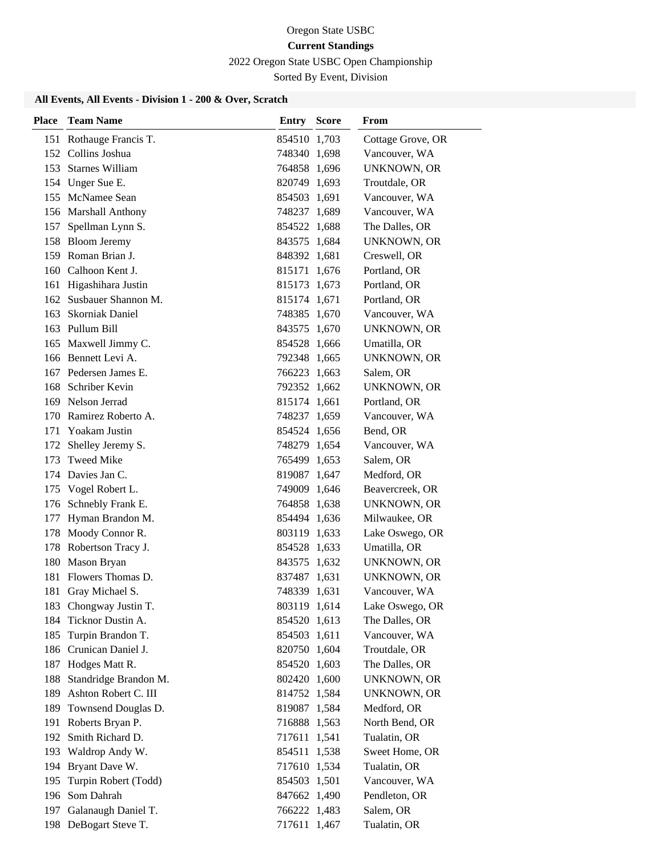2022 Oregon State USBC Open Championship

Sorted By Event, Division

| <b>Place</b> | <b>Team Name</b>        | <b>Entry Score</b> | From               |
|--------------|-------------------------|--------------------|--------------------|
|              | 151 Rothauge Francis T. | 854510 1,703       | Cottage Grove, OR  |
|              | 152 Collins Joshua      | 748340 1,698       | Vancouver, WA      |
|              | 153 Starnes William     | 764858 1,696       | <b>UNKNOWN, OR</b> |
|              | 154 Unger Sue E.        | 820749 1,693       | Troutdale, OR      |
|              | 155 McNamee Sean        | 854503 1,691       | Vancouver, WA      |
|              | 156 Marshall Anthony    | 748237 1,689       | Vancouver, WA      |
|              | 157 Spellman Lynn S.    | 854522 1,688       | The Dalles, OR     |
|              | 158 Bloom Jeremy        | 843575 1,684       | UNKNOWN, OR        |
|              | 159 Roman Brian J.      | 848392 1,681       | Creswell, OR       |
|              | 160 Calhoon Kent J.     | 815171 1,676       | Portland, OR       |
| 161          | Higashihara Justin      | 815173 1,673       | Portland, OR       |
|              | 162 Susbauer Shannon M. | 815174 1,671       | Portland, OR       |
|              | 163 Skorniak Daniel     | 748385 1,670       | Vancouver, WA      |
|              | 163 Pullum Bill         | 843575 1,670       | <b>UNKNOWN, OR</b> |
|              | 165 Maxwell Jimmy C.    | 854528 1,666       | Umatilla, OR       |
|              | 166 Bennett Levi A.     | 792348 1,665       | <b>UNKNOWN, OR</b> |
|              | 167 Pedersen James E.   | 766223 1,663       | Salem, OR          |
|              | 168 Schriber Kevin      | 792352 1,662       | <b>UNKNOWN, OR</b> |
|              | 169 Nelson Jerrad       | 815174 1,661       | Portland, OR       |
|              | 170 Ramirez Roberto A.  | 748237 1,659       | Vancouver, WA      |
| 171          | Yoakam Justin           | 854524 1,656       | Bend, OR           |
| 172          | Shelley Jeremy S.       | 748279 1,654       | Vancouver, WA      |
| 173          | Tweed Mike              | 765499 1,653       | Salem, OR          |
|              | 174 Davies Jan C.       | 819087 1,647       | Medford, OR        |
|              | 175 Vogel Robert L.     | 749009 1,646       | Beavercreek, OR    |
|              | 176 Schnebly Frank E.   | 764858 1,638       | UNKNOWN, OR        |
| 177          | Hyman Brandon M.        | 854494 1,636       | Milwaukee, OR      |
|              | 178 Moody Connor R.     | 803119 1,633       | Lake Oswego, OR    |
|              | 178 Robertson Tracy J.  | 854528 1,633       | Umatilla, OR       |
|              | 180 Mason Bryan         | 843575 1,632       | UNKNOWN, OR        |
| 181          | Flowers Thomas D.       | 837487 1,631       | UNKNOWN, OR        |
|              | 181 Gray Michael S.     | 748339 1,631       | Vancouver, WA      |
|              | 183 Chongway Justin T.  | 803119 1,614       | Lake Oswego, OR    |
| 184          | Ticknor Dustin A.       | 854520 1,613       | The Dalles, OR     |
|              | 185 Turpin Brandon T.   | 854503 1,611       | Vancouver, WA      |
|              | 186 Crunican Daniel J.  | 820750 1,604       | Troutdale, OR      |
| 187          | Hodges Matt R.          | 854520 1,603       | The Dalles, OR     |
| 188          | Standridge Brandon M.   | 802420 1,600       | <b>UNKNOWN, OR</b> |
| 189          | Ashton Robert C. III    | 814752 1,584       | <b>UNKNOWN, OR</b> |
| 189          | Townsend Douglas D.     | 819087 1,584       | Medford, OR        |
| 191          | Roberts Bryan P.        | 716888 1,563       | North Bend, OR     |
| 192          | Smith Richard D.        | 717611 1,541       | Tualatin, OR       |
|              | 193 Waldrop Andy W.     | 854511 1,538       | Sweet Home, OR     |
|              | 194 Bryant Dave W.      | 717610 1,534       | Tualatin, OR       |
| 195          | Turpin Robert (Todd)    | 854503 1,501       | Vancouver, WA      |
| 196          | Som Dahrah              | 847662 1,490       | Pendleton, OR      |
| 197          | Galanaugh Daniel T.     | 766222 1,483       | Salem, OR          |
|              | 198 DeBogart Steve T.   | 717611 1,467       | Tualatin, OR       |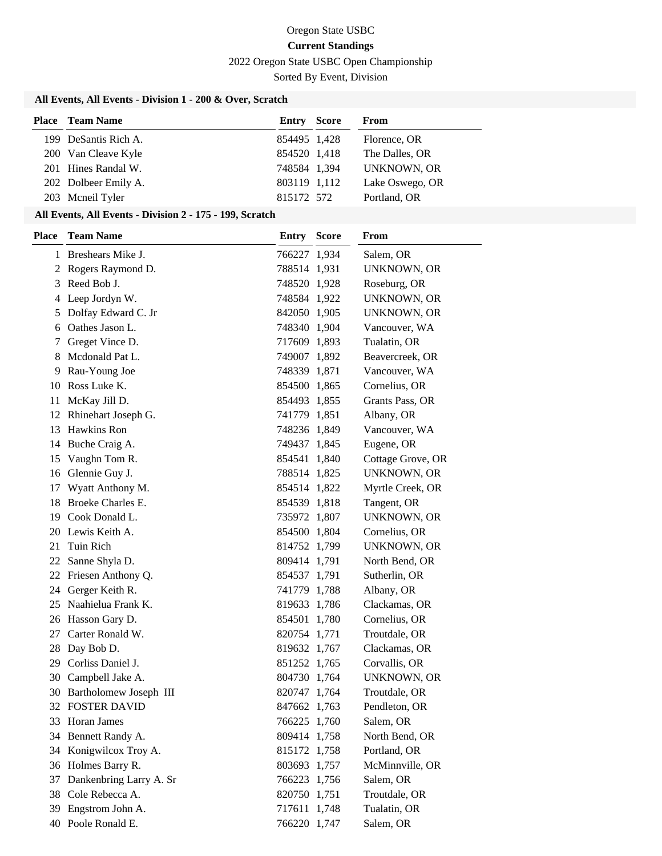2022 Oregon State USBC Open Championship

Sorted By Event, Division

# **All Events, All Events - Division 1 - 200 & Over, Scratch**

| <b>Place</b> Team Name | <b>Entry Score</b> | From            |
|------------------------|--------------------|-----------------|
| 199 DeSantis Rich A.   | 854495 1,428       | Florence, OR    |
| 200 Van Cleave Kyle    | 854520 1,418       | The Dalles, OR  |
| 201 Hines Randal W.    | 748584 1,394       | UNKNOWN, OR     |
| 202 Dolbeer Emily A.   | 803119 1,112       | Lake Oswego, OR |
| 203 Mcneil Tyler       | 815172 572         | Portland, OR    |

| <b>Place</b> | <b>Team Name</b>        | Entry        | <b>Score</b> | <b>From</b>        |
|--------------|-------------------------|--------------|--------------|--------------------|
|              | 1 Breshears Mike J.     | 766227 1,934 |              | Salem, OR          |
|              | 2 Rogers Raymond D.     | 788514 1,931 |              | UNKNOWN, OR        |
| 3            | Reed Bob J.             | 748520 1,928 |              | Roseburg, OR       |
| 4            | Leep Jordyn W.          | 748584 1,922 |              | UNKNOWN, OR        |
| 5            | Dolfay Edward C. Jr     | 842050 1,905 |              | UNKNOWN, OR        |
| 6            | Oathes Jason L.         | 748340 1,904 |              | Vancouver, WA      |
| 7            | Greget Vince D.         | 717609 1,893 |              | Tualatin, OR       |
| 8            | Mcdonald Pat L.         | 749007 1,892 |              | Beavercreek, OR    |
| 9            | Rau-Young Joe           | 748339 1,871 |              | Vancouver, WA      |
| 10           | Ross Luke K.            | 854500 1,865 |              | Cornelius, OR      |
| 11           | McKay Jill D.           | 854493 1,855 |              | Grants Pass, OR    |
| 12           | Rhinehart Joseph G.     | 741779 1,851 |              | Albany, OR         |
| 13           | Hawkins Ron             | 748236 1,849 |              | Vancouver, WA      |
|              | 14 Buche Craig A.       | 749437 1,845 |              | Eugene, OR         |
| 15           | Vaughn Tom R.           | 854541 1,840 |              | Cottage Grove, OR  |
| 16           | Glennie Guy J.          | 788514 1,825 |              | <b>UNKNOWN, OR</b> |
| 17           | Wyatt Anthony M.        | 854514 1,822 |              | Myrtle Creek, OR   |
| 18           | Broeke Charles E.       | 854539 1,818 |              | Tangent, OR        |
| 19           | Cook Donald L.          | 735972 1,807 |              | UNKNOWN, OR        |
|              | 20 Lewis Keith A.       | 854500 1,804 |              | Cornelius, OR      |
| 21           | Tuin Rich               | 814752 1,799 |              | <b>UNKNOWN, OR</b> |
| 22           | Sanne Shyla D.          | 809414 1,791 |              | North Bend, OR     |
| 22           | Friesen Anthony Q.      | 854537 1,791 |              | Sutherlin, OR      |
|              | 24 Gerger Keith R.      | 741779 1,788 |              | Albany, OR         |
| 25           | Naahielua Frank K.      | 819633 1,786 |              | Clackamas, OR      |
| 26           | Hasson Gary D.          | 854501 1,780 |              | Cornelius, OR      |
| 27           | Carter Ronald W.        | 820754 1,771 |              | Troutdale, OR      |
|              | 28 Day Bob D.           | 819632 1,767 |              | Clackamas, OR      |
|              | 29 Corliss Daniel J.    | 851252 1,765 |              | Corvallis, OR      |
| 30           | Campbell Jake A.        | 804730 1,764 |              | UNKNOWN, OR        |
| 30           | Bartholomew Joseph III  | 820747 1,764 |              | Troutdale, OR      |
|              | 32 FOSTER DAVID         | 847662 1,763 |              | Pendleton, OR      |
|              | 33 Horan James          | 766225 1,760 |              | Salem, OR          |
|              | 34 Bennett Randy A.     | 809414 1,758 |              | North Bend, OR     |
| 34           | Konigwilcox Troy A.     | 815172 1,758 |              | Portland, OR       |
| 36           | Holmes Barry R.         | 803693 1,757 |              | McMinnville, OR    |
| 37           | Dankenbring Larry A. Sr | 766223 1,756 |              | Salem, OR          |
| 38           | Cole Rebecca A.         | 820750 1,751 |              | Troutdale, OR      |
| 39           | Engstrom John A.        | 717611 1,748 |              | Tualatin, OR       |
|              | 40 Poole Ronald E.      | 766220 1,747 |              | Salem, OR          |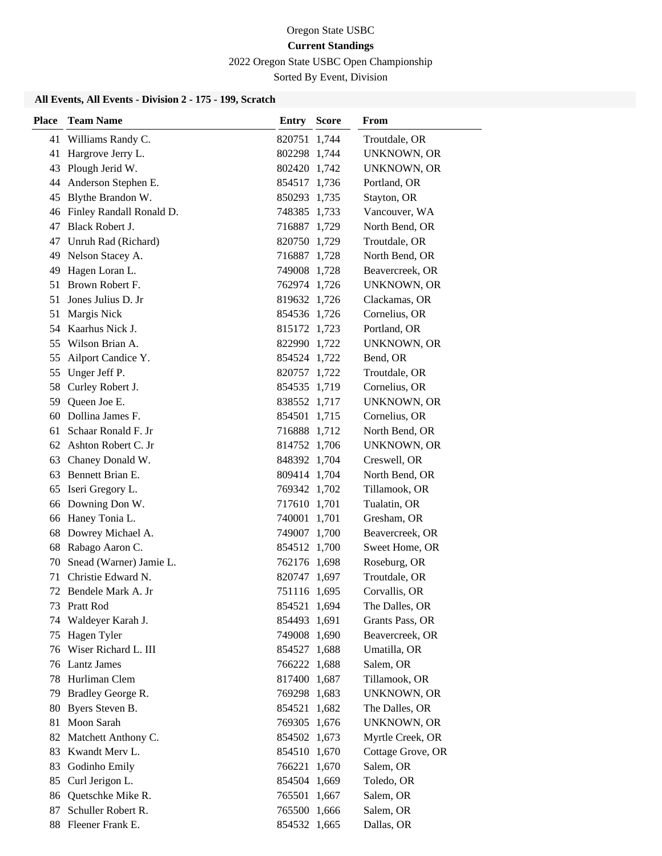2022 Oregon State USBC Open Championship

Sorted By Event, Division

| Place | <b>Team Name</b>         | <b>Entry Score</b> | From               |
|-------|--------------------------|--------------------|--------------------|
| 41    | Williams Randy C.        | 820751 1,744       | Troutdale, OR      |
| 41    | Hargrove Jerry L.        | 802298 1,744       | UNKNOWN, OR        |
| 43    | Plough Jerid W.          | 802420 1,742       | <b>UNKNOWN, OR</b> |
| 44    | Anderson Stephen E.      | 854517 1,736       | Portland, OR       |
| 45    | Blythe Brandon W.        | 850293 1,735       | Stayton, OR        |
| 46    | Finley Randall Ronald D. | 748385 1,733       | Vancouver, WA      |
| 47    | <b>Black Robert J.</b>   | 716887 1,729       | North Bend, OR     |
| 47    | Unruh Rad (Richard)      | 820750 1,729       | Troutdale, OR      |
| 49    | Nelson Stacey A.         | 716887 1,728       | North Bend, OR     |
| 49    | Hagen Loran L.           | 749008 1,728       | Beavercreek, OR    |
| 51    | Brown Robert F.          | 762974 1,726       | <b>UNKNOWN, OR</b> |
| 51    | Jones Julius D. Jr       | 819632 1,726       | Clackamas, OR      |
| 51    | Margis Nick              | 854536 1,726       | Cornelius, OR      |
|       | 54 Kaarhus Nick J.       | 815172 1,723       | Portland, OR       |
| 55    | Wilson Brian A.          | 822990 1,722       | UNKNOWN, OR        |
| 55    | Ailport Candice Y.       | 854524 1,722       | Bend, OR           |
| 55    | Unger Jeff P.            | 820757 1,722       | Troutdale, OR      |
| 58    | Curley Robert J.         | 854535 1,719       | Cornelius, OR      |
| 59    | Queen Joe E.             | 838552 1,717       | <b>UNKNOWN, OR</b> |
|       | 60 Dollina James F.      | 854501 1,715       | Cornelius, OR      |
| 61    | Schaar Ronald F. Jr      | 716888 1,712       | North Bend, OR     |
|       | 62 Ashton Robert C. Jr   | 814752 1,706       | <b>UNKNOWN, OR</b> |
| 63    | Chaney Donald W.         | 848392 1,704       | Creswell, OR       |
| 63    | Bennett Brian E.         | 809414 1,704       | North Bend, OR     |
| 65    | Iseri Gregory L.         | 769342 1,702       | Tillamook, OR      |
| 66    | Downing Don W.           | 717610 1,701       | Tualatin, OR       |
| 66    | Haney Tonia L.           | 740001 1,701       | Gresham, OR        |
| 68    | Dowrey Michael A.        | 749007 1,700       | Beavercreek, OR    |
| 68    | Rabago Aaron C.          | 854512 1,700       | Sweet Home, OR     |
| 70    | Snead (Warner) Jamie L.  | 762176 1,698       | Roseburg, OR       |
| 71    | Christie Edward N.       | 820747 1,697       | Troutdale, OR      |
|       | 72 Bendele Mark A. Jr    | 751116 1,695       | Corvallis, OR      |
| 73    | Pratt Rod                | 854521 1,694       | The Dalles, OR     |
| 74    | Waldeyer Karah J.        | 854493 1,691       | Grants Pass, OR    |
| 75    | Hagen Tyler              | 749008 1,690       | Beavercreek, OR    |
| 76    | Wiser Richard L. III     | 854527 1,688       | Umatilla, OR       |
| 76    | <b>Lantz James</b>       | 766222 1,688       | Salem, OR          |
| 78    | Hurliman Clem            | 817400 1,687       | Tillamook, OR      |
| 79    | Bradley George R.        | 769298 1,683       | <b>UNKNOWN, OR</b> |
| 80    | Byers Steven B.          | 854521 1,682       | The Dalles, OR     |
| 81    | Moon Sarah               | 769305 1,676       | <b>UNKNOWN, OR</b> |
| 82    | Matchett Anthony C.      | 854502 1,673       | Myrtle Creek, OR   |
| 83    | Kwandt Merv L.           | 854510 1,670       | Cottage Grove, OR  |
| 83    | Godinho Emily            | 766221 1,670       | Salem, OR          |
| 85    | Curl Jerigon L.          | 854504 1,669       | Toledo, OR         |
| 86    | Quetschke Mike R.        | 765501 1,667       | Salem, OR          |
| 87    | Schuller Robert R.       | 765500 1,666       | Salem, OR          |
|       | 88 Fleener Frank E.      | 854532 1,665       | Dallas, OR         |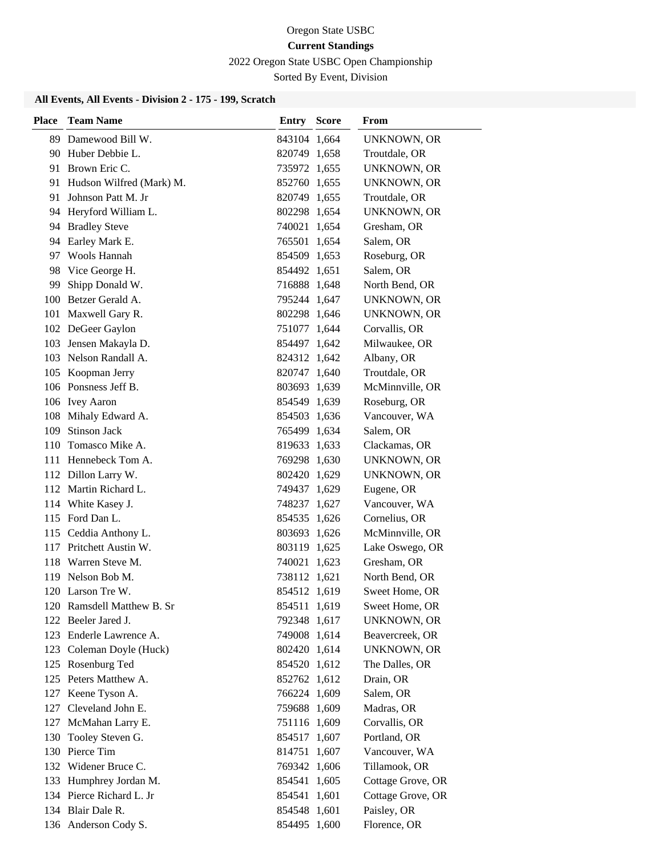2022 Oregon State USBC Open Championship

Sorted By Event, Division

| Place | <b>Team Name</b>            | <b>Entry Score</b> | <b>From</b>        |
|-------|-----------------------------|--------------------|--------------------|
|       | 89 Damewood Bill W.         | 843104 1,664       | <b>UNKNOWN, OR</b> |
|       | 90 Huber Debbie L.          | 820749 1,658       | Troutdale, OR      |
|       | 91 Brown Eric C.            | 735972 1,655       | UNKNOWN, OR        |
|       | 91 Hudson Wilfred (Mark) M. | 852760 1,655       | UNKNOWN, OR        |
| 91    | Johnson Patt M. Jr          | 820749 1,655       | Troutdale, OR      |
|       | 94 Heryford William L.      | 802298 1,654       | <b>UNKNOWN, OR</b> |
|       | 94 Bradley Steve            | 740021 1,654       | Gresham, OR        |
|       | 94 Earley Mark E.           | 765501 1,654       | Salem, OR          |
|       | 97 Wools Hannah             | 854509 1,653       | Roseburg, OR       |
| 98    | Vice George H.              | 854492 1,651       | Salem, OR          |
| 99    | Shipp Donald W.             | 716888 1,648       | North Bend, OR     |
|       | 100 Betzer Gerald A.        | 795244 1,647       | UNKNOWN, OR        |
|       | 101 Maxwell Gary R.         | 802298 1,646       | UNKNOWN, OR        |
|       | 102 DeGeer Gaylon           | 751077 1,644       | Corvallis, OR      |
|       | 103 Jensen Makayla D.       | 854497 1,642       | Milwaukee, OR      |
|       | 103 Nelson Randall A.       | 824312 1,642       | Albany, OR         |
|       | 105 Koopman Jerry           | 820747 1,640       | Troutdale, OR      |
|       | 106 Ponsness Jeff B.        | 803693 1,639       | McMinnville, OR    |
|       | 106 Ivey Aaron              | 854549 1,639       | Roseburg, OR       |
|       | 108 Mihaly Edward A.        | 854503 1,636       | Vancouver, WA      |
| 109   | <b>Stinson Jack</b>         | 765499 1,634       | Salem, OR          |
|       | 110 Tomasco Mike A.         | 819633 1,633       | Clackamas, OR      |
|       | 111 Hennebeck Tom A.        | 769298 1,630       | UNKNOWN, OR        |
|       | 112 Dillon Larry W.         | 802420 1,629       | UNKNOWN, OR        |
|       | 112 Martin Richard L.       | 749437 1,629       | Eugene, OR         |
|       | 114 White Kasey J.          | 748237 1,627       | Vancouver, WA      |
|       | 115 Ford Dan L.             | 854535 1,626       | Cornelius, OR      |
|       | 115 Ceddia Anthony L.       | 803693 1,626       | McMinnville, OR    |
|       | 117 Pritchett Austin W.     | 803119 1,625       | Lake Oswego, OR    |
|       | 118 Warren Steve M.         | 740021 1,623       | Gresham, OR        |
|       | 119 Nelson Bob M.           | 738112 1,621       | North Bend, OR     |
|       | 120 Larson Tre W.           | 854512 1,619       | Sweet Home, OR     |
|       | 120 Ramsdell Matthew B. Sr  | 854511 1,619       | Sweet Home, OR     |
|       | 122 Beeler Jared J.         | 792348 1,617       | <b>UNKNOWN, OR</b> |
|       | 123 Enderle Lawrence A.     | 749008 1,614       | Beavercreek, OR    |
|       | 123 Coleman Doyle (Huck)    | 802420 1,614       | <b>UNKNOWN, OR</b> |
|       | 125 Rosenburg Ted           | 854520 1,612       | The Dalles, OR     |
|       | 125 Peters Matthew A.       | 852762 1,612       | Drain, OR          |
|       | 127 Keene Tyson A.          | 766224 1,609       | Salem, OR          |
|       | 127 Cleveland John E.       | 759688 1,609       | Madras, OR         |
|       | 127 McMahan Larry E.        | 751116 1,609       | Corvallis, OR      |
| 130   | Tooley Steven G.            | 854517 1,607       | Portland, OR       |
|       | 130 Pierce Tim              | 814751 1,607       | Vancouver, WA      |
|       | 132 Widener Bruce C.        | 769342 1,606       | Tillamook, OR      |
|       | 133 Humphrey Jordan M.      | 854541 1,605       | Cottage Grove, OR  |
|       | 134 Pierce Richard L. Jr    | 854541 1,601       | Cottage Grove, OR  |
|       | 134 Blair Dale R.           | 854548 1,601       | Paisley, OR        |
|       | 136 Anderson Cody S.        | 854495 1,600       | Florence, OR       |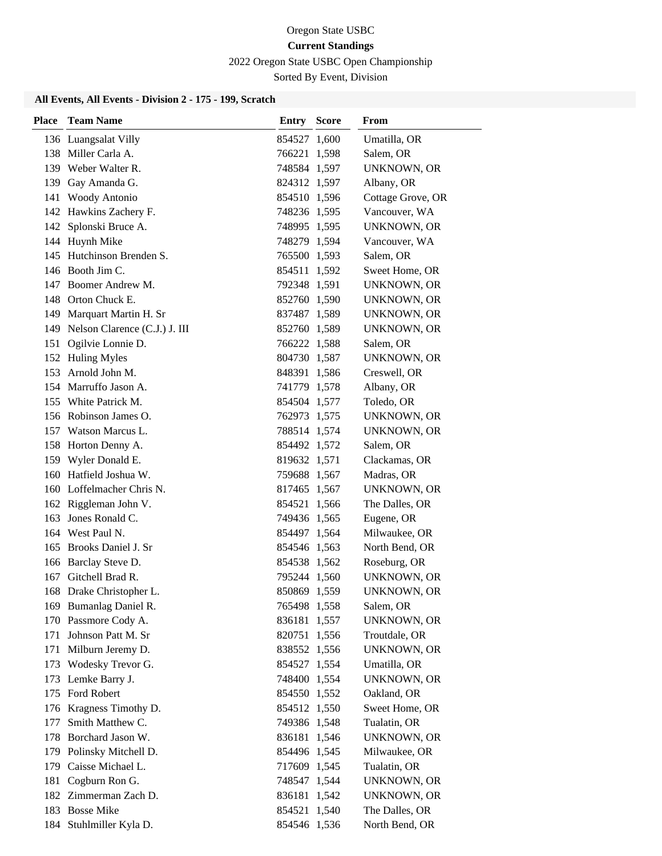2022 Oregon State USBC Open Championship

Sorted By Event, Division

| Place | <b>Team Name</b>                  | <b>Entry Score</b> | From               |
|-------|-----------------------------------|--------------------|--------------------|
|       | 136 Luangsalat Villy              | 854527 1,600       | Umatilla, OR       |
|       | 138 Miller Carla A.               | 766221 1,598       | Salem, OR          |
|       | 139 Weber Walter R.               | 748584 1,597       | UNKNOWN, OR        |
|       | 139 Gay Amanda G.                 | 824312 1,597       | Albany, OR         |
|       | 141 Woody Antonio                 | 854510 1,596       | Cottage Grove, OR  |
|       | 142 Hawkins Zachery F.            | 748236 1,595       | Vancouver, WA      |
|       | 142 Splonski Bruce A.             | 748995 1,595       | UNKNOWN, OR        |
|       | 144 Huynh Mike                    | 748279 1,594       | Vancouver, WA      |
|       | 145 Hutchinson Brenden S.         | 765500 1,593       | Salem, OR          |
|       | 146 Booth Jim C.                  | 854511 1,592       | Sweet Home, OR     |
|       | 147 Boomer Andrew M.              | 792348 1,591       | UNKNOWN, OR        |
|       | 148 Orton Chuck E.                | 852760 1,590       | UNKNOWN, OR        |
|       | 149 Marquart Martin H. Sr         | 837487 1,589       | UNKNOWN, OR        |
|       | 149 Nelson Clarence (C.J.) J. III | 852760 1,589       | UNKNOWN, OR        |
|       | 151 Ogilvie Lonnie D.             | 766222 1,588       | Salem, OR          |
|       | 152 Huling Myles                  | 804730 1,587       | UNKNOWN, OR        |
|       | 153 Arnold John M.                | 848391 1,586       | Creswell, OR       |
|       | 154 Marruffo Jason A.             | 741779 1,578       | Albany, OR         |
|       | 155 White Patrick M.              | 854504 1,577       | Toledo, OR         |
|       | 156 Robinson James O.             | 762973 1,575       | UNKNOWN, OR        |
|       | 157 Watson Marcus L.              | 788514 1,574       | UNKNOWN, OR        |
|       | 158 Horton Denny A.               | 854492 1,572       | Salem, OR          |
|       | 159 Wyler Donald E.               | 819632 1,571       | Clackamas, OR      |
|       | 160 Hatfield Joshua W.            | 759688 1,567       | Madras, OR         |
|       | 160 Loffelmacher Chris N.         | 817465 1,567       | <b>UNKNOWN, OR</b> |
|       | 162 Riggleman John V.             | 854521 1,566       | The Dalles, OR     |
|       | 163 Jones Ronald C.               | 749436 1,565       | Eugene, OR         |
|       | 164 West Paul N.                  | 854497 1,564       | Milwaukee, OR      |
|       | 165 Brooks Daniel J. Sr           | 854546 1,563       | North Bend, OR     |
|       | 166 Barclay Steve D.              | 854538 1,562       | Roseburg, OR       |
|       | 167 Gitchell Brad R.              | 795244 1,560       | UNKNOWN, OR        |
|       | 168 Drake Christopher L.          | 850869 1,559       | UNKNOWN, OR        |
|       | 169 Bumanlag Daniel R.            | 765498 1,558       | Salem, OR          |
|       | 170 Passmore Cody A.              | 836181 1,557       | <b>UNKNOWN, OR</b> |
|       | 171 Johnson Patt M. Sr            | 820751 1,556       | Troutdale, OR      |
|       | 171 Milburn Jeremy D.             | 838552 1,556       | <b>UNKNOWN, OR</b> |
|       | 173 Wodesky Trevor G.             | 854527 1,554       | Umatilla, OR       |
|       | 173 Lemke Barry J.                | 748400 1,554       | <b>UNKNOWN, OR</b> |
|       | 175 Ford Robert                   | 854550 1,552       | Oakland, OR        |
|       | 176 Kragness Timothy D.           | 854512 1,550       | Sweet Home, OR     |
| 177   | Smith Matthew C.                  | 749386 1,548       | Tualatin, OR       |
|       | 178 Borchard Jason W.             | 836181 1,546       | <b>UNKNOWN, OR</b> |
|       | 179 Polinsky Mitchell D.          | 854496 1,545       | Milwaukee, OR      |
|       | 179 Caisse Michael L.             | 717609 1,545       | Tualatin, OR       |
|       | 181 Cogburn Ron G.                | 748547 1,544       | <b>UNKNOWN, OR</b> |
|       | 182 Zimmerman Zach D.             | 836181 1,542       | <b>UNKNOWN, OR</b> |
|       | 183 Bosse Mike                    | 854521 1,540       | The Dalles, OR     |
|       | 184 Stuhlmiller Kyla D.           | 854546 1,536       | North Bend, OR     |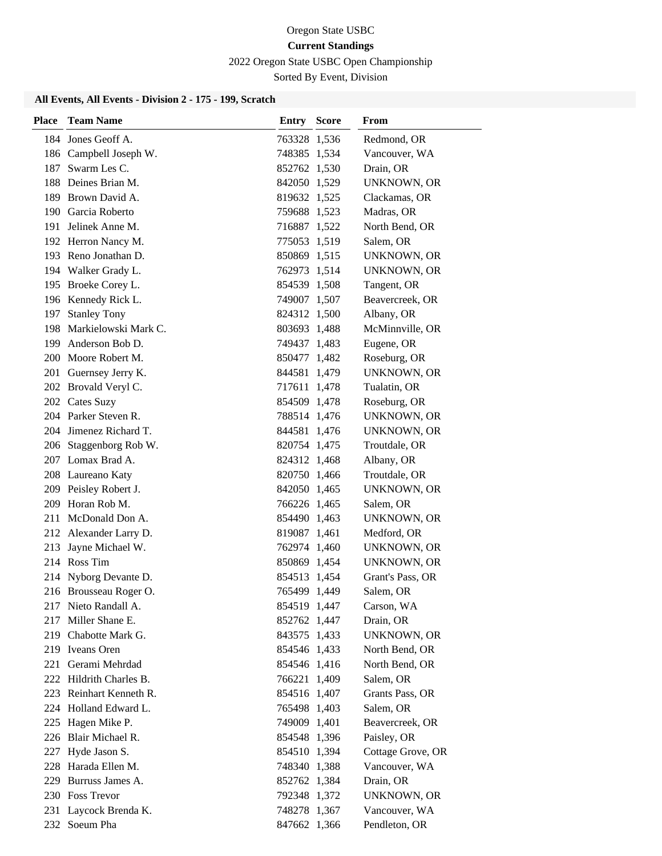2022 Oregon State USBC Open Championship

Sorted By Event, Division

| Place | <b>Team Name</b>         | <b>Entry Score</b> | From               |
|-------|--------------------------|--------------------|--------------------|
|       | 184 Jones Geoff A.       | 763328 1,536       | Redmond, OR        |
|       | 186 Campbell Joseph W.   | 748385 1,534       | Vancouver, WA      |
|       | 187 Swarm Les C.         | 852762 1,530       | Drain, OR          |
|       | 188 Deines Brian M.      | 842050 1,529       | UNKNOWN, OR        |
|       | 189 Brown David A.       | 819632 1,525       | Clackamas, OR      |
|       | 190 Garcia Roberto       | 759688 1,523       | Madras, OR         |
|       | 191 Jelinek Anne M.      | 716887 1,522       | North Bend, OR     |
|       | 192 Herron Nancy M.      | 775053 1,519       | Salem, OR          |
|       | 193 Reno Jonathan D.     | 850869 1,515       | UNKNOWN, OR        |
|       | 194 Walker Grady L.      | 762973 1,514       | UNKNOWN, OR        |
|       | 195 Broeke Corey L.      | 854539 1,508       | Tangent, OR        |
|       | 196 Kennedy Rick L.      | 749007 1,507       | Beavercreek, OR    |
|       | 197 Stanley Tony         | 824312 1,500       | Albany, OR         |
|       | 198 Markielowski Mark C. | 803693 1,488       | McMinnville, OR    |
|       | 199 Anderson Bob D.      | 749437 1,483       | Eugene, OR         |
|       | 200 Moore Robert M.      | 850477 1,482       | Roseburg, OR       |
|       | 201 Guernsey Jerry K.    | 844581 1,479       | <b>UNKNOWN, OR</b> |
|       | 202 Brovald Veryl C.     | 717611 1,478       | Tualatin, OR       |
|       | 202 Cates Suzy           | 854509 1,478       | Roseburg, OR       |
|       | 204 Parker Steven R.     | 788514 1,476       | UNKNOWN, OR        |
|       | 204 Jimenez Richard T.   | 844581 1,476       | UNKNOWN, OR        |
|       | 206 Staggenborg Rob W.   | 820754 1,475       | Troutdale, OR      |
|       | 207 Lomax Brad A.        | 824312 1,468       | Albany, OR         |
|       | 208 Laureano Katy        | 820750 1,466       | Troutdale, OR      |
|       | 209 Peisley Robert J.    | 842050 1,465       | <b>UNKNOWN, OR</b> |
|       | 209 Horan Rob M.         | 766226 1,465       | Salem, OR          |
|       | 211 McDonald Don A.      | 854490 1,463       | UNKNOWN, OR        |
|       | 212 Alexander Larry D.   | 819087 1,461       | Medford, OR        |
|       | 213 Jayne Michael W.     | 762974 1,460       | UNKNOWN, OR        |
|       | 214 Ross Tim             | 850869 1,454       | UNKNOWN, OR        |
|       | 214 Nyborg Devante D.    | 854513 1,454       | Grant's Pass, OR   |
|       | 216 Brousseau Roger O.   | 765499 1,449       | Salem, OR          |
|       | 217 Nieto Randall A.     | 854519 1,447       | Carson, WA         |
|       | 217 Miller Shane E.      | 852762 1,447       | Drain, OR          |
|       | 219 Chabotte Mark G.     | 843575 1,433       | <b>UNKNOWN, OR</b> |
|       | 219 Iveans Oren          | 854546 1,433       | North Bend, OR     |
|       | 221 Gerami Mehrdad       | 854546 1,416       | North Bend, OR     |
|       | 222 Hildrith Charles B.  | 766221 1,409       | Salem, OR          |
|       | 223 Reinhart Kenneth R.  | 854516 1,407       | Grants Pass, OR    |
|       | 224 Holland Edward L.    | 765498 1,403       | Salem, OR          |
|       | 225 Hagen Mike P.        | 749009 1,401       | Beavercreek, OR    |
|       | 226 Blair Michael R.     | 854548 1,396       | Paisley, OR        |
|       | 227 Hyde Jason S.        | 854510 1,394       | Cottage Grove, OR  |
|       | 228 Harada Ellen M.      | 748340 1,388       | Vancouver, WA      |
|       | 229 Burruss James A.     | 852762 1,384       | Drain, OR          |
|       | 230 Foss Trevor          | 792348 1,372       | <b>UNKNOWN, OR</b> |
|       | 231 Laycock Brenda K.    | 748278 1,367       | Vancouver, WA      |
|       | 232 Soeum Pha            | 847662 1,366       | Pendleton, OR      |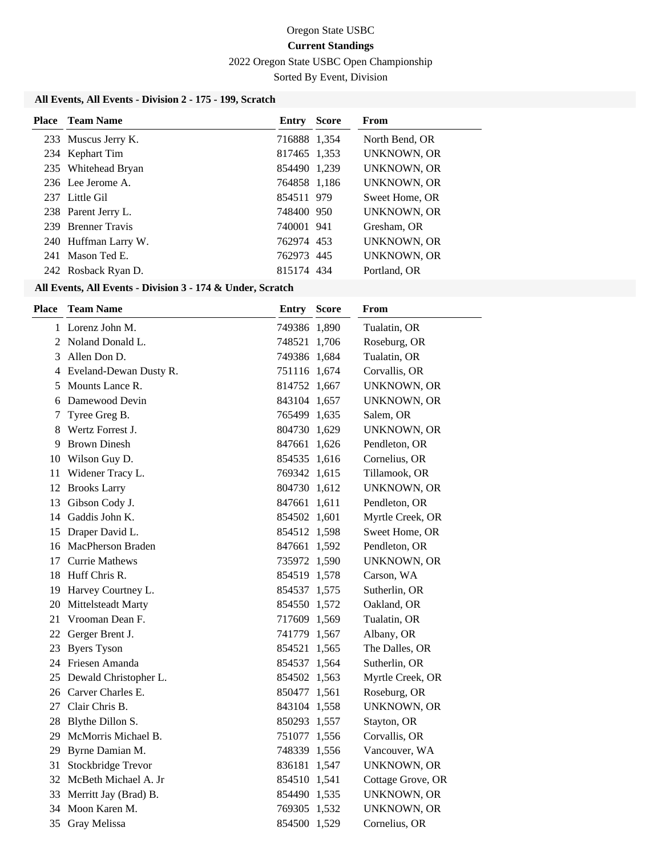2022 Oregon State USBC Open Championship

Sorted By Event, Division

# **All Events, All Events - Division 2 - 175 - 199, Scratch**

| <b>Place</b> Team Name | <b>Entry Score</b> | From               |
|------------------------|--------------------|--------------------|
| 233 Muscus Jerry K.    | 716888 1,354       | North Bend, OR     |
| 234 Kephart Tim        | 817465 1.353       | UNKNOWN, OR        |
| 235 Whitehead Bryan    | 854490 1,239       | <b>UNKNOWN, OR</b> |
| 236 Lee Jerome A.      | 764858 1,186       | <b>UNKNOWN, OR</b> |
| 237 Little Gil         | 854511 979         | Sweet Home, OR     |
| 238 Parent Jerry L.    | 748400 950         | <b>UNKNOWN, OR</b> |
| 239 Brenner Travis     | 740001 941         | Gresham, OR        |
| 240 Huffman Larry W.   | 762974 453         | UNKNOWN, OR        |
| 241 Mason Ted E.       | 762973 445         | UNKNOWN, OR        |
| 242 Rosback Ryan D.    | 815174 434         | Portland, OR       |
|                        |                    |                    |

| Place | <b>Team Name</b>         | <b>Entry Score</b> | From               |
|-------|--------------------------|--------------------|--------------------|
|       | 1 Lorenz John M.         | 749386 1,890       | Tualatin, OR       |
|       | 2 Noland Donald L.       | 748521 1,706       | Roseburg, OR       |
| 3     | Allen Don D.             | 749386 1,684       | Tualatin, OR       |
|       | 4 Eveland-Dewan Dusty R. | 751116 1,674       | Corvallis, OR      |
| 5     | Mounts Lance R.          | 814752 1,667       | <b>UNKNOWN, OR</b> |
| 6     | Damewood Devin           | 843104 1,657       | <b>UNKNOWN, OR</b> |
| 7     | Tyree Greg B.            | 765499 1,635       | Salem, OR          |
|       | 8 Wertz Forrest J.       | 804730 1,629       | UNKNOWN, OR        |
| 9     | <b>Brown Dinesh</b>      | 847661 1,626       | Pendleton, OR      |
|       | 10 Wilson Guy D.         | 854535 1,616       | Cornelius, OR      |
| 11    | Widener Tracy L.         | 769342 1,615       | Tillamook, OR      |
| 12    | <b>Brooks Larry</b>      | 804730 1,612       | <b>UNKNOWN, OR</b> |
|       | 13 Gibson Cody J.        | 847661 1,611       | Pendleton, OR      |
| 14    | Gaddis John K.           | 854502 1,601       | Myrtle Creek, OR   |
| 15    | Draper David L.          | 854512 1,598       | Sweet Home, OR     |
| 16    | MacPherson Braden        | 847661 1,592       | Pendleton, OR      |
| 17    | <b>Currie Mathews</b>    | 735972 1,590       | UNKNOWN, OR        |
| 18    | Huff Chris R.            | 854519 1,578       | Carson, WA         |
|       | 19 Harvey Courtney L.    | 854537 1,575       | Sutherlin, OR      |
|       | 20 Mittelsteadt Marty    | 854550 1,572       | Oakland, OR        |
| 21    | Vrooman Dean F.          | 717609 1,569       | Tualatin, OR       |
| 22    | Gerger Brent J.          | 741779 1,567       | Albany, OR         |
| 23    | <b>Byers Tyson</b>       | 854521 1,565       | The Dalles, OR     |
|       | 24 Friesen Amanda        | 854537 1,564       | Sutherlin, OR      |
| 25    | Dewald Christopher L.    | 854502 1,563       | Myrtle Creek, OR   |
|       | 26 Carver Charles E.     | 850477 1,561       | Roseburg, OR       |
| 27    | Clair Chris B.           | 843104 1,558       | <b>UNKNOWN, OR</b> |
|       | 28 Blythe Dillon S.      | 850293 1,557       | Stayton, OR        |
|       | 29 McMorris Michael B.   | 751077 1,556       | Corvallis, OR      |
|       | 29 Byrne Damian M.       | 748339 1,556       | Vancouver, WA      |
|       | 31 Stockbridge Trevor    | 836181 1,547       | <b>UNKNOWN, OR</b> |
|       | 32 McBeth Michael A. Jr  | 854510 1,541       | Cottage Grove, OR  |
|       | 33 Merritt Jay (Brad) B. | 854490 1,535       | <b>UNKNOWN, OR</b> |
|       | 34 Moon Karen M.         | 769305 1,532       | <b>UNKNOWN, OR</b> |
| 35    | Gray Melissa             | 854500 1,529       | Cornelius, OR      |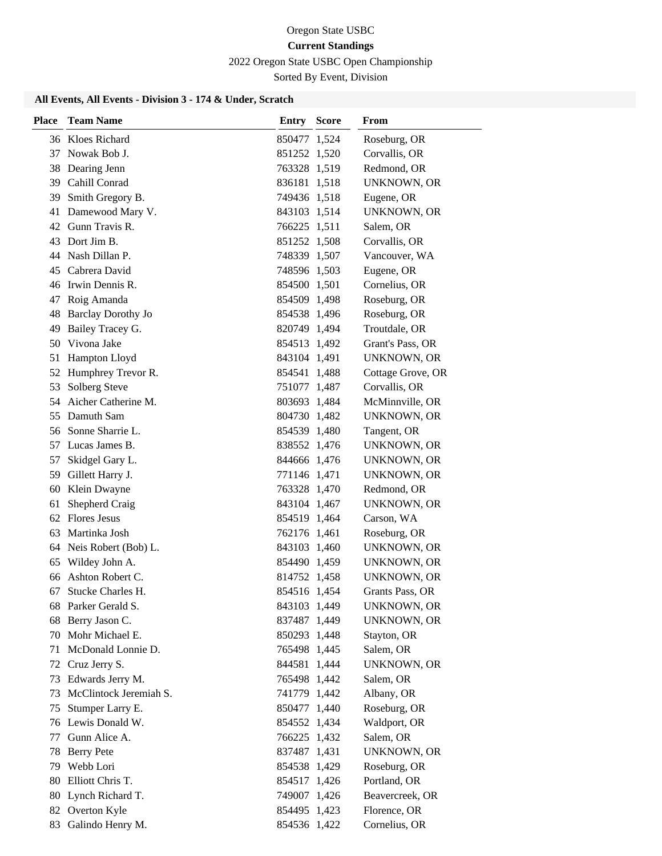# 2022 Oregon State USBC Open Championship

Sorted By Event, Division

| <b>Place</b> | <b>Team Name</b>          | <b>Entry Score</b> | From               |
|--------------|---------------------------|--------------------|--------------------|
|              | 36 Kloes Richard          | 850477 1,524       | Roseburg, OR       |
|              | 37 Nowak Bob J.           | 851252 1,520       | Corvallis, OR      |
|              | 38 Dearing Jenn           | 763328 1,519       | Redmond, OR        |
|              | 39 Cahill Conrad          | 836181 1,518       | <b>UNKNOWN, OR</b> |
|              | 39 Smith Gregory B.       | 749436 1,518       | Eugene, OR         |
| 41           | Damewood Mary V.          | 843103 1,514       | <b>UNKNOWN, OR</b> |
|              | 42 Gunn Travis R.         | 766225 1,511       | Salem, OR          |
| 43           | Dort Jim B.               | 851252 1,508       | Corvallis, OR      |
| 44           | Nash Dillan P.            | 748339 1,507       | Vancouver, WA      |
| 45           | Cabrera David             | 748596 1,503       | Eugene, OR         |
|              | 46 Irwin Dennis R.        | 854500 1,501       | Cornelius, OR      |
| 47           | Roig Amanda               | 854509 1,498       | Roseburg, OR       |
| 48           | <b>Barclay Dorothy Jo</b> | 854538 1,496       | Roseburg, OR       |
| 49           | Bailey Tracey G.          | 820749 1,494       | Troutdale, OR      |
| 50           | Vivona Jake               | 854513 1,492       | Grant's Pass, OR   |
| 51           | Hampton Lloyd             | 843104 1,491       | UNKNOWN, OR        |
| 52           | Humphrey Trevor R.        | 854541 1,488       | Cottage Grove, OR  |
| 53           | Solberg Steve             | 751077 1,487       | Corvallis, OR      |
| 54           | Aicher Catherine M.       | 803693 1,484       | McMinnville, OR    |
| 55           | Damuth Sam                | 804730 1,482       | <b>UNKNOWN, OR</b> |
|              | 56 Sonne Sharrie L.       | 854539 1,480       | Tangent, OR        |
|              | 57 Lucas James B.         | 838552 1,476       | <b>UNKNOWN, OR</b> |
| 57           | Skidgel Gary L.           | 844666 1,476       | UNKNOWN, OR        |
|              | 59 Gillett Harry J.       | 771146 1,471       | <b>UNKNOWN, OR</b> |
| 60           | Klein Dwayne              | 763328 1,470       | Redmond, OR        |
| 61           | Shepherd Craig            | 843104 1,467       | <b>UNKNOWN, OR</b> |
| 62           | <b>Flores Jesus</b>       | 854519 1,464       | Carson, WA         |
| 63           | Martinka Josh             | 762176 1,461       | Roseburg, OR       |
| 64           | Neis Robert (Bob) L.      | 843103 1,460       | UNKNOWN, OR        |
| 65           | Wildey John A.            | 854490 1,459       | UNKNOWN, OR        |
| 66           | Ashton Robert C.          | 814752 1,458       | UNKNOWN, OR        |
| 67           | Stucke Charles H.         | 854516 1,454       | Grants Pass, OR    |
| 68           | Parker Gerald S.          | 843103 1,449       | UNKNOWN, OR        |
| 68           | Berry Jason C.            | 837487 1,449       | <b>UNKNOWN, OR</b> |
| 70           | Mohr Michael E.           | 850293 1,448       | Stayton, OR        |
|              | 71 McDonald Lonnie D.     | 765498 1,445       | Salem, OR          |
| 72           | Cruz Jerry S.             | 844581 1,444       | UNKNOWN, OR        |
| 73           | Edwards Jerry M.          | 765498 1,442       | Salem, OR          |
| 73           | McClintock Jeremiah S.    | 741779 1,442       | Albany, OR         |
| 75           | Stumper Larry E.          | 850477 1,440       | Roseburg, OR       |
|              | 76 Lewis Donald W.        | 854552 1,434       | Waldport, OR       |
| 77           | Gunn Alice A.             | 766225 1,432       | Salem, OR          |
| 78           | <b>Berry Pete</b>         | 837487 1,431       | UNKNOWN, OR        |
|              | 79 Webb Lori              | 854538 1,429       | Roseburg, OR       |
| 80           | Elliott Chris T.          | 854517 1,426       | Portland, OR       |
| 80           | Lynch Richard T.          | 749007 1,426       | Beavercreek, OR    |
| 82           | Overton Kyle              | 854495 1,423       | Florence, OR       |
|              | 83 Galindo Henry M.       | 854536 1,422       | Cornelius, OR      |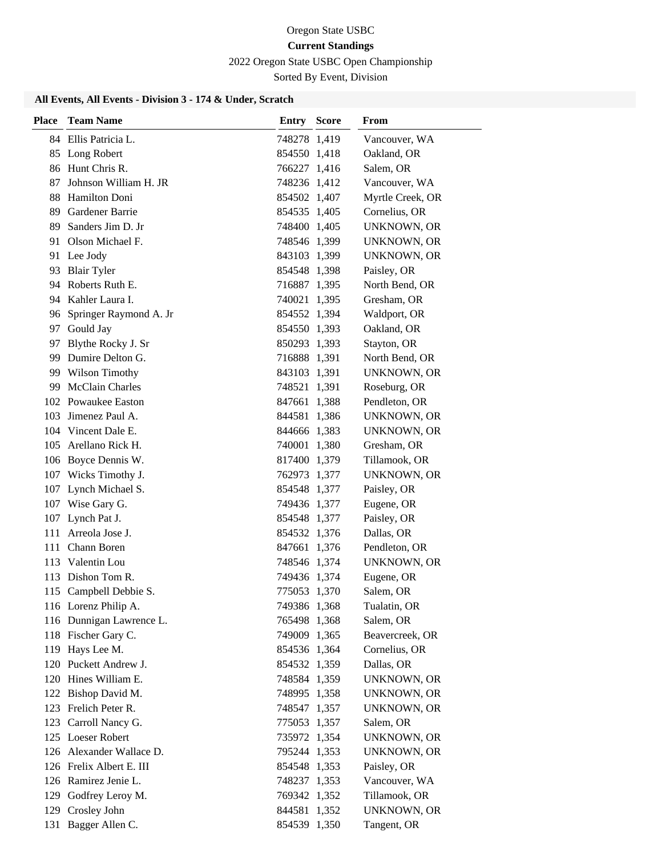2022 Oregon State USBC Open Championship

Sorted By Event, Division

| Place | <b>Team Name</b>          | <b>Entry Score</b> | From               |
|-------|---------------------------|--------------------|--------------------|
|       | 84 Ellis Patricia L.      | 748278 1,419       | Vancouver, WA      |
|       | 85 Long Robert            | 854550 1,418       | Oakland, OR        |
|       | 86 Hunt Chris R.          | 766227 1,416       | Salem, OR          |
| 87    | Johnson William H. JR     | 748236 1,412       | Vancouver, WA      |
|       | 88 Hamilton Doni          | 854502 1,407       | Myrtle Creek, OR   |
|       | 89 Gardener Barrie        | 854535 1,405       | Cornelius, OR      |
|       | 89 Sanders Jim D. Jr      | 748400 1,405       | UNKNOWN, OR        |
|       | 91 Olson Michael F.       | 748546 1,399       | UNKNOWN, OR        |
|       | 91 Lee Jody               | 843103 1,399       | UNKNOWN, OR        |
| 93    | <b>Blair Tyler</b>        | 854548 1,398       | Paisley, OR        |
|       | 94 Roberts Ruth E.        | 716887 1,395       | North Bend, OR     |
|       | 94 Kahler Laura I.        | 740021 1,395       | Gresham, OR        |
|       | 96 Springer Raymond A. Jr | 854552 1,394       | Waldport, OR       |
|       | 97 Gould Jay              | 854550 1,393       | Oakland, OR        |
|       | 97 Blythe Rocky J. Sr     | 850293 1,393       | Stayton, OR        |
|       | 99 Dumire Delton G.       | 716888 1,391       | North Bend, OR     |
|       | 99 Wilson Timothy         | 843103 1,391       | <b>UNKNOWN, OR</b> |
| 99.   | <b>McClain Charles</b>    | 748521 1,391       | Roseburg, OR       |
|       | 102 Powaukee Easton       | 847661 1,388       | Pendleton, OR      |
| 103   | Jimenez Paul A.           | 844581 1,386       | <b>UNKNOWN, OR</b> |
|       | 104 Vincent Dale E.       | 844666 1,383       | UNKNOWN, OR        |
|       | 105 Arellano Rick H.      | 740001 1,380       | Gresham, OR        |
|       | 106 Boyce Dennis W.       | 817400 1,379       | Tillamook, OR      |
|       | 107 Wicks Timothy J.      | 762973 1,377       | UNKNOWN, OR        |
|       | 107 Lynch Michael S.      | 854548 1,377       | Paisley, OR        |
|       | 107 Wise Gary G.          | 749436 1,377       | Eugene, OR         |
|       | 107 Lynch Pat J.          | 854548 1,377       | Paisley, OR        |
| 111   | Arreola Jose J.           | 854532 1,376       | Dallas, OR         |
|       | 111 Chann Boren           | 847661 1,376       | Pendleton, OR      |
|       | 113 Valentin Lou          | 748546 1,374       | UNKNOWN, OR        |
|       | 113 Dishon Tom R.         | 749436 1,374       | Eugene, OR         |
|       | 115 Campbell Debbie S.    | 775053 1.370       | Salem, OR          |
|       | 116 Lorenz Philip A.      | 749386 1,368       | Tualatin, OR       |
|       | 116 Dunnigan Lawrence L.  | 765498 1,368       | Salem, OR          |
|       | 118 Fischer Gary C.       | 749009 1,365       | Beavercreek, OR    |
|       | 119 Hays Lee M.           | 854536 1,364       | Cornelius, OR      |
|       | 120 Puckett Andrew J.     | 854532 1,359       | Dallas, OR         |
|       | 120 Hines William E.      | 748584 1,359       | <b>UNKNOWN, OR</b> |
|       | 122 Bishop David M.       | 748995 1,358       | <b>UNKNOWN, OR</b> |
|       | 123 Frelich Peter R.      | 748547 1,357       | <b>UNKNOWN, OR</b> |
|       | 123 Carroll Nancy G.      | 775053 1,357       | Salem, OR          |
|       | 125 Loeser Robert         | 735972 1,354       | <b>UNKNOWN, OR</b> |
|       | 126 Alexander Wallace D.  | 795244 1,353       | <b>UNKNOWN, OR</b> |
|       | 126 Frelix Albert E. III  | 854548 1,353       | Paisley, OR        |
|       | 126 Ramirez Jenie L.      | 748237 1,353       | Vancouver, WA      |
|       | 129 Godfrey Leroy M.      | 769342 1,352       | Tillamook, OR      |
|       | 129 Crosley John          | 844581 1,352       | UNKNOWN, OR        |
|       | 131 Bagger Allen C.       | 854539 1,350       | Tangent, OR        |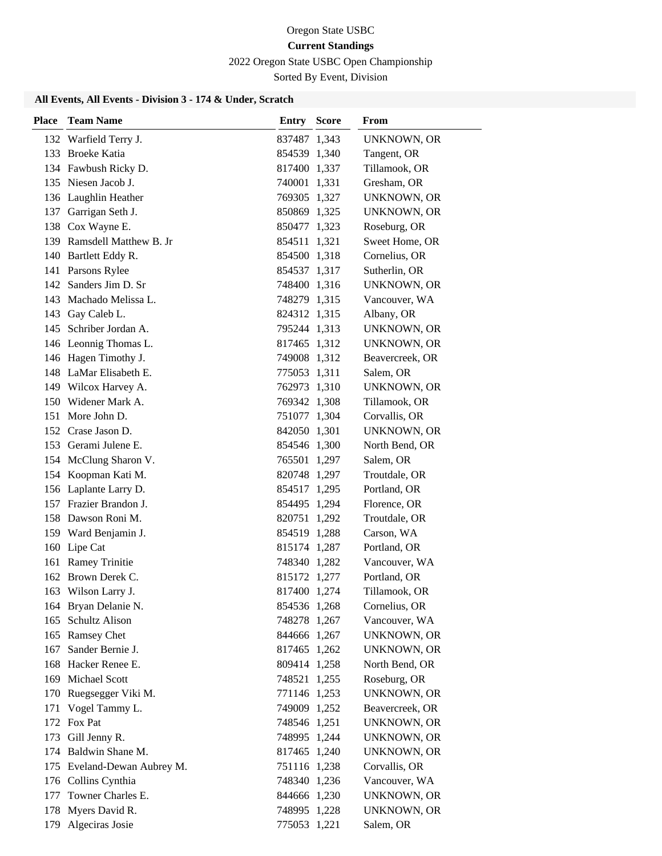2022 Oregon State USBC Open Championship

Sorted By Event, Division

| Place | <b>Team Name</b>            | <b>Entry Score</b> | From               |
|-------|-----------------------------|--------------------|--------------------|
|       | 132 Warfield Terry J.       | 837487 1,343       | <b>UNKNOWN, OR</b> |
|       | 133 Broeke Katia            | 854539 1,340       | Tangent, OR        |
|       | 134 Fawbush Ricky D.        | 817400 1,337       | Tillamook, OR      |
|       | 135 Niesen Jacob J.         | 740001 1,331       | Gresham, OR        |
|       | 136 Laughlin Heather        | 769305 1,327       | UNKNOWN, OR        |
| 137   | Garrigan Seth J.            | 850869 1,325       | UNKNOWN, OR        |
|       | 138 Cox Wayne E.            | 850477 1,323       | Roseburg, OR       |
|       | 139 Ramsdell Matthew B. Jr  | 854511 1,321       | Sweet Home, OR     |
|       | 140 Bartlett Eddy R.        | 854500 1,318       | Cornelius, OR      |
|       | 141 Parsons Rylee           | 854537 1,317       | Sutherlin, OR      |
|       | 142 Sanders Jim D. Sr       | 748400 1,316       | <b>UNKNOWN, OR</b> |
|       | 143 Machado Melissa L.      | 748279 1,315       | Vancouver, WA      |
|       | 143 Gay Caleb L.            | 824312 1,315       | Albany, OR         |
|       | 145 Schriber Jordan A.      | 795244 1,313       | UNKNOWN, OR        |
|       | 146 Leonnig Thomas L.       | 817465 1,312       | <b>UNKNOWN, OR</b> |
|       | 146 Hagen Timothy J.        | 749008 1,312       | Beavercreek, OR    |
|       | 148 LaMar Elisabeth E.      | 775053 1,311       | Salem, OR          |
|       | 149 Wilcox Harvey A.        | 762973 1,310       | UNKNOWN, OR        |
|       | 150 Widener Mark A.         | 769342 1,308       | Tillamook, OR      |
|       | 151 More John D.            | 751077 1,304       | Corvallis, OR      |
|       | 152 Crase Jason D.          | 842050 1,301       | <b>UNKNOWN, OR</b> |
|       | 153 Gerami Julene E.        | 854546 1,300       | North Bend, OR     |
|       | 154 McClung Sharon V.       | 765501 1,297       | Salem, OR          |
|       | 154 Koopman Kati M.         | 820748 1,297       | Troutdale, OR      |
|       | 156 Laplante Larry D.       | 854517 1,295       | Portland, OR       |
|       | 157 Frazier Brandon J.      | 854495 1,294       | Florence, OR       |
|       | 158 Dawson Roni M.          | 820751 1,292       | Troutdale, OR      |
|       | 159 Ward Benjamin J.        | 854519 1,288       | Carson, WA         |
|       | 160 Lipe Cat                | 815174 1,287       | Portland, OR       |
|       | 161 Ramey Trinitie          | 748340 1,282       | Vancouver, WA      |
|       | 162 Brown Derek C.          | 815172 1,277       | Portland, OR       |
|       | 163 Wilson Larry J.         | 817400 1,274       | Tillamook, OR      |
|       | 164 Bryan Delanie N.        | 854536 1,268       | Cornelius, OR      |
|       | 165 Schultz Alison          | 748278 1,267       | Vancouver, WA      |
|       | 165 Ramsey Chet             | 844666 1,267       | <b>UNKNOWN, OR</b> |
|       | 167 Sander Bernie J.        | 817465 1,262       | UNKNOWN, OR        |
|       | 168 Hacker Renee E.         | 809414 1,258       | North Bend, OR     |
|       | 169 Michael Scott           | 748521 1,255       | Roseburg, OR       |
| 170   | Ruegsegger Viki M.          | 771146 1,253       | <b>UNKNOWN, OR</b> |
| 171   | Vogel Tammy L.              | 749009 1,252       | Beavercreek, OR    |
|       | 172 Fox Pat                 | 748546 1,251       | <b>UNKNOWN, OR</b> |
|       | 173 Gill Jenny R.           | 748995 1,244       | UNKNOWN, OR        |
|       | 174 Baldwin Shane M.        | 817465 1,240       | <b>UNKNOWN, OR</b> |
|       | 175 Eveland-Dewan Aubrey M. | 751116 1,238       | Corvallis, OR      |
|       | 176 Collins Cynthia         | 748340 1,236       | Vancouver, WA      |
| 177   | Towner Charles E.           | 844666 1,230       | <b>UNKNOWN, OR</b> |
| 178   | Myers David R.              | 748995 1,228       | <b>UNKNOWN, OR</b> |
|       | 179 Algeciras Josie         | 775053 1,221       | Salem, OR          |